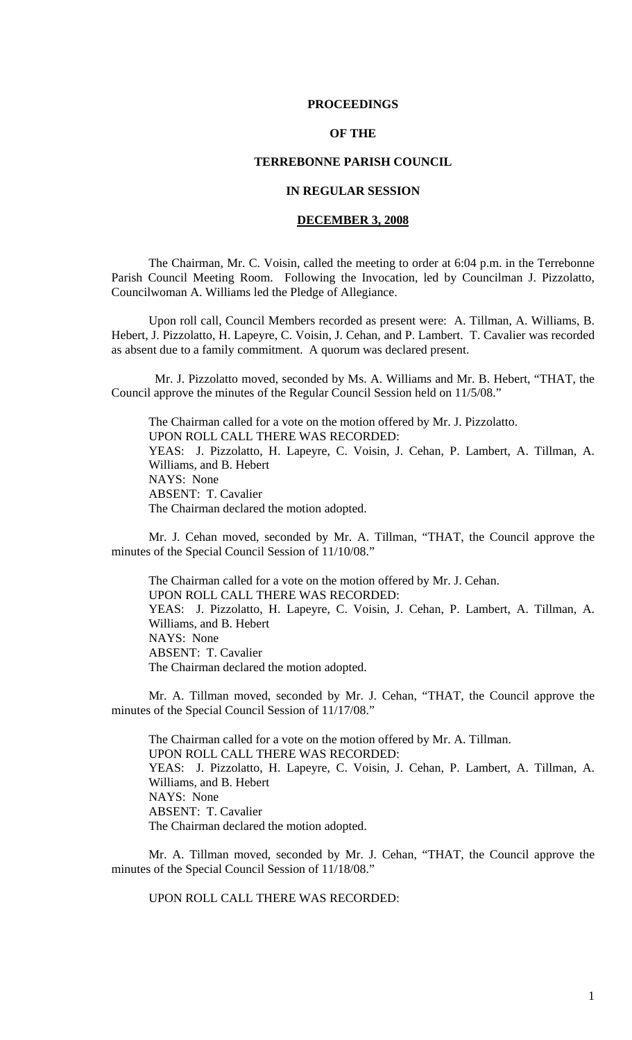### **PROCEEDINGS**

# **OF THE**

## **TERREBONNE PARISH COUNCIL**

### **IN REGULAR SESSION**

## **DECEMBER 3, 2008**

 The Chairman, Mr. C. Voisin, called the meeting to order at 6:04 p.m. in the Terrebonne Parish Council Meeting Room. Following the Invocation, led by Councilman J. Pizzolatto, Councilwoman A. Williams led the Pledge of Allegiance.

Upon roll call, Council Members recorded as present were: A. Tillman, A. Williams, B. Hebert, J. Pizzolatto, H. Lapeyre, C. Voisin, J. Cehan, and P. Lambert. T. Cavalier was recorded as absent due to a family commitment. A quorum was declared present.

 Mr. J. Pizzolatto moved, seconded by Ms. A. Williams and Mr. B. Hebert, "THAT, the Council approve the minutes of the Regular Council Session held on 11/5/08."

The Chairman called for a vote on the motion offered by Mr. J. Pizzolatto. UPON ROLL CALL THERE WAS RECORDED: YEAS: J. Pizzolatto, H. Lapeyre, C. Voisin, J. Cehan, P. Lambert, A. Tillman, A. Williams, and B. Hebert NAYS: None ABSENT: T. Cavalier The Chairman declared the motion adopted.

Mr. J. Cehan moved, seconded by Mr. A. Tillman, "THAT, the Council approve the minutes of the Special Council Session of 11/10/08."

The Chairman called for a vote on the motion offered by Mr. J. Cehan. UPON ROLL CALL THERE WAS RECORDED: YEAS: J. Pizzolatto, H. Lapeyre, C. Voisin, J. Cehan, P. Lambert, A. Tillman, A. Williams, and B. Hebert NAYS: None ABSENT: T. Cavalier The Chairman declared the motion adopted.

Mr. A. Tillman moved, seconded by Mr. J. Cehan, "THAT, the Council approve the minutes of the Special Council Session of 11/17/08."

The Chairman called for a vote on the motion offered by Mr. A. Tillman. UPON ROLL CALL THERE WAS RECORDED: YEAS: J. Pizzolatto, H. Lapeyre, C. Voisin, J. Cehan, P. Lambert, A. Tillman, A. Williams, and B. Hebert NAYS: None ABSENT: T. Cavalier The Chairman declared the motion adopted.

Mr. A. Tillman moved, seconded by Mr. J. Cehan, "THAT, the Council approve the minutes of the Special Council Session of 11/18/08."

UPON ROLL CALL THERE WAS RECORDED: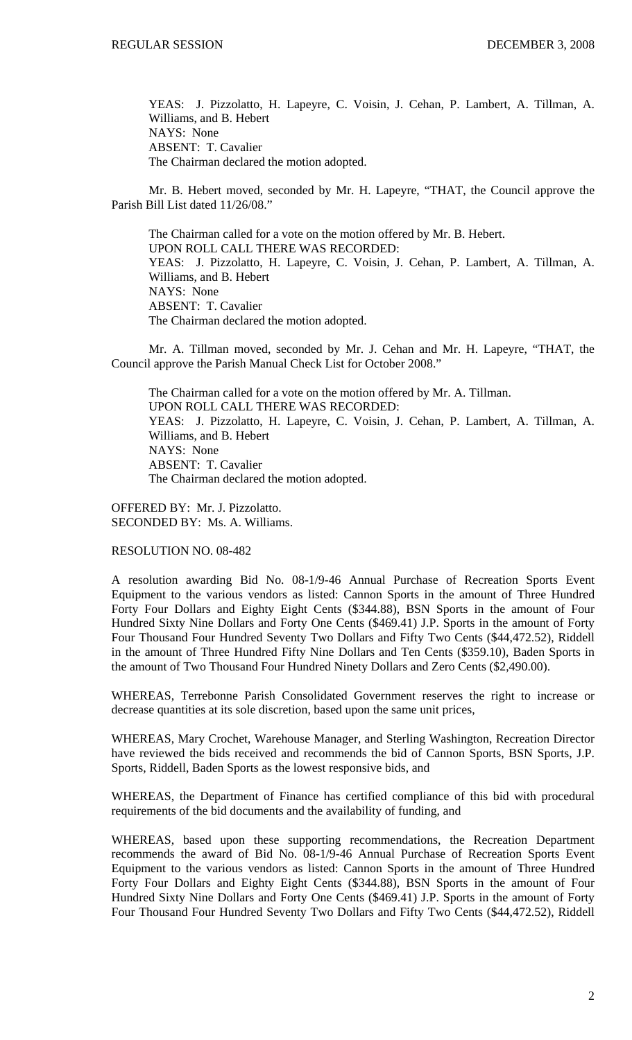YEAS: J. Pizzolatto, H. Lapeyre, C. Voisin, J. Cehan, P. Lambert, A. Tillman, A. Williams, and B. Hebert NAYS: None ABSENT: T. Cavalier The Chairman declared the motion adopted.

Mr. B. Hebert moved, seconded by Mr. H. Lapeyre, "THAT, the Council approve the Parish Bill List dated 11/26/08."

The Chairman called for a vote on the motion offered by Mr. B. Hebert. UPON ROLL CALL THERE WAS RECORDED: YEAS: J. Pizzolatto, H. Lapeyre, C. Voisin, J. Cehan, P. Lambert, A. Tillman, A. Williams, and B. Hebert NAYS: None ABSENT: T. Cavalier The Chairman declared the motion adopted.

Mr. A. Tillman moved, seconded by Mr. J. Cehan and Mr. H. Lapeyre, "THAT, the Council approve the Parish Manual Check List for October 2008."

The Chairman called for a vote on the motion offered by Mr. A. Tillman. UPON ROLL CALL THERE WAS RECORDED: YEAS: J. Pizzolatto, H. Lapeyre, C. Voisin, J. Cehan, P. Lambert, A. Tillman, A. Williams, and B. Hebert NAYS: None ABSENT: T. Cavalier The Chairman declared the motion adopted.

OFFERED BY: Mr. J. Pizzolatto. SECONDED BY: Ms. A. Williams.

RESOLUTION NO. 08-482

A resolution awarding Bid No. 08-1/9-46 Annual Purchase of Recreation Sports Event Equipment to the various vendors as listed: Cannon Sports in the amount of Three Hundred Forty Four Dollars and Eighty Eight Cents (\$344.88), BSN Sports in the amount of Four Hundred Sixty Nine Dollars and Forty One Cents (\$469.41) J.P. Sports in the amount of Forty Four Thousand Four Hundred Seventy Two Dollars and Fifty Two Cents (\$44,472.52), Riddell in the amount of Three Hundred Fifty Nine Dollars and Ten Cents (\$359.10), Baden Sports in the amount of Two Thousand Four Hundred Ninety Dollars and Zero Cents (\$2,490.00).

WHEREAS, Terrebonne Parish Consolidated Government reserves the right to increase or decrease quantities at its sole discretion, based upon the same unit prices,

WHEREAS, Mary Crochet, Warehouse Manager, and Sterling Washington, Recreation Director have reviewed the bids received and recommends the bid of Cannon Sports, BSN Sports, J.P. Sports, Riddell, Baden Sports as the lowest responsive bids, and

WHEREAS, the Department of Finance has certified compliance of this bid with procedural requirements of the bid documents and the availability of funding, and

WHEREAS, based upon these supporting recommendations, the Recreation Department recommends the award of Bid No. 08-1/9-46 Annual Purchase of Recreation Sports Event Equipment to the various vendors as listed: Cannon Sports in the amount of Three Hundred Forty Four Dollars and Eighty Eight Cents (\$344.88), BSN Sports in the amount of Four Hundred Sixty Nine Dollars and Forty One Cents (\$469.41) J.P. Sports in the amount of Forty Four Thousand Four Hundred Seventy Two Dollars and Fifty Two Cents (\$44,472.52), Riddell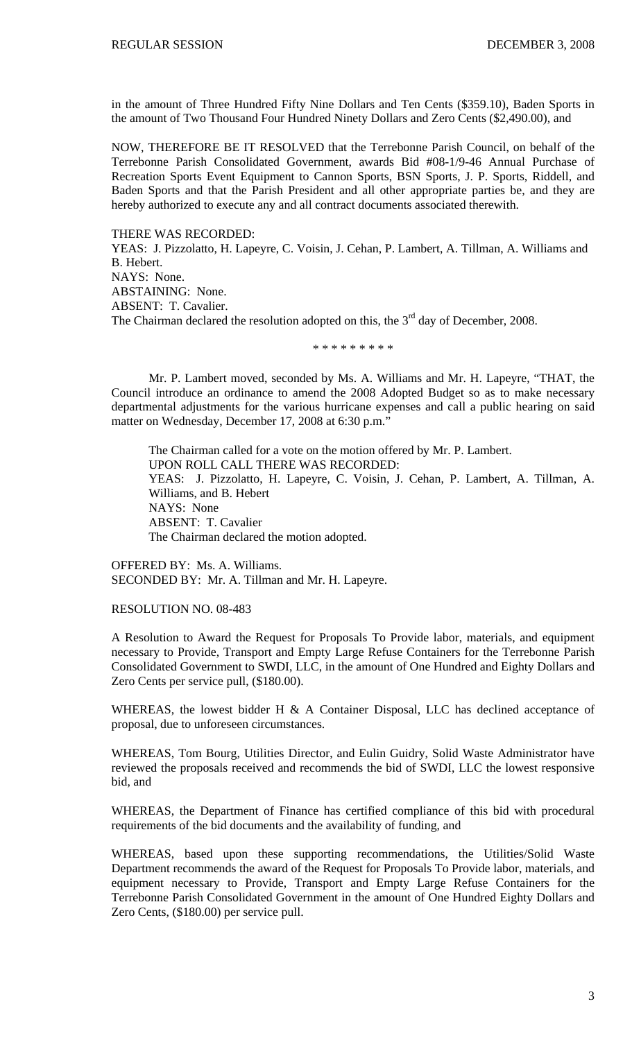in the amount of Three Hundred Fifty Nine Dollars and Ten Cents (\$359.10), Baden Sports in the amount of Two Thousand Four Hundred Ninety Dollars and Zero Cents (\$2,490.00), and

NOW, THEREFORE BE IT RESOLVED that the Terrebonne Parish Council, on behalf of the Terrebonne Parish Consolidated Government, awards Bid #08-1/9-46 Annual Purchase of Recreation Sports Event Equipment to Cannon Sports, BSN Sports, J. P. Sports, Riddell, and Baden Sports and that the Parish President and all other appropriate parties be, and they are hereby authorized to execute any and all contract documents associated therewith.

THERE WAS RECORDED: YEAS: J. Pizzolatto, H. Lapeyre, C. Voisin, J. Cehan, P. Lambert, A. Tillman, A. Williams and B. Hebert. NAYS: None. ABSTAINING: None. ABSENT: T. Cavalier. The Chairman declared the resolution adopted on this, the  $3<sup>rd</sup>$  day of December, 2008.

\* \* \* \* \* \* \* \* \*

Mr. P. Lambert moved, seconded by Ms. A. Williams and Mr. H. Lapeyre, "THAT, the Council introduce an ordinance to amend the 2008 Adopted Budget so as to make necessary departmental adjustments for the various hurricane expenses and call a public hearing on said matter on Wednesday, December 17, 2008 at 6:30 p.m."

The Chairman called for a vote on the motion offered by Mr. P. Lambert. UPON ROLL CALL THERE WAS RECORDED: YEAS: J. Pizzolatto, H. Lapeyre, C. Voisin, J. Cehan, P. Lambert, A. Tillman, A. Williams, and B. Hebert NAYS: None ABSENT: T. Cavalier The Chairman declared the motion adopted.

OFFERED BY: Ms. A. Williams. SECONDED BY: Mr. A. Tillman and Mr. H. Lapeyre.

### RESOLUTION NO. 08-483

A Resolution to Award the Request for Proposals To Provide labor, materials, and equipment necessary to Provide, Transport and Empty Large Refuse Containers for the Terrebonne Parish Consolidated Government to SWDI, LLC, in the amount of One Hundred and Eighty Dollars and Zero Cents per service pull, (\$180.00).

WHEREAS, the lowest bidder H  $\&$  A Container Disposal, LLC has declined acceptance of proposal, due to unforeseen circumstances.

WHEREAS, Tom Bourg, Utilities Director, and Eulin Guidry, Solid Waste Administrator have reviewed the proposals received and recommends the bid of SWDI, LLC the lowest responsive bid, and

WHEREAS, the Department of Finance has certified compliance of this bid with procedural requirements of the bid documents and the availability of funding, and

WHEREAS, based upon these supporting recommendations, the Utilities/Solid Waste Department recommends the award of the Request for Proposals To Provide labor, materials, and equipment necessary to Provide, Transport and Empty Large Refuse Containers for the Terrebonne Parish Consolidated Government in the amount of One Hundred Eighty Dollars and Zero Cents, (\$180.00) per service pull.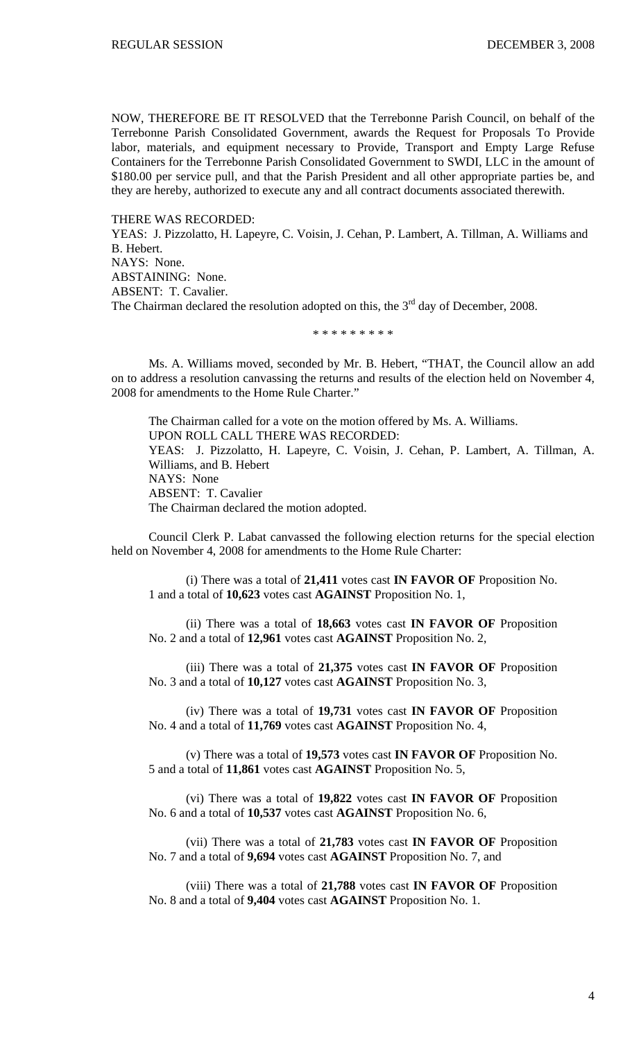NOW, THEREFORE BE IT RESOLVED that the Terrebonne Parish Council, on behalf of the Terrebonne Parish Consolidated Government, awards the Request for Proposals To Provide labor, materials, and equipment necessary to Provide, Transport and Empty Large Refuse Containers for the Terrebonne Parish Consolidated Government to SWDI, LLC in the amount of \$180.00 per service pull, and that the Parish President and all other appropriate parties be, and they are hereby, authorized to execute any and all contract documents associated therewith.

THERE WAS RECORDED: YEAS: J. Pizzolatto, H. Lapeyre, C. Voisin, J. Cehan, P. Lambert, A. Tillman, A. Williams and B. Hebert. NAYS: None. ABSTAINING: None. ABSENT: T. Cavalier. The Chairman declared the resolution adopted on this, the  $3<sup>rd</sup>$  day of December, 2008.

\* \* \* \* \* \* \* \* \*

 Ms. A. Williams moved, seconded by Mr. B. Hebert, "THAT, the Council allow an add on to address a resolution canvassing the returns and results of the election held on November 4, 2008 for amendments to the Home Rule Charter."

 The Chairman called for a vote on the motion offered by Ms. A. Williams. UPON ROLL CALL THERE WAS RECORDED: YEAS: J. Pizzolatto, H. Lapeyre, C. Voisin, J. Cehan, P. Lambert, A. Tillman, A. Williams, and B. Hebert NAYS: None ABSENT: T. Cavalier The Chairman declared the motion adopted.

 Council Clerk P. Labat canvassed the following election returns for the special election held on November 4, 2008 for amendments to the Home Rule Charter:

(i) There was a total of **21,411** votes cast **IN FAVOR OF** Proposition No. 1 and a total of **10,623** votes cast **AGAINST** Proposition No. 1,

(ii) There was a total of **18,663** votes cast **IN FAVOR OF** Proposition No. 2 and a total of **12,961** votes cast **AGAINST** Proposition No. 2,

(iii) There was a total of **21,375** votes cast **IN FAVOR OF** Proposition No. 3 and a total of **10,127** votes cast **AGAINST** Proposition No. 3,

(iv) There was a total of **19,731** votes cast **IN FAVOR OF** Proposition No. 4 and a total of **11,769** votes cast **AGAINST** Proposition No. 4,

(v) There was a total of **19,573** votes cast **IN FAVOR OF** Proposition No. 5 and a total of **11,861** votes cast **AGAINST** Proposition No. 5,

(vi) There was a total of **19,822** votes cast **IN FAVOR OF** Proposition No. 6 and a total of **10,537** votes cast **AGAINST** Proposition No. 6,

(vii) There was a total of **21,783** votes cast **IN FAVOR OF** Proposition No. 7 and a total of **9,694** votes cast **AGAINST** Proposition No. 7, and

(viii) There was a total of **21,788** votes cast **IN FAVOR OF** Proposition No. 8 and a total of **9,404** votes cast **AGAINST** Proposition No. 1.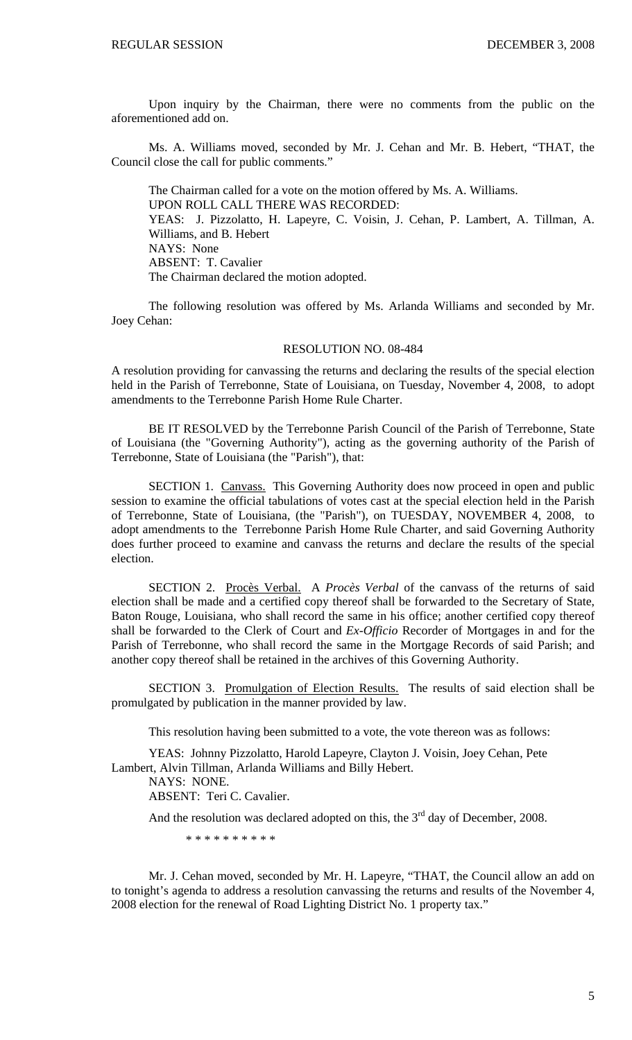Upon inquiry by the Chairman, there were no comments from the public on the aforementioned add on.

 Ms. A. Williams moved, seconded by Mr. J. Cehan and Mr. B. Hebert, "THAT, the Council close the call for public comments."

 The Chairman called for a vote on the motion offered by Ms. A. Williams. UPON ROLL CALL THERE WAS RECORDED: YEAS: J. Pizzolatto, H. Lapeyre, C. Voisin, J. Cehan, P. Lambert, A. Tillman, A. Williams, and B. Hebert NAYS: None ABSENT: T. Cavalier The Chairman declared the motion adopted.

The following resolution was offered by Ms. Arlanda Williams and seconded by Mr. Joey Cehan:

#### RESOLUTION NO. 08-484

A resolution providing for canvassing the returns and declaring the results of the special election held in the Parish of Terrebonne, State of Louisiana, on Tuesday, November 4, 2008, to adopt amendments to the Terrebonne Parish Home Rule Charter.

BE IT RESOLVED by the Terrebonne Parish Council of the Parish of Terrebonne, State of Louisiana (the "Governing Authority"), acting as the governing authority of the Parish of Terrebonne, State of Louisiana (the "Parish"), that:

SECTION 1. Canvass. This Governing Authority does now proceed in open and public session to examine the official tabulations of votes cast at the special election held in the Parish of Terrebonne, State of Louisiana, (the "Parish"), on TUESDAY, NOVEMBER 4, 2008, to adopt amendments to the Terrebonne Parish Home Rule Charter, and said Governing Authority does further proceed to examine and canvass the returns and declare the results of the special election.

SECTION 2. Procès Verbal. A *Procès Verbal* of the canvass of the returns of said election shall be made and a certified copy thereof shall be forwarded to the Secretary of State, Baton Rouge, Louisiana, who shall record the same in his office; another certified copy thereof shall be forwarded to the Clerk of Court and *Ex-Officio* Recorder of Mortgages in and for the Parish of Terrebonne, who shall record the same in the Mortgage Records of said Parish; and another copy thereof shall be retained in the archives of this Governing Authority.

SECTION 3. Promulgation of Election Results. The results of said election shall be promulgated by publication in the manner provided by law.

This resolution having been submitted to a vote, the vote thereon was as follows:

YEAS: Johnny Pizzolatto, Harold Lapeyre, Clayton J. Voisin, Joey Cehan, Pete Lambert, Alvin Tillman, Arlanda Williams and Billy Hebert.

NAYS: NONE. ABSENT: Teri C. Cavalier.

And the resolution was declared adopted on this, the  $3<sup>rd</sup>$  day of December, 2008.

\* \* \* \* \* \* \* \* \* \*

 Mr. J. Cehan moved, seconded by Mr. H. Lapeyre, "THAT, the Council allow an add on to tonight's agenda to address a resolution canvassing the returns and results of the November 4, 2008 election for the renewal of Road Lighting District No. 1 property tax."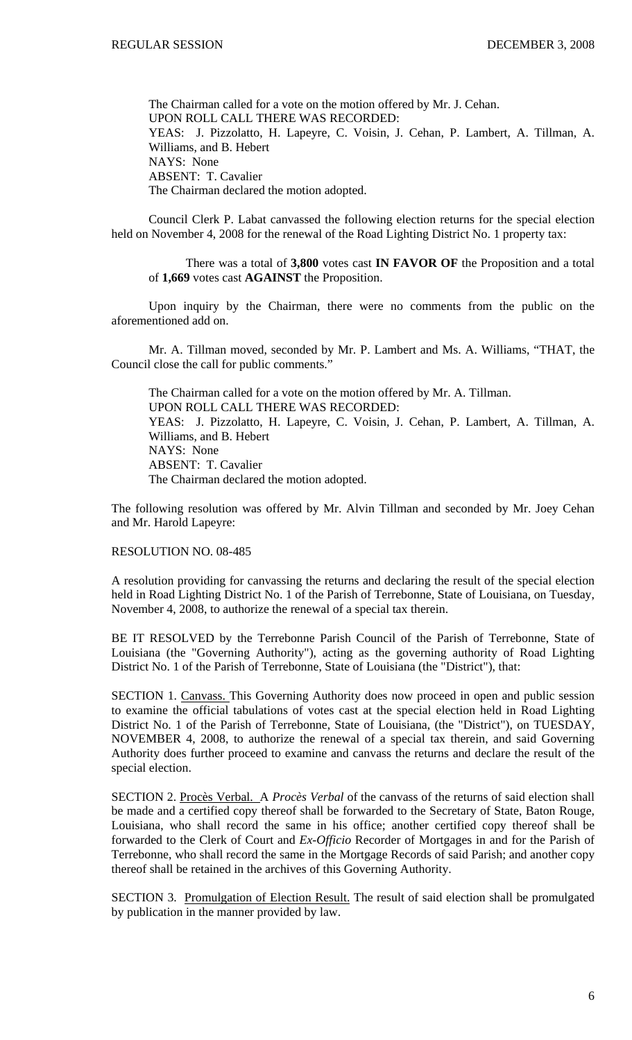The Chairman called for a vote on the motion offered by Mr. J. Cehan. UPON ROLL CALL THERE WAS RECORDED: YEAS: J. Pizzolatto, H. Lapeyre, C. Voisin, J. Cehan, P. Lambert, A. Tillman, A. Williams, and B. Hebert NAYS: None ABSENT: T. Cavalier The Chairman declared the motion adopted.

Council Clerk P. Labat canvassed the following election returns for the special election held on November 4, 2008 for the renewal of the Road Lighting District No. 1 property tax:

There was a total of **3,800** votes cast **IN FAVOR OF** the Proposition and a total of **1,669** votes cast **AGAINST** the Proposition.

 Upon inquiry by the Chairman, there were no comments from the public on the aforementioned add on.

 Mr. A. Tillman moved, seconded by Mr. P. Lambert and Ms. A. Williams, "THAT, the Council close the call for public comments."

 The Chairman called for a vote on the motion offered by Mr. A. Tillman. UPON ROLL CALL THERE WAS RECORDED: YEAS: J. Pizzolatto, H. Lapeyre, C. Voisin, J. Cehan, P. Lambert, A. Tillman, A. Williams, and B. Hebert NAYS: None ABSENT: T. Cavalier The Chairman declared the motion adopted.

The following resolution was offered by Mr. Alvin Tillman and seconded by Mr. Joey Cehan and Mr. Harold Lapeyre:

#### RESOLUTION NO. 08-485

A resolution providing for canvassing the returns and declaring the result of the special election held in Road Lighting District No. 1 of the Parish of Terrebonne, State of Louisiana, on Tuesday, November 4, 2008, to authorize the renewal of a special tax therein.

BE IT RESOLVED by the Terrebonne Parish Council of the Parish of Terrebonne, State of Louisiana (the "Governing Authority"), acting as the governing authority of Road Lighting District No. 1 of the Parish of Terrebonne, State of Louisiana (the "District"), that:

SECTION 1. Canvass. This Governing Authority does now proceed in open and public session to examine the official tabulations of votes cast at the special election held in Road Lighting District No. 1 of the Parish of Terrebonne, State of Louisiana, (the "District"), on TUESDAY, NOVEMBER 4, 2008, to authorize the renewal of a special tax therein, and said Governing Authority does further proceed to examine and canvass the returns and declare the result of the special election.

SECTION 2. Procès Verbal. A *Procès Verbal* of the canvass of the returns of said election shall be made and a certified copy thereof shall be forwarded to the Secretary of State, Baton Rouge, Louisiana, who shall record the same in his office; another certified copy thereof shall be forwarded to the Clerk of Court and *Ex-Officio* Recorder of Mortgages in and for the Parish of Terrebonne, who shall record the same in the Mortgage Records of said Parish; and another copy thereof shall be retained in the archives of this Governing Authority.

SECTION 3. Promulgation of Election Result. The result of said election shall be promulgated by publication in the manner provided by law.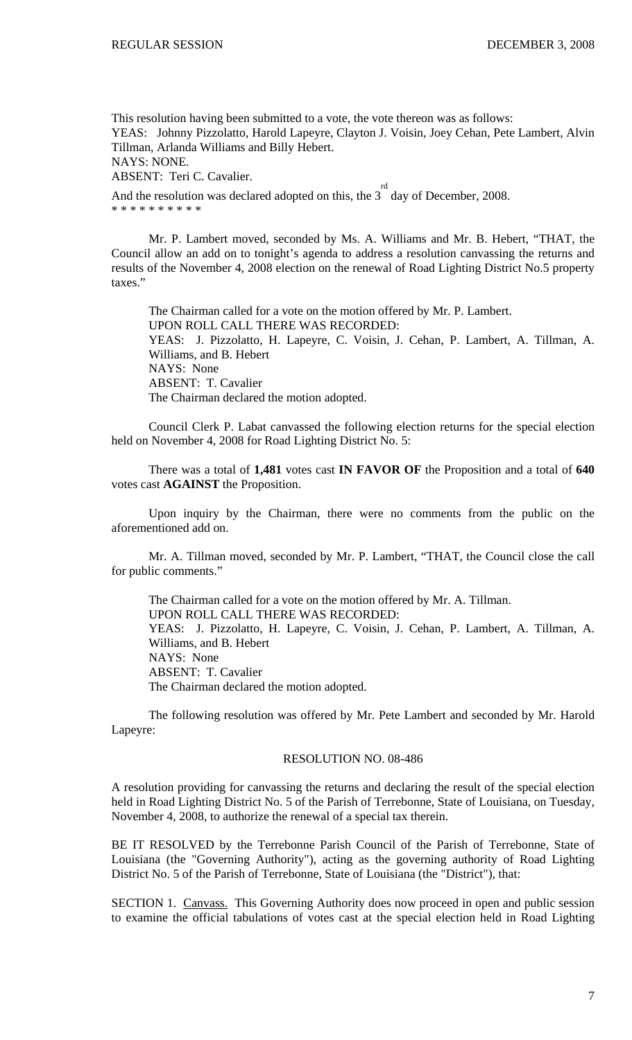This resolution having been submitted to a vote, the vote thereon was as follows: YEAS: Johnny Pizzolatto, Harold Lapeyre, Clayton J. Voisin, Joey Cehan, Pete Lambert, Alvin Tillman, Arlanda Williams and Billy Hebert. NAYS: NONE.

ABSENT: Teri C. Cavalier.

And the resolution was declared adopted on this, the  $3<sup>rd</sup>$  day of December, 2008. \* \* \* \* \* \* \* \* \* \*

Mr. P. Lambert moved, seconded by Ms. A. Williams and Mr. B. Hebert, "THAT, the Council allow an add on to tonight's agenda to address a resolution canvassing the returns and results of the November 4, 2008 election on the renewal of Road Lighting District No.5 property taxes."

The Chairman called for a vote on the motion offered by Mr. P. Lambert. UPON ROLL CALL THERE WAS RECORDED: YEAS: J. Pizzolatto, H. Lapeyre, C. Voisin, J. Cehan, P. Lambert, A. Tillman, A. Williams, and B. Hebert NAYS: None ABSENT: T. Cavalier The Chairman declared the motion adopted.

Council Clerk P. Labat canvassed the following election returns for the special election held on November 4, 2008 for Road Lighting District No. 5:

There was a total of **1,481** votes cast **IN FAVOR OF** the Proposition and a total of **640**  votes cast **AGAINST** the Proposition.

Upon inquiry by the Chairman, there were no comments from the public on the aforementioned add on.

Mr. A. Tillman moved, seconded by Mr. P. Lambert, "THAT, the Council close the call for public comments."

The Chairman called for a vote on the motion offered by Mr. A. Tillman. UPON ROLL CALL THERE WAS RECORDED: YEAS: J. Pizzolatto, H. Lapeyre, C. Voisin, J. Cehan, P. Lambert, A. Tillman, A. Williams, and B. Hebert NAYS: None ABSENT: T. Cavalier The Chairman declared the motion adopted.

 The following resolution was offered by Mr. Pete Lambert and seconded by Mr. Harold Lapeyre:

#### RESOLUTION NO. 08-486

A resolution providing for canvassing the returns and declaring the result of the special election held in Road Lighting District No. 5 of the Parish of Terrebonne, State of Louisiana, on Tuesday, November 4, 2008, to authorize the renewal of a special tax therein.

BE IT RESOLVED by the Terrebonne Parish Council of the Parish of Terrebonne, State of Louisiana (the "Governing Authority"), acting as the governing authority of Road Lighting District No. 5 of the Parish of Terrebonne, State of Louisiana (the "District"), that:

SECTION 1. Canvass. This Governing Authority does now proceed in open and public session to examine the official tabulations of votes cast at the special election held in Road Lighting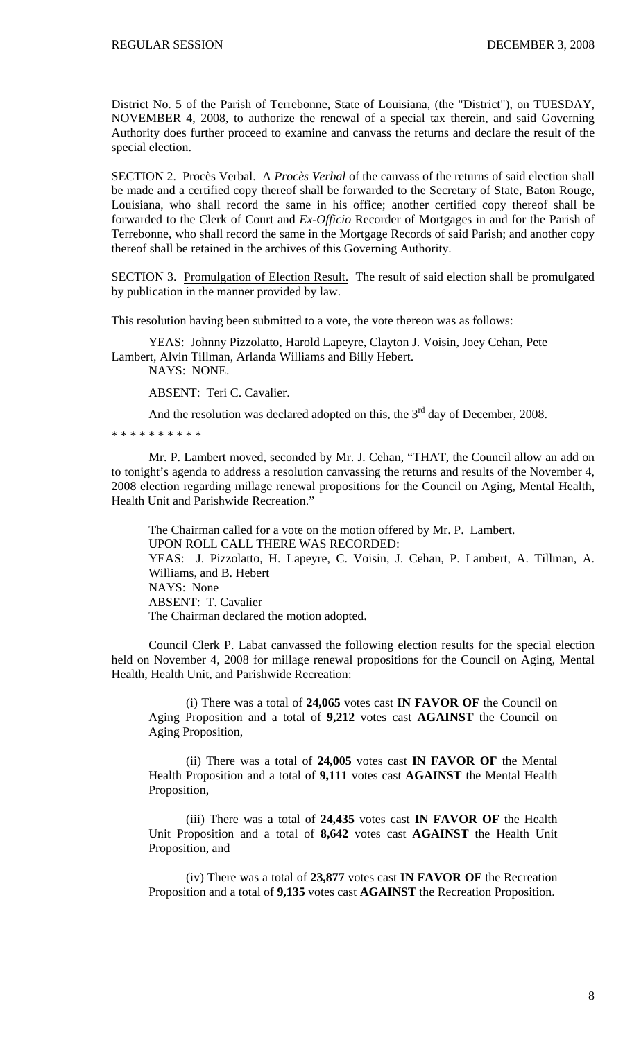District No. 5 of the Parish of Terrebonne, State of Louisiana, (the "District"), on TUESDAY, NOVEMBER 4, 2008, to authorize the renewal of a special tax therein, and said Governing Authority does further proceed to examine and canvass the returns and declare the result of the special election.

SECTION 2. Procès Verbal. A *Procès Verbal* of the canvass of the returns of said election shall be made and a certified copy thereof shall be forwarded to the Secretary of State, Baton Rouge, Louisiana, who shall record the same in his office; another certified copy thereof shall be forwarded to the Clerk of Court and *Ex-Officio* Recorder of Mortgages in and for the Parish of Terrebonne, who shall record the same in the Mortgage Records of said Parish; and another copy thereof shall be retained in the archives of this Governing Authority.

SECTION 3. Promulgation of Election Result. The result of said election shall be promulgated by publication in the manner provided by law.

This resolution having been submitted to a vote, the vote thereon was as follows:

YEAS: Johnny Pizzolatto, Harold Lapeyre, Clayton J. Voisin, Joey Cehan, Pete Lambert, Alvin Tillman, Arlanda Williams and Billy Hebert.

NAYS: NONE.

ABSENT: Teri C. Cavalier.

And the resolution was declared adopted on this, the  $3<sup>rd</sup>$  day of December, 2008.

\* \* \* \* \* \* \* \* \* \*

 Mr. P. Lambert moved, seconded by Mr. J. Cehan, "THAT, the Council allow an add on to tonight's agenda to address a resolution canvassing the returns and results of the November 4, 2008 election regarding millage renewal propositions for the Council on Aging, Mental Health, Health Unit and Parishwide Recreation."

 The Chairman called for a vote on the motion offered by Mr. P. Lambert. UPON ROLL CALL THERE WAS RECORDED: YEAS: J. Pizzolatto, H. Lapeyre, C. Voisin, J. Cehan, P. Lambert, A. Tillman, A. Williams, and B. Hebert NAYS: None ABSENT: T. Cavalier The Chairman declared the motion adopted.

 Council Clerk P. Labat canvassed the following election results for the special election held on November 4, 2008 for millage renewal propositions for the Council on Aging, Mental Health, Health Unit, and Parishwide Recreation:

(i) There was a total of **24,065** votes cast **IN FAVOR OF** the Council on Aging Proposition and a total of **9,212** votes cast **AGAINST** the Council on Aging Proposition,

(ii) There was a total of **24,005** votes cast **IN FAVOR OF** the Mental Health Proposition and a total of **9,111** votes cast **AGAINST** the Mental Health Proposition,

(iii) There was a total of **24,435** votes cast **IN FAVOR OF** the Health Unit Proposition and a total of **8,642** votes cast **AGAINST** the Health Unit Proposition, and

(iv) There was a total of **23,877** votes cast **IN FAVOR OF** the Recreation Proposition and a total of **9,135** votes cast **AGAINST** the Recreation Proposition.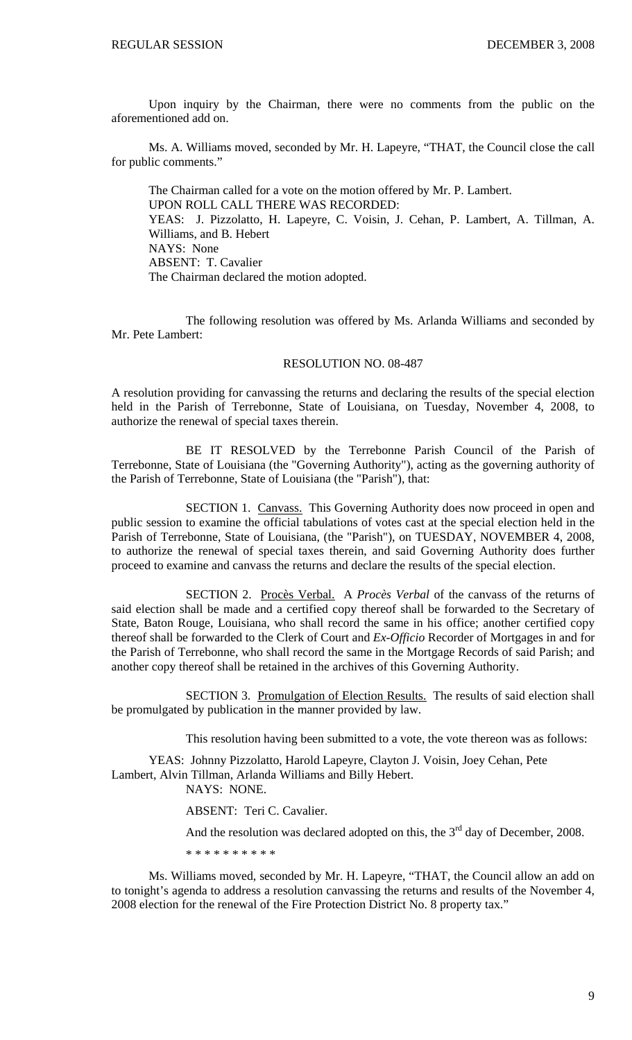Upon inquiry by the Chairman, there were no comments from the public on the aforementioned add on.

 Ms. A. Williams moved, seconded by Mr. H. Lapeyre, "THAT, the Council close the call for public comments."

 The Chairman called for a vote on the motion offered by Mr. P. Lambert. UPON ROLL CALL THERE WAS RECORDED: YEAS: J. Pizzolatto, H. Lapeyre, C. Voisin, J. Cehan, P. Lambert, A. Tillman, A. Williams, and B. Hebert NAYS: None ABSENT: T. Cavalier The Chairman declared the motion adopted.

The following resolution was offered by Ms. Arlanda Williams and seconded by Mr. Pete Lambert:

#### RESOLUTION NO. 08-487

A resolution providing for canvassing the returns and declaring the results of the special election held in the Parish of Terrebonne, State of Louisiana, on Tuesday, November 4, 2008, to authorize the renewal of special taxes therein.

BE IT RESOLVED by the Terrebonne Parish Council of the Parish of Terrebonne, State of Louisiana (the "Governing Authority"), acting as the governing authority of the Parish of Terrebonne, State of Louisiana (the "Parish"), that:

SECTION 1. Canvass. This Governing Authority does now proceed in open and public session to examine the official tabulations of votes cast at the special election held in the Parish of Terrebonne, State of Louisiana, (the "Parish"), on TUESDAY, NOVEMBER 4, 2008, to authorize the renewal of special taxes therein, and said Governing Authority does further proceed to examine and canvass the returns and declare the results of the special election.

SECTION 2. Procès Verbal. A *Procès Verbal* of the canvass of the returns of said election shall be made and a certified copy thereof shall be forwarded to the Secretary of State, Baton Rouge, Louisiana, who shall record the same in his office; another certified copy thereof shall be forwarded to the Clerk of Court and *Ex-Officio* Recorder of Mortgages in and for the Parish of Terrebonne, who shall record the same in the Mortgage Records of said Parish; and another copy thereof shall be retained in the archives of this Governing Authority.

SECTION 3. Promulgation of Election Results. The results of said election shall be promulgated by publication in the manner provided by law.

This resolution having been submitted to a vote, the vote thereon was as follows:

YEAS: Johnny Pizzolatto, Harold Lapeyre, Clayton J. Voisin, Joey Cehan, Pete Lambert, Alvin Tillman, Arlanda Williams and Billy Hebert.

NAYS: NONE.

ABSENT: Teri C. Cavalier.

And the resolution was declared adopted on this, the  $3<sup>rd</sup>$  day of December, 2008.

\* \* \* \* \* \* \* \* \* \*

 Ms. Williams moved, seconded by Mr. H. Lapeyre, "THAT, the Council allow an add on to tonight's agenda to address a resolution canvassing the returns and results of the November 4, 2008 election for the renewal of the Fire Protection District No. 8 property tax."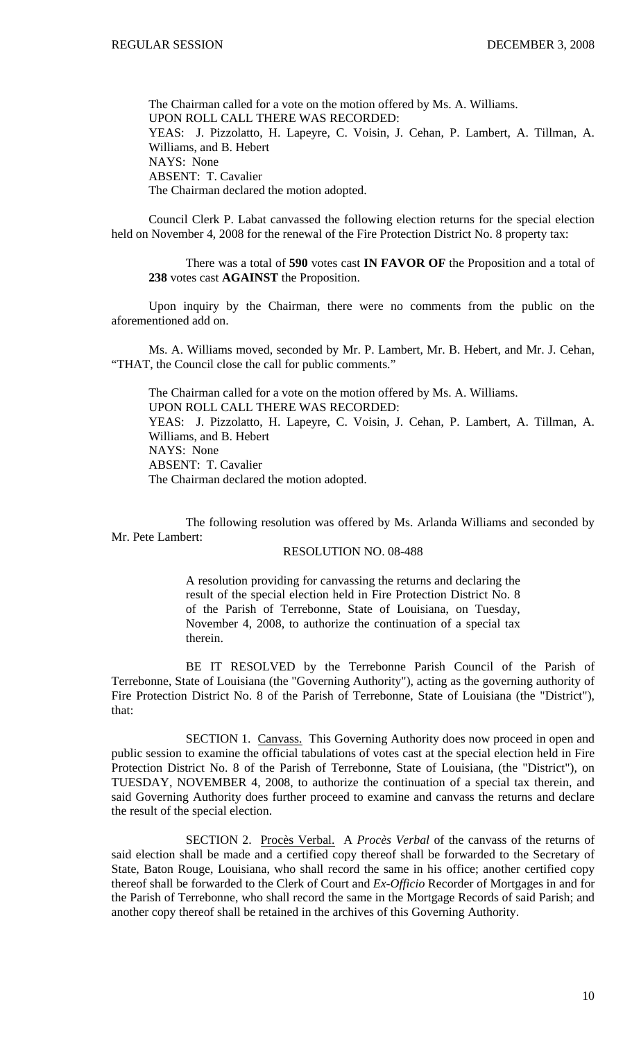The Chairman called for a vote on the motion offered by Ms. A. Williams. UPON ROLL CALL THERE WAS RECORDED: YEAS: J. Pizzolatto, H. Lapeyre, C. Voisin, J. Cehan, P. Lambert, A. Tillman, A. Williams, and B. Hebert NAYS: None ABSENT: T. Cavalier The Chairman declared the motion adopted.

 Council Clerk P. Labat canvassed the following election returns for the special election held on November 4, 2008 for the renewal of the Fire Protection District No. 8 property tax:

There was a total of **590** votes cast **IN FAVOR OF** the Proposition and a total of **238** votes cast **AGAINST** the Proposition.

 Upon inquiry by the Chairman, there were no comments from the public on the aforementioned add on.

 Ms. A. Williams moved, seconded by Mr. P. Lambert, Mr. B. Hebert, and Mr. J. Cehan, "THAT, the Council close the call for public comments."

 The Chairman called for a vote on the motion offered by Ms. A. Williams. UPON ROLL CALL THERE WAS RECORDED: YEAS: J. Pizzolatto, H. Lapeyre, C. Voisin, J. Cehan, P. Lambert, A. Tillman, A. Williams, and B. Hebert NAYS: None ABSENT: T. Cavalier The Chairman declared the motion adopted.

The following resolution was offered by Ms. Arlanda Williams and seconded by Mr. Pete Lambert:

## RESOLUTION NO. 08-488

A resolution providing for canvassing the returns and declaring the result of the special election held in Fire Protection District No. 8 of the Parish of Terrebonne, State of Louisiana, on Tuesday, November 4, 2008, to authorize the continuation of a special tax therein.

BE IT RESOLVED by the Terrebonne Parish Council of the Parish of Terrebonne, State of Louisiana (the "Governing Authority"), acting as the governing authority of Fire Protection District No. 8 of the Parish of Terrebonne, State of Louisiana (the "District"), that:

SECTION 1. Canvass. This Governing Authority does now proceed in open and public session to examine the official tabulations of votes cast at the special election held in Fire Protection District No. 8 of the Parish of Terrebonne, State of Louisiana, (the "District"), on TUESDAY, NOVEMBER 4, 2008, to authorize the continuation of a special tax therein, and said Governing Authority does further proceed to examine and canvass the returns and declare the result of the special election.

SECTION 2. Procès Verbal. A *Procès Verbal* of the canvass of the returns of said election shall be made and a certified copy thereof shall be forwarded to the Secretary of State, Baton Rouge, Louisiana, who shall record the same in his office; another certified copy thereof shall be forwarded to the Clerk of Court and *Ex-Officio* Recorder of Mortgages in and for the Parish of Terrebonne, who shall record the same in the Mortgage Records of said Parish; and another copy thereof shall be retained in the archives of this Governing Authority.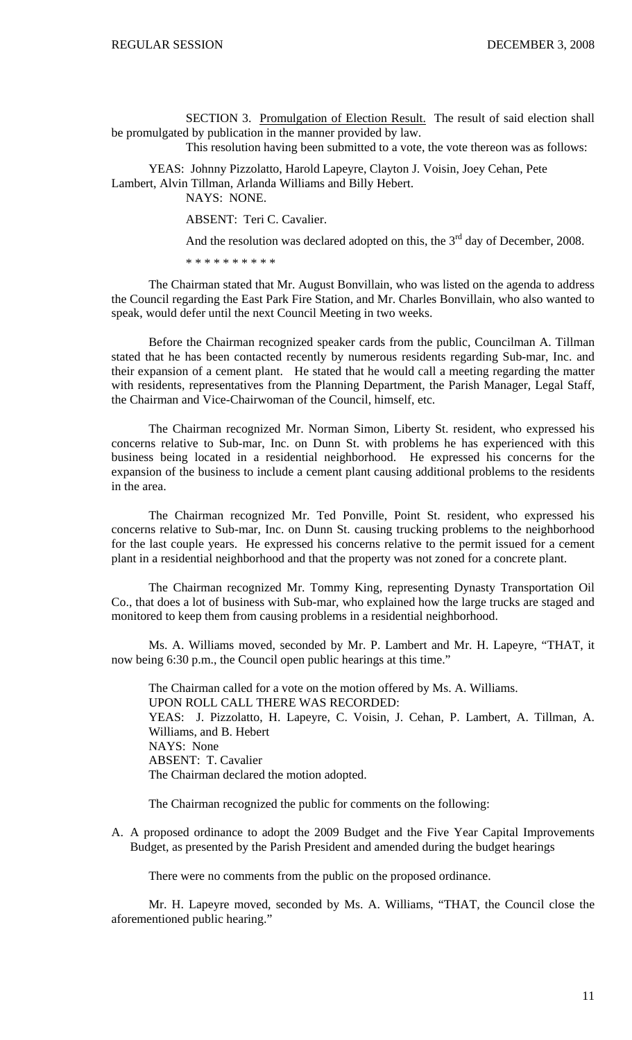SECTION 3. Promulgation of Election Result. The result of said election shall be promulgated by publication in the manner provided by law.

This resolution having been submitted to a vote, the vote thereon was as follows:

YEAS: Johnny Pizzolatto, Harold Lapeyre, Clayton J. Voisin, Joey Cehan, Pete Lambert, Alvin Tillman, Arlanda Williams and Billy Hebert.

NAYS: NONE.

ABSENT: Teri C. Cavalier.

And the resolution was declared adopted on this, the  $3<sup>rd</sup>$  day of December, 2008.

\* \* \* \* \* \* \* \* \* \*

The Chairman stated that Mr. August Bonvillain, who was listed on the agenda to address the Council regarding the East Park Fire Station, and Mr. Charles Bonvillain, who also wanted to speak, would defer until the next Council Meeting in two weeks.

Before the Chairman recognized speaker cards from the public, Councilman A. Tillman stated that he has been contacted recently by numerous residents regarding Sub-mar, Inc. and their expansion of a cement plant. He stated that he would call a meeting regarding the matter with residents, representatives from the Planning Department, the Parish Manager, Legal Staff, the Chairman and Vice-Chairwoman of the Council, himself, etc.

The Chairman recognized Mr. Norman Simon, Liberty St. resident, who expressed his concerns relative to Sub-mar, Inc. on Dunn St. with problems he has experienced with this business being located in a residential neighborhood. He expressed his concerns for the expansion of the business to include a cement plant causing additional problems to the residents in the area.

The Chairman recognized Mr. Ted Ponville, Point St. resident, who expressed his concerns relative to Sub-mar, Inc. on Dunn St. causing trucking problems to the neighborhood for the last couple years. He expressed his concerns relative to the permit issued for a cement plant in a residential neighborhood and that the property was not zoned for a concrete plant.

The Chairman recognized Mr. Tommy King, representing Dynasty Transportation Oil Co., that does a lot of business with Sub-mar, who explained how the large trucks are staged and monitored to keep them from causing problems in a residential neighborhood.

 Ms. A. Williams moved, seconded by Mr. P. Lambert and Mr. H. Lapeyre, "THAT, it now being 6:30 p.m., the Council open public hearings at this time."

 The Chairman called for a vote on the motion offered by Ms. A. Williams. UPON ROLL CALL THERE WAS RECORDED: YEAS: J. Pizzolatto, H. Lapeyre, C. Voisin, J. Cehan, P. Lambert, A. Tillman, A. Williams, and B. Hebert NAYS: None ABSENT: T. Cavalier The Chairman declared the motion adopted.

The Chairman recognized the public for comments on the following:

A. A proposed ordinance to adopt the 2009 Budget and the Five Year Capital Improvements Budget, as presented by the Parish President and amended during the budget hearings

There were no comments from the public on the proposed ordinance.

 Mr. H. Lapeyre moved, seconded by Ms. A. Williams, "THAT, the Council close the aforementioned public hearing."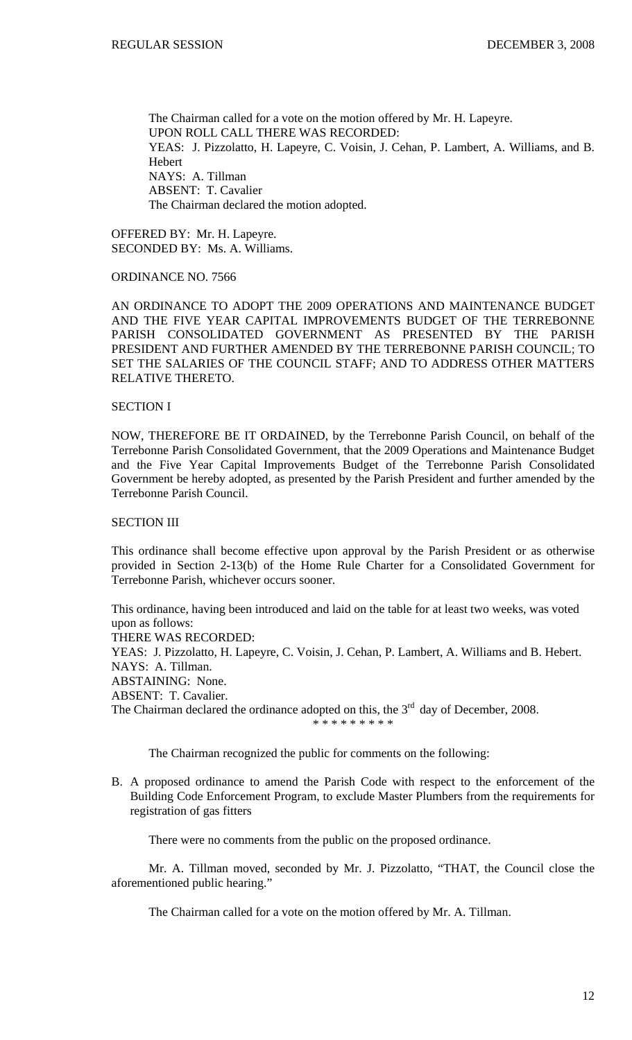The Chairman called for a vote on the motion offered by Mr. H. Lapeyre. UPON ROLL CALL THERE WAS RECORDED: YEAS: J. Pizzolatto, H. Lapeyre, C. Voisin, J. Cehan, P. Lambert, A. Williams, and B. Hebert NAYS: A. Tillman ABSENT: T. Cavalier The Chairman declared the motion adopted.

OFFERED BY: Mr. H. Lapeyre. SECONDED BY: Ms. A. Williams.

### ORDINANCE NO. 7566

AN ORDINANCE TO ADOPT THE 2009 OPERATIONS AND MAINTENANCE BUDGET AND THE FIVE YEAR CAPITAL IMPROVEMENTS BUDGET OF THE TERREBONNE PARISH CONSOLIDATED GOVERNMENT AS PRESENTED BY THE PARISH PRESIDENT AND FURTHER AMENDED BY THE TERREBONNE PARISH COUNCIL; TO SET THE SALARIES OF THE COUNCIL STAFF; AND TO ADDRESS OTHER MATTERS RELATIVE THERETO.

### SECTION I

NOW, THEREFORE BE IT ORDAINED, by the Terrebonne Parish Council, on behalf of the Terrebonne Parish Consolidated Government, that the 2009 Operations and Maintenance Budget and the Five Year Capital Improvements Budget of the Terrebonne Parish Consolidated Government be hereby adopted, as presented by the Parish President and further amended by the Terrebonne Parish Council.

# SECTION III

This ordinance shall become effective upon approval by the Parish President or as otherwise provided in Section 2-13(b) of the Home Rule Charter for a Consolidated Government for Terrebonne Parish, whichever occurs sooner.

This ordinance, having been introduced and laid on the table for at least two weeks, was voted upon as follows: THERE WAS RECORDED: YEAS: J. Pizzolatto, H. Lapeyre, C. Voisin, J. Cehan, P. Lambert, A. Williams and B. Hebert. NAYS: A. Tillman. ABSTAINING: None. ABSENT: T. Cavalier. The Chairman declared the ordinance adopted on this, the  $3<sup>rd</sup>$  day of December, 2008. \* \* \* \* \* \* \* \* \*

The Chairman recognized the public for comments on the following:

B. A proposed ordinance to amend the Parish Code with respect to the enforcement of the Building Code Enforcement Program, to exclude Master Plumbers from the requirements for registration of gas fitters

There were no comments from the public on the proposed ordinance.

 Mr. A. Tillman moved, seconded by Mr. J. Pizzolatto, "THAT, the Council close the aforementioned public hearing."

The Chairman called for a vote on the motion offered by Mr. A. Tillman.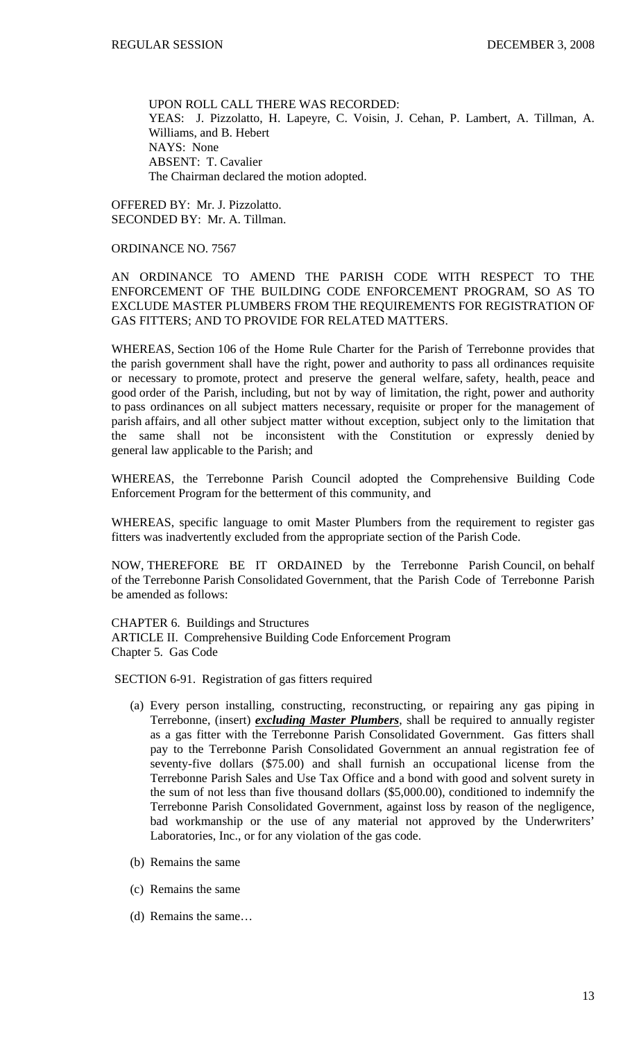UPON ROLL CALL THERE WAS RECORDED: YEAS: J. Pizzolatto, H. Lapeyre, C. Voisin, J. Cehan, P. Lambert, A. Tillman, A. Williams, and B. Hebert NAYS: None ABSENT: T. Cavalier The Chairman declared the motion adopted.

OFFERED BY: Mr. J. Pizzolatto. SECONDED BY: Mr. A. Tillman.

# ORDINANCE NO. 7567

AN ORDINANCE TO AMEND THE PARISH CODE WITH RESPECT TO THE ENFORCEMENT OF THE BUILDING CODE ENFORCEMENT PROGRAM, SO AS TO EXCLUDE MASTER PLUMBERS FROM THE REQUIREMENTS FOR REGISTRATION OF GAS FITTERS; AND TO PROVIDE FOR RELATED MATTERS.

WHEREAS, Section 106 of the Home Rule Charter for the Parish of Terrebonne provides that the parish government shall have the right, power and authority to pass all ordinances requisite or necessary to promote, protect and preserve the general welfare, safety, health, peace and good order of the Parish, including, but not by way of limitation, the right, power and authority to pass ordinances on all subject matters necessary, requisite or proper for the management of parish affairs, and all other subject matter without exception, subject only to the limitation that the same shall not be inconsistent with the Constitution or expressly denied by general law applicable to the Parish; and

WHEREAS, the Terrebonne Parish Council adopted the Comprehensive Building Code Enforcement Program for the betterment of this community, and

WHEREAS, specific language to omit Master Plumbers from the requirement to register gas fitters was inadvertently excluded from the appropriate section of the Parish Code.

NOW, THEREFORE BE IT ORDAINED by the Terrebonne Parish Council, on behalf of the Terrebonne Parish Consolidated Government, that the Parish Code of Terrebonne Parish be amended as follows:

CHAPTER 6. Buildings and Structures ARTICLE II. Comprehensive Building Code Enforcement Program Chapter 5. Gas Code

SECTION 6-91. Registration of gas fitters required

- (a) Every person installing, constructing, reconstructing, or repairing any gas piping in Terrebonne, (insert) *excluding Master Plumbers*, shall be required to annually register as a gas fitter with the Terrebonne Parish Consolidated Government. Gas fitters shall pay to the Terrebonne Parish Consolidated Government an annual registration fee of seventy-five dollars (\$75.00) and shall furnish an occupational license from the Terrebonne Parish Sales and Use Tax Office and a bond with good and solvent surety in the sum of not less than five thousand dollars (\$5,000.00), conditioned to indemnify the Terrebonne Parish Consolidated Government, against loss by reason of the negligence, bad workmanship or the use of any material not approved by the Underwriters' Laboratories, Inc., or for any violation of the gas code.
- (b) Remains the same
- (c) Remains the same
- (d) Remains the same…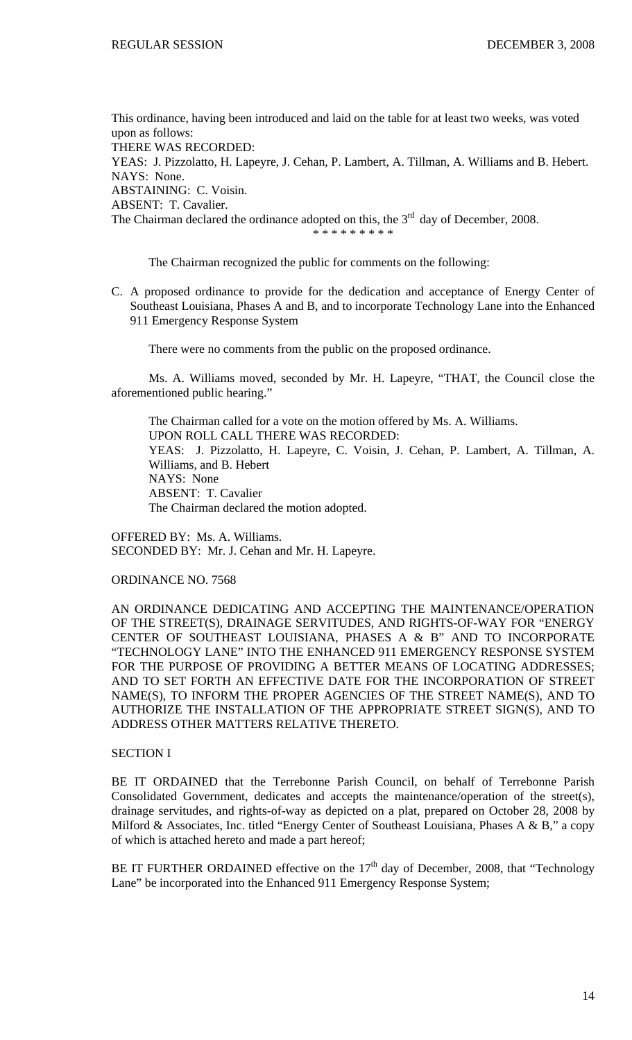This ordinance, having been introduced and laid on the table for at least two weeks, was voted upon as follows:

THERE WAS RECORDED:

YEAS: J. Pizzolatto, H. Lapeyre, J. Cehan, P. Lambert, A. Tillman, A. Williams and B. Hebert. NAYS: None.

ABSTAINING: C. Voisin.

ABSENT: T. Cavalier.

The Chairman declared the ordinance adopted on this, the  $3<sup>rd</sup>$  day of December, 2008.

\* \* \* \* \* \* \* \* \*

The Chairman recognized the public for comments on the following:

C. A proposed ordinance to provide for the dedication and acceptance of Energy Center of Southeast Louisiana, Phases A and B, and to incorporate Technology Lane into the Enhanced 911 Emergency Response System

There were no comments from the public on the proposed ordinance.

 Ms. A. Williams moved, seconded by Mr. H. Lapeyre, "THAT, the Council close the aforementioned public hearing."

 The Chairman called for a vote on the motion offered by Ms. A. Williams. UPON ROLL CALL THERE WAS RECORDED: YEAS: J. Pizzolatto, H. Lapeyre, C. Voisin, J. Cehan, P. Lambert, A. Tillman, A. Williams, and B. Hebert NAYS: None ABSENT: T. Cavalier The Chairman declared the motion adopted.

OFFERED BY: Ms. A. Williams. SECONDED BY: Mr. J. Cehan and Mr. H. Lapeyre.

ORDINANCE NO. 7568

AN ORDINANCE DEDICATING AND ACCEPTING THE MAINTENANCE/OPERATION OF THE STREET(S), DRAINAGE SERVITUDES, AND RIGHTS-OF-WAY FOR "ENERGY CENTER OF SOUTHEAST LOUISIANA, PHASES A & B" AND TO INCORPORATE "TECHNOLOGY LANE" INTO THE ENHANCED 911 EMERGENCY RESPONSE SYSTEM FOR THE PURPOSE OF PROVIDING A BETTER MEANS OF LOCATING ADDRESSES; AND TO SET FORTH AN EFFECTIVE DATE FOR THE INCORPORATION OF STREET NAME(S), TO INFORM THE PROPER AGENCIES OF THE STREET NAME(S), AND TO AUTHORIZE THE INSTALLATION OF THE APPROPRIATE STREET SIGN(S), AND TO ADDRESS OTHER MATTERS RELATIVE THERETO.

### SECTION I

BE IT ORDAINED that the Terrebonne Parish Council, on behalf of Terrebonne Parish Consolidated Government, dedicates and accepts the maintenance/operation of the street(s), drainage servitudes, and rights-of-way as depicted on a plat, prepared on October 28, 2008 by Milford & Associates, Inc. titled "Energy Center of Southeast Louisiana, Phases A & B," a copy of which is attached hereto and made a part hereof;

BE IT FURTHER ORDAINED effective on the  $17<sup>th</sup>$  day of December, 2008, that "Technology Lane" be incorporated into the Enhanced 911 Emergency Response System;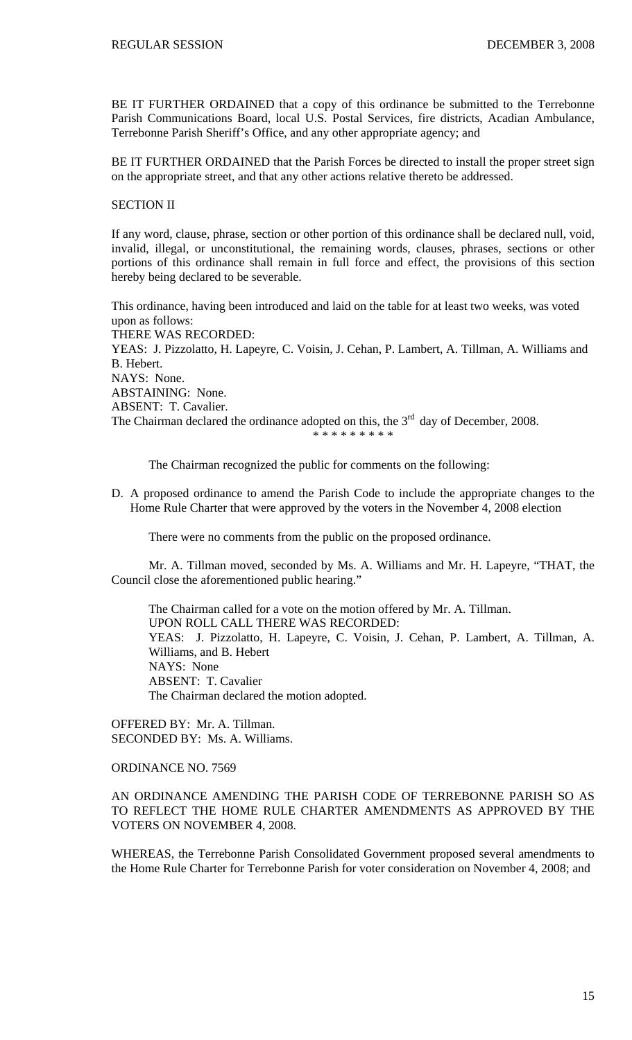BE IT FURTHER ORDAINED that a copy of this ordinance be submitted to the Terrebonne Parish Communications Board, local U.S. Postal Services, fire districts, Acadian Ambulance, Terrebonne Parish Sheriff's Office, and any other appropriate agency; and

BE IT FURTHER ORDAINED that the Parish Forces be directed to install the proper street sign on the appropriate street, and that any other actions relative thereto be addressed.

SECTION II

If any word, clause, phrase, section or other portion of this ordinance shall be declared null, void, invalid, illegal, or unconstitutional, the remaining words, clauses, phrases, sections or other portions of this ordinance shall remain in full force and effect, the provisions of this section hereby being declared to be severable.

This ordinance, having been introduced and laid on the table for at least two weeks, was voted upon as follows: THERE WAS RECORDED: YEAS: J. Pizzolatto, H. Lapeyre, C. Voisin, J. Cehan, P. Lambert, A. Tillman, A. Williams and B. Hebert. NAYS: None. ABSTAINING: None. ABSENT: T. Cavalier. The Chairman declared the ordinance adopted on this, the  $3<sup>rd</sup>$  day of December, 2008. \* \* \* \* \* \* \* \*

The Chairman recognized the public for comments on the following:

D. A proposed ordinance to amend the Parish Code to include the appropriate changes to the Home Rule Charter that were approved by the voters in the November 4, 2008 election

There were no comments from the public on the proposed ordinance.

 Mr. A. Tillman moved, seconded by Ms. A. Williams and Mr. H. Lapeyre, "THAT, the Council close the aforementioned public hearing."

 The Chairman called for a vote on the motion offered by Mr. A. Tillman. UPON ROLL CALL THERE WAS RECORDED: YEAS: J. Pizzolatto, H. Lapeyre, C. Voisin, J. Cehan, P. Lambert, A. Tillman, A. Williams, and B. Hebert NAYS: None ABSENT: T. Cavalier The Chairman declared the motion adopted.

OFFERED BY: Mr. A. Tillman. SECONDED BY: Ms. A. Williams.

ORDINANCE NO. 7569

AN ORDINANCE AMENDING THE PARISH CODE OF TERREBONNE PARISH SO AS TO REFLECT THE HOME RULE CHARTER AMENDMENTS AS APPROVED BY THE VOTERS ON NOVEMBER 4, 2008.

WHEREAS, the Terrebonne Parish Consolidated Government proposed several amendments to the Home Rule Charter for Terrebonne Parish for voter consideration on November 4, 2008; and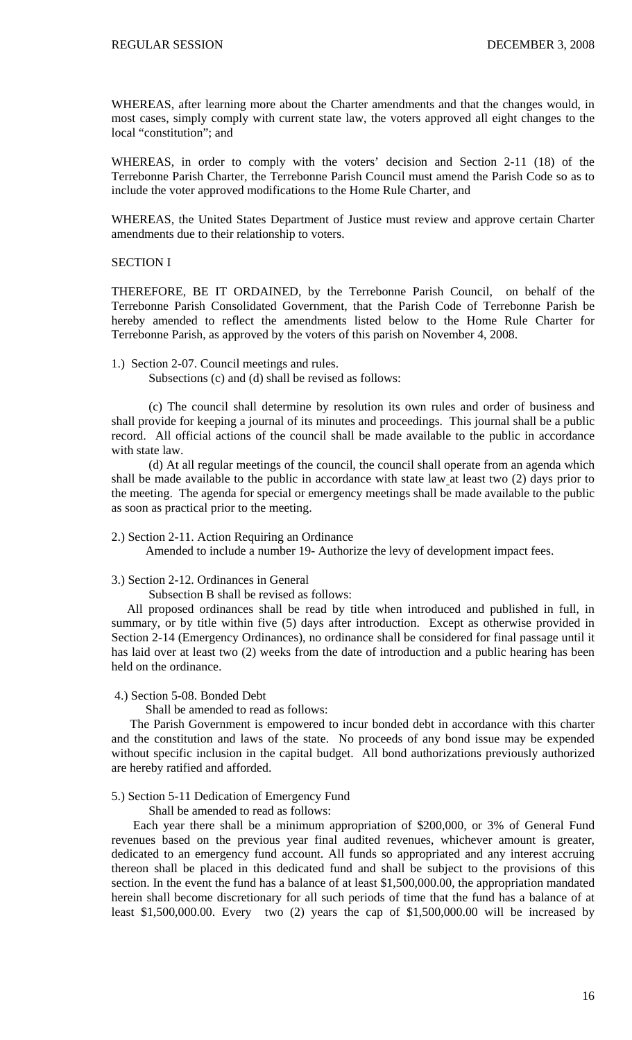WHEREAS, after learning more about the Charter amendments and that the changes would, in most cases, simply comply with current state law, the voters approved all eight changes to the local "constitution"; and

WHEREAS, in order to comply with the voters' decision and Section 2-11 (18) of the Terrebonne Parish Charter, the Terrebonne Parish Council must amend the Parish Code so as to include the voter approved modifications to the Home Rule Charter, and

WHEREAS, the United States Department of Justice must review and approve certain Charter amendments due to their relationship to voters.

## SECTION I

THEREFORE, BE IT ORDAINED, by the Terrebonne Parish Council, on behalf of the Terrebonne Parish Consolidated Government, that the Parish Code of Terrebonne Parish be hereby amended to reflect the amendments listed below to the Home Rule Charter for Terrebonne Parish, as approved by the voters of this parish on November 4, 2008.

#### 1.) Section 2-07. Council meetings and rules.

Subsections (c) and (d) shall be revised as follows:

 (c) The council shall determine by resolution its own rules and order of business and shall provide for keeping a journal of its minutes and proceedings. This journal shall be a public record. All official actions of the council shall be made available to the public in accordance with state law.

 (d) At all regular meetings of the council, the council shall operate from an agenda which shall be made available to the public in accordance with state law at least two (2) days prior to the meeting. The agenda for special or emergency meetings shall be made available to the public as soon as practical prior to the meeting.

#### 2.) Section 2-11. Action Requiring an Ordinance

Amended to include a number 19- Authorize the levy of development impact fees.

## 3.) Section 2-12. Ordinances in General

Subsection B shall be revised as follows:

 All proposed ordinances shall be read by title when introduced and published in full, in summary, or by title within five (5) days after introduction. Except as otherwise provided in Section 2-14 (Emergency Ordinances), no ordinance shall be considered for final passage until it has laid over at least two (2) weeks from the date of introduction and a public hearing has been held on the ordinance.

#### 4.) Section 5-08. Bonded Debt

#### Shall be amended to read as follows:

 The Parish Government is empowered to incur bonded debt in accordance with this charter and the constitution and laws of the state. No proceeds of any bond issue may be expended without specific inclusion in the capital budget. All bond authorizations previously authorized are hereby ratified and afforded.

### 5.) Section 5-11 Dedication of Emergency Fund

Shall be amended to read as follows:

 Each year there shall be a minimum appropriation of \$200,000, or 3% of General Fund revenues based on the previous year final audited revenues, whichever amount is greater, dedicated to an emergency fund account. All funds so appropriated and any interest accruing thereon shall be placed in this dedicated fund and shall be subject to the provisions of this section. In the event the fund has a balance of at least \$1,500,000.00, the appropriation mandated herein shall become discretionary for all such periods of time that the fund has a balance of at least \$1,500,000.00. Every two (2) years the cap of \$1,500,000.00 will be increased by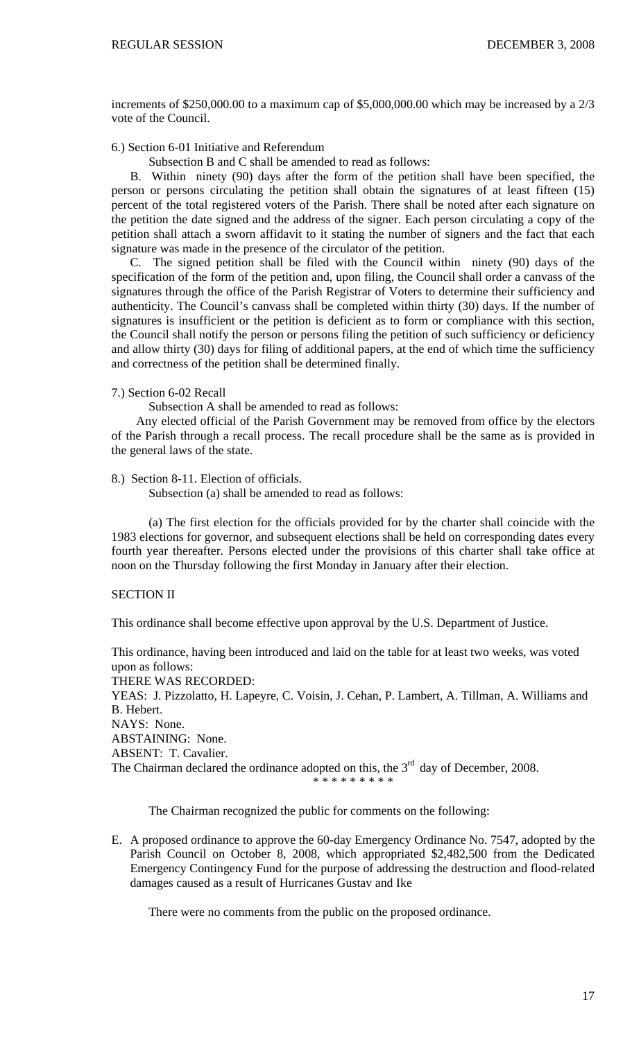increments of \$250,000.00 to a maximum cap of \$5,000,000.00 which may be increased by a 2/3 vote of the Council.

6.) Section 6-01 Initiative and Referendum

Subsection B and C shall be amended to read as follows:

 B. Within ninety (90) days after the form of the petition shall have been specified, the person or persons circulating the petition shall obtain the signatures of at least fifteen (15) percent of the total registered voters of the Parish. There shall be noted after each signature on the petition the date signed and the address of the signer. Each person circulating a copy of the petition shall attach a sworn affidavit to it stating the number of signers and the fact that each signature was made in the presence of the circulator of the petition.

 C. The signed petition shall be filed with the Council within ninety (90) days of the specification of the form of the petition and, upon filing, the Council shall order a canvass of the signatures through the office of the Parish Registrar of Voters to determine their sufficiency and authenticity. The Council's canvass shall be completed within thirty (30) days. If the number of signatures is insufficient or the petition is deficient as to form or compliance with this section, the Council shall notify the person or persons filing the petition of such sufficiency or deficiency and allow thirty (30) days for filing of additional papers, at the end of which time the sufficiency and correctness of the petition shall be determined finally.

## 7.) Section 6-02 Recall

Subsection A shall be amended to read as follows:

 Any elected official of the Parish Government may be removed from office by the electors of the Parish through a recall process. The recall procedure shall be the same as is provided in the general laws of the state.

# 8.) Section 8-11. Election of officials.

Subsection (a) shall be amended to read as follows:

 (a) The first election for the officials provided for by the charter shall coincide with the 1983 elections for governor, and subsequent elections shall be held on corresponding dates every fourth year thereafter. Persons elected under the provisions of this charter shall take office at noon on the Thursday following the first Monday in January after their election.

# SECTION II

This ordinance shall become effective upon approval by the U.S. Department of Justice.

This ordinance, having been introduced and laid on the table for at least two weeks, was voted upon as follows:

THERE WAS RECORDED:

YEAS: J. Pizzolatto, H. Lapeyre, C. Voisin, J. Cehan, P. Lambert, A. Tillman, A. Williams and B. Hebert. NAYS: None. ABSTAINING: None. ABSENT: T. Cavalier. The Chairman declared the ordinance adopted on this, the  $3<sup>rd</sup>$  day of December, 2008.

\* \* \* \* \* \* \* \* \*

The Chairman recognized the public for comments on the following:

E. A proposed ordinance to approve the 60-day Emergency Ordinance No. 7547, adopted by the Parish Council on October 8, 2008, which appropriated \$2,482,500 from the Dedicated Emergency Contingency Fund for the purpose of addressing the destruction and flood-related damages caused as a result of Hurricanes Gustav and Ike

There were no comments from the public on the proposed ordinance.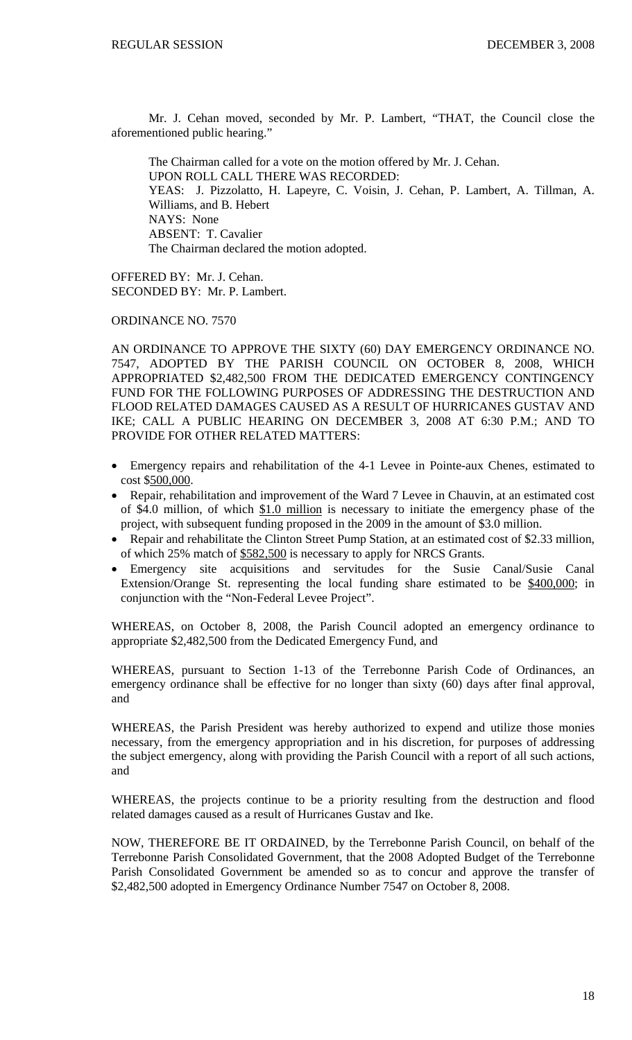Mr. J. Cehan moved, seconded by Mr. P. Lambert, "THAT, the Council close the aforementioned public hearing."

 The Chairman called for a vote on the motion offered by Mr. J. Cehan. UPON ROLL CALL THERE WAS RECORDED: YEAS: J. Pizzolatto, H. Lapeyre, C. Voisin, J. Cehan, P. Lambert, A. Tillman, A. Williams, and B. Hebert NAYS: None ABSENT: T. Cavalier The Chairman declared the motion adopted.

OFFERED BY: Mr. J. Cehan. SECONDED BY: Mr. P. Lambert.

ORDINANCE NO. 7570

AN ORDINANCE TO APPROVE THE SIXTY (60) DAY EMERGENCY ORDINANCE NO. 7547, ADOPTED BY THE PARISH COUNCIL ON OCTOBER 8, 2008, WHICH APPROPRIATED \$2,482,500 FROM THE DEDICATED EMERGENCY CONTINGENCY FUND FOR THE FOLLOWING PURPOSES OF ADDRESSING THE DESTRUCTION AND FLOOD RELATED DAMAGES CAUSED AS A RESULT OF HURRICANES GUSTAV AND IKE; CALL A PUBLIC HEARING ON DECEMBER 3, 2008 AT 6:30 P.M.; AND TO PROVIDE FOR OTHER RELATED MATTERS:

- Emergency repairs and rehabilitation of the 4-1 Levee in Pointe-aux Chenes, estimated to cost \$500,000.
- Repair, rehabilitation and improvement of the Ward 7 Levee in Chauvin, at an estimated cost of \$4.0 million, of which \$1.0 million is necessary to initiate the emergency phase of the project, with subsequent funding proposed in the 2009 in the amount of \$3.0 million.
- Repair and rehabilitate the Clinton Street Pump Station, at an estimated cost of \$2.33 million, of which 25% match of \$582,500 is necessary to apply for NRCS Grants.
- Emergency site acquisitions and servitudes for the Susie Canal/Susie Canal Extension/Orange St. representing the local funding share estimated to be \$400,000; in conjunction with the "Non-Federal Levee Project".

WHEREAS, on October 8, 2008, the Parish Council adopted an emergency ordinance to appropriate \$2,482,500 from the Dedicated Emergency Fund, and

WHEREAS, pursuant to Section 1-13 of the Terrebonne Parish Code of Ordinances, an emergency ordinance shall be effective for no longer than sixty (60) days after final approval, and

WHEREAS, the Parish President was hereby authorized to expend and utilize those monies necessary, from the emergency appropriation and in his discretion, for purposes of addressing the subject emergency, along with providing the Parish Council with a report of all such actions, and

WHEREAS, the projects continue to be a priority resulting from the destruction and flood related damages caused as a result of Hurricanes Gustav and Ike.

NOW, THEREFORE BE IT ORDAINED, by the Terrebonne Parish Council, on behalf of the Terrebonne Parish Consolidated Government, that the 2008 Adopted Budget of the Terrebonne Parish Consolidated Government be amended so as to concur and approve the transfer of \$2,482,500 adopted in Emergency Ordinance Number 7547 on October 8, 2008.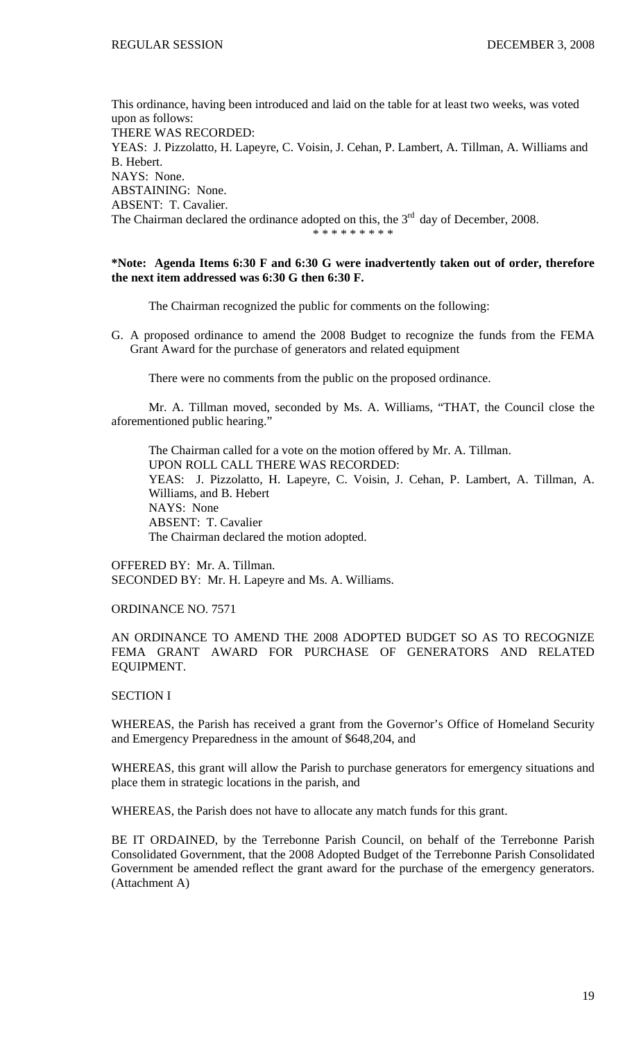This ordinance, having been introduced and laid on the table for at least two weeks, was voted upon as follows: THERE WAS RECORDED: YEAS: J. Pizzolatto, H. Lapeyre, C. Voisin, J. Cehan, P. Lambert, A. Tillman, A. Williams and B. Hebert. NAYS: None. ABSTAINING: None. ABSENT: T. Cavalier. The Chairman declared the ordinance adopted on this, the  $3<sup>rd</sup>$  day of December, 2008. \* \* \* \* \* \* \* \* \*

## **\*Note: Agenda Items 6:30 F and 6:30 G were inadvertently taken out of order, therefore the next item addressed was 6:30 G then 6:30 F.**

The Chairman recognized the public for comments on the following:

G. A proposed ordinance to amend the 2008 Budget to recognize the funds from the FEMA Grant Award for the purchase of generators and related equipment

There were no comments from the public on the proposed ordinance.

 Mr. A. Tillman moved, seconded by Ms. A. Williams, "THAT, the Council close the aforementioned public hearing."

 The Chairman called for a vote on the motion offered by Mr. A. Tillman. UPON ROLL CALL THERE WAS RECORDED: YEAS: J. Pizzolatto, H. Lapeyre, C. Voisin, J. Cehan, P. Lambert, A. Tillman, A. Williams, and B. Hebert NAYS: None ABSENT: T. Cavalier The Chairman declared the motion adopted.

OFFERED BY: Mr. A. Tillman. SECONDED BY: Mr. H. Lapeyre and Ms. A. Williams.

# ORDINANCE NO. 7571

# AN ORDINANCE TO AMEND THE 2008 ADOPTED BUDGET SO AS TO RECOGNIZE FEMA GRANT AWARD FOR PURCHASE OF GENERATORS AND RELATED EQUIPMENT.

#### SECTION I

WHEREAS, the Parish has received a grant from the Governor's Office of Homeland Security and Emergency Preparedness in the amount of \$648,204, and

WHEREAS, this grant will allow the Parish to purchase generators for emergency situations and place them in strategic locations in the parish, and

WHEREAS, the Parish does not have to allocate any match funds for this grant.

BE IT ORDAINED, by the Terrebonne Parish Council, on behalf of the Terrebonne Parish Consolidated Government, that the 2008 Adopted Budget of the Terrebonne Parish Consolidated Government be amended reflect the grant award for the purchase of the emergency generators. (Attachment A)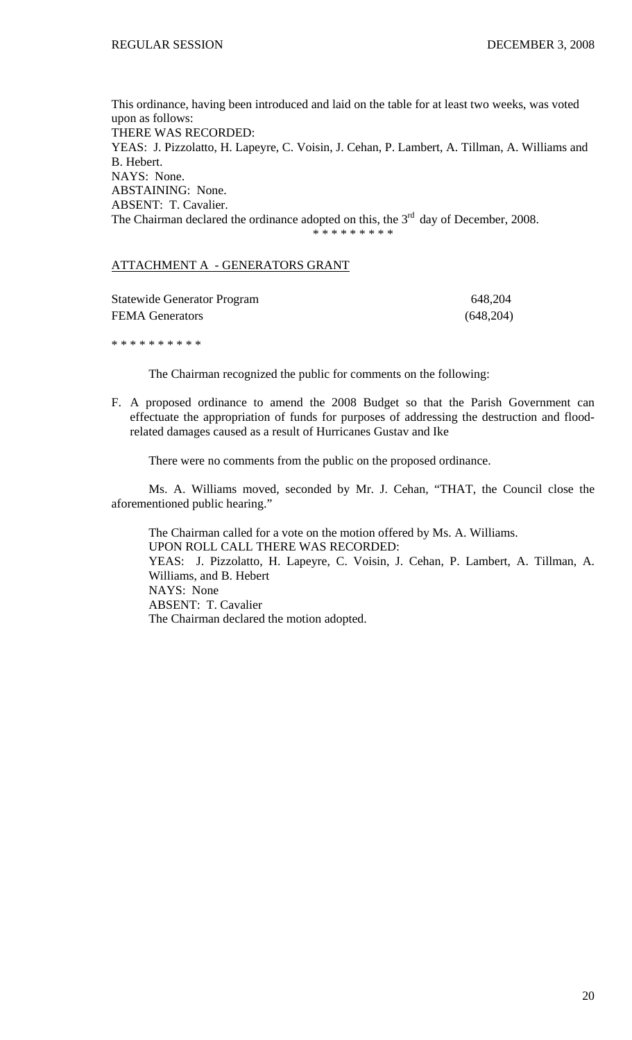This ordinance, having been introduced and laid on the table for at least two weeks, was voted upon as follows: THERE WAS RECORDED: YEAS: J. Pizzolatto, H. Lapeyre, C. Voisin, J. Cehan, P. Lambert, A. Tillman, A. Williams and B. Hebert. NAYS: None. ABSTAINING: None. ABSENT: T. Cavalier. The Chairman declared the ordinance adopted on this, the  $3<sup>rd</sup>$  day of December, 2008. \* \* \* \* \* \* \* \* \*

# ATTACHMENT A - GENERATORS GRANT

| <b>Statewide Generator Program</b> | 648,204   |
|------------------------------------|-----------|
| <b>FEMA Generators</b>             | (648,204) |
|                                    |           |

\* \* \* \* \* \* \* \* \* \*

The Chairman recognized the public for comments on the following:

F. A proposed ordinance to amend the 2008 Budget so that the Parish Government can effectuate the appropriation of funds for purposes of addressing the destruction and floodrelated damages caused as a result of Hurricanes Gustav and Ike

There were no comments from the public on the proposed ordinance.

 Ms. A. Williams moved, seconded by Mr. J. Cehan, "THAT, the Council close the aforementioned public hearing."

 The Chairman called for a vote on the motion offered by Ms. A. Williams. UPON ROLL CALL THERE WAS RECORDED: YEAS: J. Pizzolatto, H. Lapeyre, C. Voisin, J. Cehan, P. Lambert, A. Tillman, A. Williams, and B. Hebert NAYS: None ABSENT: T. Cavalier The Chairman declared the motion adopted.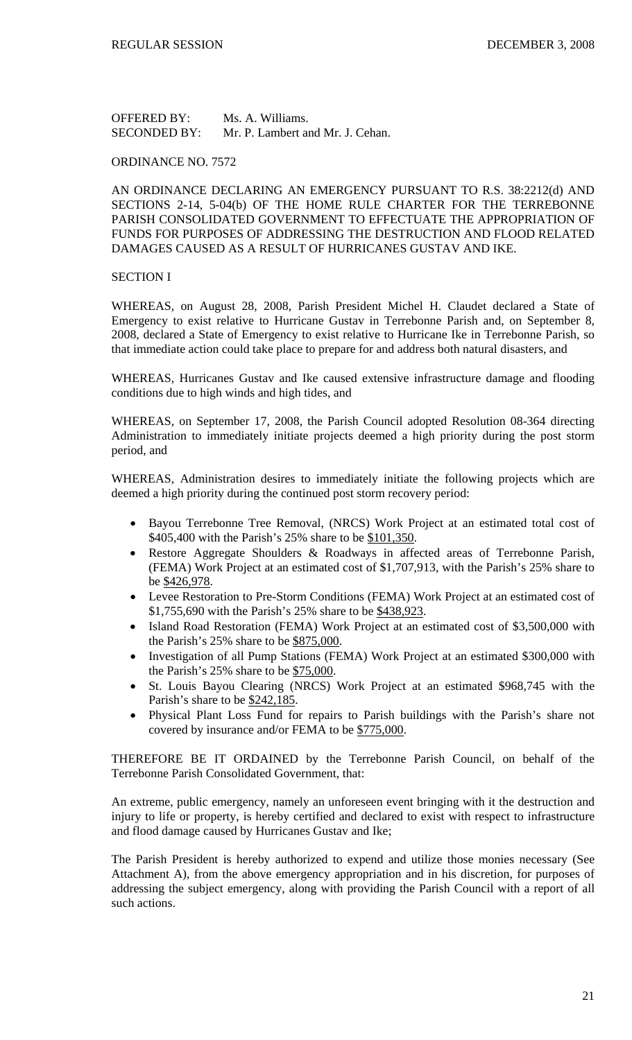OFFERED BY: Ms. A. Williams. SECONDED BY: Mr. P. Lambert and Mr. J. Cehan.

ORDINANCE NO. 7572

AN ORDINANCE DECLARING AN EMERGENCY PURSUANT TO R.S. 38:2212(d) AND SECTIONS 2-14, 5-04(b) OF THE HOME RULE CHARTER FOR THE TERREBONNE PARISH CONSOLIDATED GOVERNMENT TO EFFECTUATE THE APPROPRIATION OF FUNDS FOR PURPOSES OF ADDRESSING THE DESTRUCTION AND FLOOD RELATED DAMAGES CAUSED AS A RESULT OF HURRICANES GUSTAV AND IKE.

### SECTION I

WHEREAS, on August 28, 2008, Parish President Michel H. Claudet declared a State of Emergency to exist relative to Hurricane Gustav in Terrebonne Parish and, on September 8, 2008, declared a State of Emergency to exist relative to Hurricane Ike in Terrebonne Parish, so that immediate action could take place to prepare for and address both natural disasters, and

WHEREAS, Hurricanes Gustav and Ike caused extensive infrastructure damage and flooding conditions due to high winds and high tides, and

WHEREAS, on September 17, 2008, the Parish Council adopted Resolution 08-364 directing Administration to immediately initiate projects deemed a high priority during the post storm period, and

WHEREAS, Administration desires to immediately initiate the following projects which are deemed a high priority during the continued post storm recovery period:

- Bayou Terrebonne Tree Removal, (NRCS) Work Project at an estimated total cost of \$405,400 with the Parish's 25% share to be \$101,350.
- Restore Aggregate Shoulders & Roadways in affected areas of Terrebonne Parish, (FEMA) Work Project at an estimated cost of \$1,707,913, with the Parish's 25% share to be \$426,978.
- Levee Restoration to Pre-Storm Conditions (FEMA) Work Project at an estimated cost of \$1,755,690 with the Parish's 25% share to be \$438,923.
- Island Road Restoration (FEMA) Work Project at an estimated cost of \$3,500,000 with the Parish's 25% share to be \$875,000.
- Investigation of all Pump Stations (FEMA) Work Project at an estimated \$300,000 with the Parish's 25% share to be \$75,000.
- St. Louis Bayou Clearing (NRCS) Work Project at an estimated \$968,745 with the Parish's share to be \$242,185.
- Physical Plant Loss Fund for repairs to Parish buildings with the Parish's share not covered by insurance and/or FEMA to be \$775,000.

THEREFORE BE IT ORDAINED by the Terrebonne Parish Council, on behalf of the Terrebonne Parish Consolidated Government, that:

An extreme, public emergency, namely an unforeseen event bringing with it the destruction and injury to life or property, is hereby certified and declared to exist with respect to infrastructure and flood damage caused by Hurricanes Gustav and Ike;

The Parish President is hereby authorized to expend and utilize those monies necessary (See Attachment A), from the above emergency appropriation and in his discretion, for purposes of addressing the subject emergency, along with providing the Parish Council with a report of all such actions.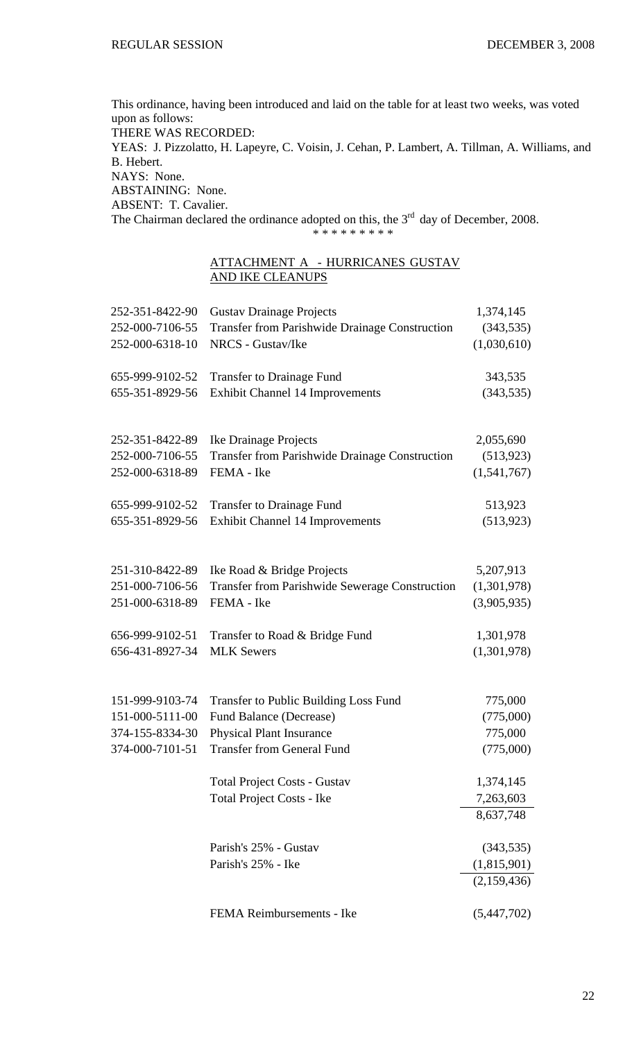This ordinance, having been introduced and laid on the table for at least two weeks, was voted upon as follows: THERE WAS RECORDED: YEAS: J. Pizzolatto, H. Lapeyre, C. Voisin, J. Cehan, P. Lambert, A. Tillman, A. Williams, and B. Hebert. NAYS: None. ABSTAINING: None. ABSENT: T. Cavalier. The Chairman declared the ordinance adopted on this, the  $3<sup>rd</sup>$  day of December, 2008.

\* \* \* \* \* \* \* \* \*

ATTACHMENT A - HURRICANES GUSTAV AND IKE CLEANUPS

| 252-351-8422-90 | <b>Gustav Drainage Projects</b>                                         | 1,374,145                                |
|-----------------|-------------------------------------------------------------------------|------------------------------------------|
| 252-000-7106-55 | <b>Transfer from Parishwide Drainage Construction</b>                   | (343, 535)                               |
| 252-000-6318-10 | NRCS - Gustav/Ike                                                       | (1,030,610)                              |
| 655-999-9102-52 | <b>Transfer to Drainage Fund</b>                                        | 343,535                                  |
| 655-351-8929-56 | <b>Exhibit Channel 14 Improvements</b>                                  | (343, 535)                               |
| 252-351-8422-89 | Ike Drainage Projects                                                   | 2,055,690                                |
| 252-000-7106-55 | <b>Transfer from Parishwide Drainage Construction</b>                   | (513, 923)                               |
| 252-000-6318-89 | FEMA - Ike                                                              | (1,541,767)                              |
| 655-999-9102-52 | <b>Transfer to Drainage Fund</b>                                        | 513,923                                  |
| 655-351-8929-56 | <b>Exhibit Channel 14 Improvements</b>                                  | (513, 923)                               |
| 251-310-8422-89 | Ike Road & Bridge Projects                                              | 5,207,913                                |
| 251-000-7106-56 | <b>Transfer from Parishwide Sewerage Construction</b>                   | (1,301,978)                              |
| 251-000-6318-89 | FEMA - Ike                                                              | (3,905,935)                              |
| 656-999-9102-51 | Transfer to Road & Bridge Fund                                          | 1,301,978                                |
| 656-431-8927-34 | <b>MLK Sewers</b>                                                       | (1,301,978)                              |
| 151-999-9103-74 | Transfer to Public Building Loss Fund                                   | 775,000                                  |
| 151-000-5111-00 | Fund Balance (Decrease)                                                 | (775,000)                                |
| 374-155-8334-30 | <b>Physical Plant Insurance</b>                                         | 775,000                                  |
| 374-000-7101-51 | <b>Transfer from General Fund</b>                                       | (775,000)                                |
|                 | <b>Total Project Costs - Gustav</b><br><b>Total Project Costs - Ike</b> | 1,374,145<br>7,263,603<br>8,637,748      |
|                 | Parish's 25% - Gustav<br>Parish's 25% - Ike                             | (343, 535)<br>(1,815,901)<br>(2,159,436) |
|                 | FEMA Reimbursements - Ike                                               | (5,447,702)                              |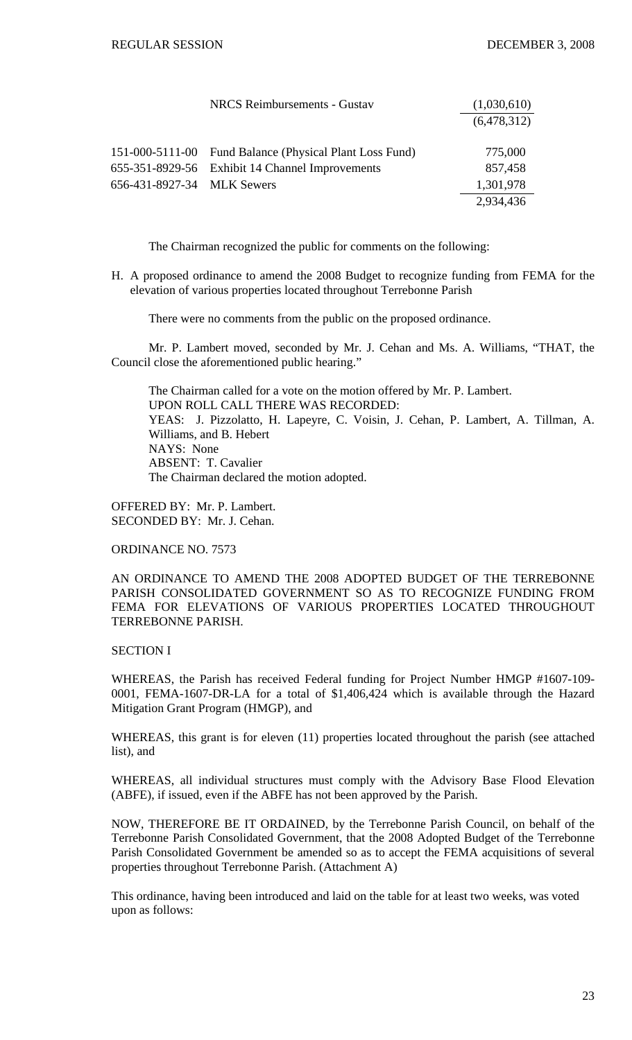|                            | <b>NRCS</b> Reimbursements - Gustav                     | (1,030,610) |
|----------------------------|---------------------------------------------------------|-------------|
|                            |                                                         | (6,478,312) |
|                            | 151-000-5111-00 Fund Balance (Physical Plant Loss Fund) | 775,000     |
|                            | 655-351-8929-56 Exhibit 14 Channel Improvements         | 857,458     |
| 656-431-8927-34 MLK Sewers |                                                         | 1,301,978   |
|                            |                                                         | 2,934,436   |

The Chairman recognized the public for comments on the following:

H. A proposed ordinance to amend the 2008 Budget to recognize funding from FEMA for the elevation of various properties located throughout Terrebonne Parish

There were no comments from the public on the proposed ordinance.

 Mr. P. Lambert moved, seconded by Mr. J. Cehan and Ms. A. Williams, "THAT, the Council close the aforementioned public hearing."

 The Chairman called for a vote on the motion offered by Mr. P. Lambert. UPON ROLL CALL THERE WAS RECORDED: YEAS: J. Pizzolatto, H. Lapeyre, C. Voisin, J. Cehan, P. Lambert, A. Tillman, A. Williams, and B. Hebert NAYS: None ABSENT: T. Cavalier The Chairman declared the motion adopted.

OFFERED BY: Mr. P. Lambert. SECONDED BY: Mr. J. Cehan.

ORDINANCE NO. 7573

AN ORDINANCE TO AMEND THE 2008 ADOPTED BUDGET OF THE TERREBONNE PARISH CONSOLIDATED GOVERNMENT SO AS TO RECOGNIZE FUNDING FROM FEMA FOR ELEVATIONS OF VARIOUS PROPERTIES LOCATED THROUGHOUT TERREBONNE PARISH.

### SECTION I

WHEREAS, the Parish has received Federal funding for Project Number HMGP #1607-109- 0001, FEMA-1607-DR-LA for a total of \$1,406,424 which is available through the Hazard Mitigation Grant Program (HMGP), and

WHEREAS, this grant is for eleven (11) properties located throughout the parish (see attached list), and

WHEREAS, all individual structures must comply with the Advisory Base Flood Elevation (ABFE), if issued, even if the ABFE has not been approved by the Parish.

NOW, THEREFORE BE IT ORDAINED, by the Terrebonne Parish Council, on behalf of the Terrebonne Parish Consolidated Government, that the 2008 Adopted Budget of the Terrebonne Parish Consolidated Government be amended so as to accept the FEMA acquisitions of several properties throughout Terrebonne Parish. (Attachment A)

This ordinance, having been introduced and laid on the table for at least two weeks, was voted upon as follows: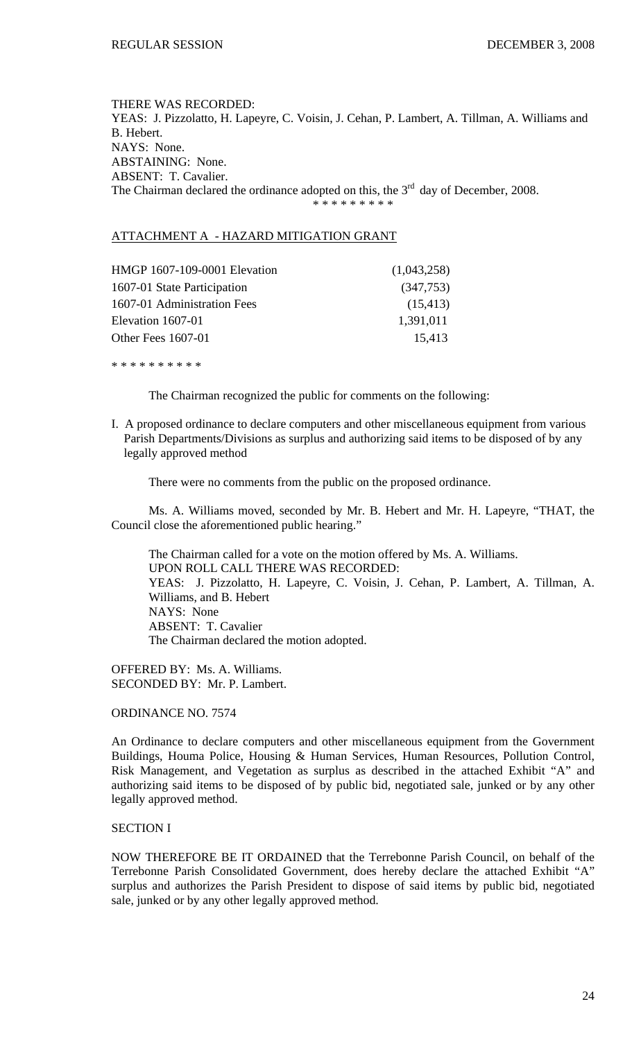THERE WAS RECORDED: YEAS: J. Pizzolatto, H. Lapeyre, C. Voisin, J. Cehan, P. Lambert, A. Tillman, A. Williams and B. Hebert. NAYS: None. ABSTAINING: None. ABSENT: T. Cavalier. The Chairman declared the ordinance adopted on this, the  $3<sup>rd</sup>$  day of December, 2008. \* \* \* \* \* \* \* \*

### ATTACHMENT A - HAZARD MITIGATION GRANT

| HMGP 1607-109-0001 Elevation | (1,043,258) |
|------------------------------|-------------|
| 1607-01 State Participation  | (347,753)   |
| 1607-01 Administration Fees  | (15, 413)   |
| Elevation 1607-01            | 1,391,011   |
| <b>Other Fees 1607-01</b>    | 15,413      |
|                              |             |

\* \* \* \* \* \* \* \* \* \*

The Chairman recognized the public for comments on the following:

I. A proposed ordinance to declare computers and other miscellaneous equipment from various Parish Departments/Divisions as surplus and authorizing said items to be disposed of by any legally approved method

There were no comments from the public on the proposed ordinance.

 Ms. A. Williams moved, seconded by Mr. B. Hebert and Mr. H. Lapeyre, "THAT, the Council close the aforementioned public hearing."

 The Chairman called for a vote on the motion offered by Ms. A. Williams. UPON ROLL CALL THERE WAS RECORDED: YEAS: J. Pizzolatto, H. Lapeyre, C. Voisin, J. Cehan, P. Lambert, A. Tillman, A. Williams, and B. Hebert NAYS: None ABSENT: T. Cavalier The Chairman declared the motion adopted.

OFFERED BY: Ms. A. Williams. SECONDED BY: Mr. P. Lambert.

ORDINANCE NO. 7574

An Ordinance to declare computers and other miscellaneous equipment from the Government Buildings, Houma Police, Housing & Human Services, Human Resources, Pollution Control, Risk Management, and Vegetation as surplus as described in the attached Exhibit "A" and authorizing said items to be disposed of by public bid, negotiated sale, junked or by any other legally approved method.

### SECTION I

NOW THEREFORE BE IT ORDAINED that the Terrebonne Parish Council, on behalf of the Terrebonne Parish Consolidated Government, does hereby declare the attached Exhibit "A" surplus and authorizes the Parish President to dispose of said items by public bid, negotiated sale, junked or by any other legally approved method.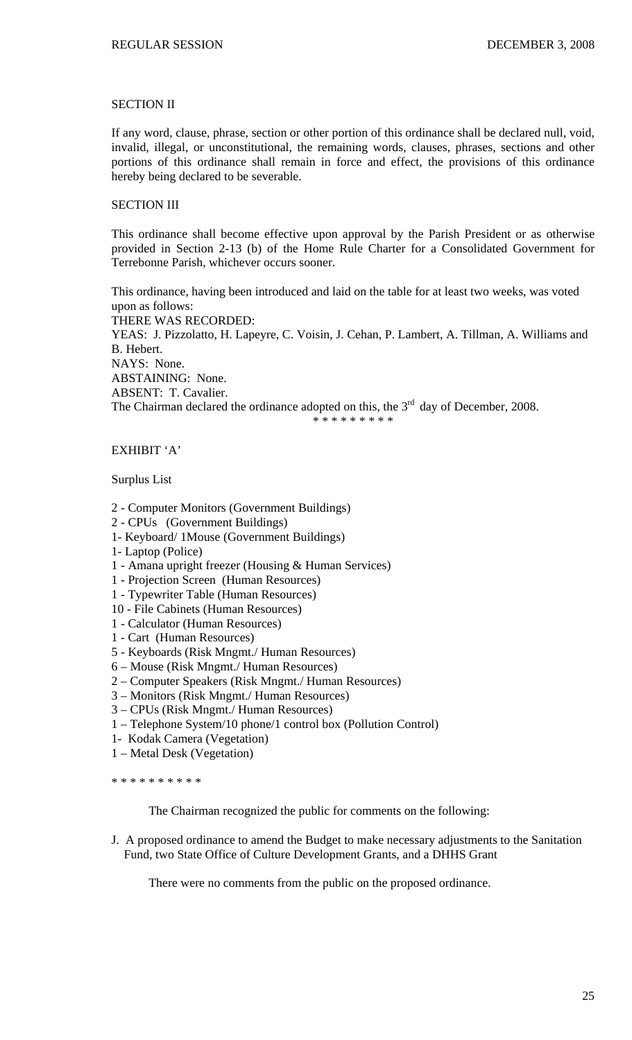## SECTION II

If any word, clause, phrase, section or other portion of this ordinance shall be declared null, void, invalid, illegal, or unconstitutional, the remaining words, clauses, phrases, sections and other portions of this ordinance shall remain in force and effect, the provisions of this ordinance hereby being declared to be severable.

## SECTION III

This ordinance shall become effective upon approval by the Parish President or as otherwise provided in Section 2-13 (b) of the Home Rule Charter for a Consolidated Government for Terrebonne Parish, whichever occurs sooner.

This ordinance, having been introduced and laid on the table for at least two weeks, was voted upon as follows: THERE WAS RECORDED: YEAS: J. Pizzolatto, H. Lapeyre, C. Voisin, J. Cehan, P. Lambert, A. Tillman, A. Williams and B. Hebert. NAYS: None. ABSTAINING: None. ABSENT: T. Cavalier. The Chairman declared the ordinance adopted on this, the  $3<sup>rd</sup>$  day of December, 2008. \* \* \* \* \* \* \* \* \*

## EXHIBIT 'A'

### Surplus List

- 2 Computer Monitors (Government Buildings)
- 2 CPUs (Government Buildings)
- 1- Keyboard/ 1Mouse (Government Buildings)
- 1- Laptop (Police)
- 1 Amana upright freezer (Housing & Human Services)
- 1 Projection Screen (Human Resources)
- 1 Typewriter Table (Human Resources)
- 10 File Cabinets (Human Resources)
- 1 Calculator (Human Resources)
- 1 Cart (Human Resources)
- 5 Keyboards (Risk Mngmt./ Human Resources)
- 6 Mouse (Risk Mngmt./ Human Resources)
- 2 Computer Speakers (Risk Mngmt./ Human Resources)
- 3 Monitors (Risk Mngmt./ Human Resources)
- 3 CPUs (Risk Mngmt./ Human Resources)
- 1 Telephone System/10 phone/1 control box (Pollution Control)
- 1- Kodak Camera (Vegetation)
- 1 Metal Desk (Vegetation)

\* \* \* \* \* \* \* \* \* \*

The Chairman recognized the public for comments on the following:

J. A proposed ordinance to amend the Budget to make necessary adjustments to the Sanitation Fund, two State Office of Culture Development Grants, and a DHHS Grant

There were no comments from the public on the proposed ordinance.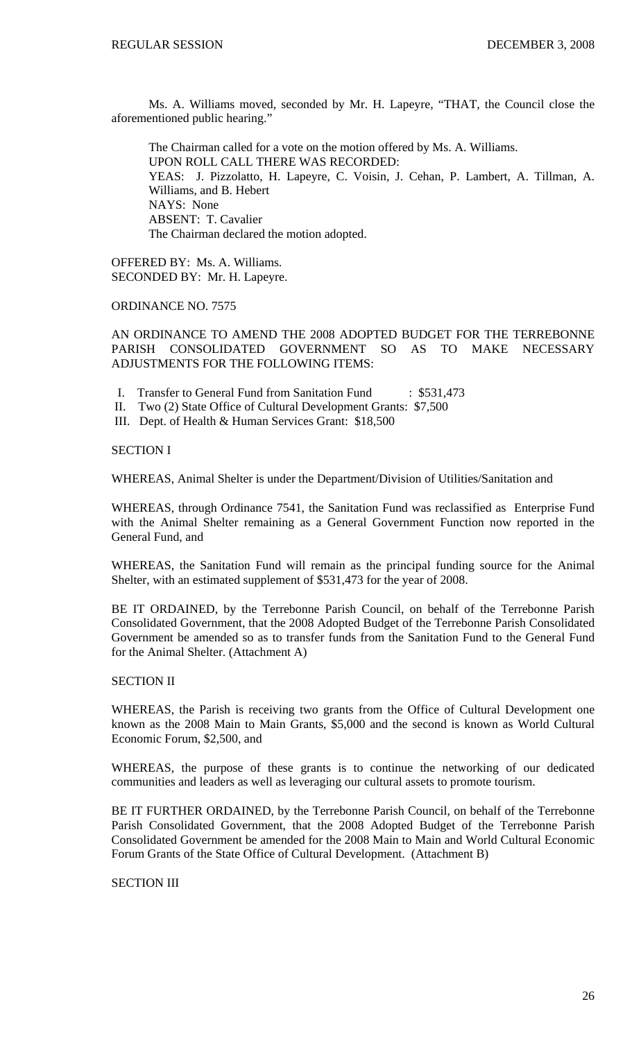Ms. A. Williams moved, seconded by Mr. H. Lapeyre, "THAT, the Council close the aforementioned public hearing."

 The Chairman called for a vote on the motion offered by Ms. A. Williams. UPON ROLL CALL THERE WAS RECORDED: YEAS: J. Pizzolatto, H. Lapeyre, C. Voisin, J. Cehan, P. Lambert, A. Tillman, A. Williams, and B. Hebert NAYS: None ABSENT: T. Cavalier The Chairman declared the motion adopted.

OFFERED BY: Ms. A. Williams. SECONDED BY: Mr. H. Lapeyre.

ORDINANCE NO. 7575

AN ORDINANCE TO AMEND THE 2008 ADOPTED BUDGET FOR THE TERREBONNE PARISH CONSOLIDATED GOVERNMENT SO AS TO MAKE NECESSARY ADJUSTMENTS FOR THE FOLLOWING ITEMS:

- I. Transfer to General Fund from Sanitation Fund : \$531,473
- II. Two (2) State Office of Cultural Development Grants: \$7,500

III. Dept. of Health & Human Services Grant: \$18,500

SECTION I

WHEREAS, Animal Shelter is under the Department/Division of Utilities/Sanitation and

WHEREAS, through Ordinance 7541, the Sanitation Fund was reclassified as Enterprise Fund with the Animal Shelter remaining as a General Government Function now reported in the General Fund, and

WHEREAS, the Sanitation Fund will remain as the principal funding source for the Animal Shelter, with an estimated supplement of \$531,473 for the year of 2008.

BE IT ORDAINED, by the Terrebonne Parish Council, on behalf of the Terrebonne Parish Consolidated Government, that the 2008 Adopted Budget of the Terrebonne Parish Consolidated Government be amended so as to transfer funds from the Sanitation Fund to the General Fund for the Animal Shelter. (Attachment A)

## SECTION II

WHEREAS, the Parish is receiving two grants from the Office of Cultural Development one known as the 2008 Main to Main Grants, \$5,000 and the second is known as World Cultural Economic Forum, \$2,500, and

WHEREAS, the purpose of these grants is to continue the networking of our dedicated communities and leaders as well as leveraging our cultural assets to promote tourism.

BE IT FURTHER ORDAINED, by the Terrebonne Parish Council, on behalf of the Terrebonne Parish Consolidated Government, that the 2008 Adopted Budget of the Terrebonne Parish Consolidated Government be amended for the 2008 Main to Main and World Cultural Economic Forum Grants of the State Office of Cultural Development. (Attachment B)

SECTION III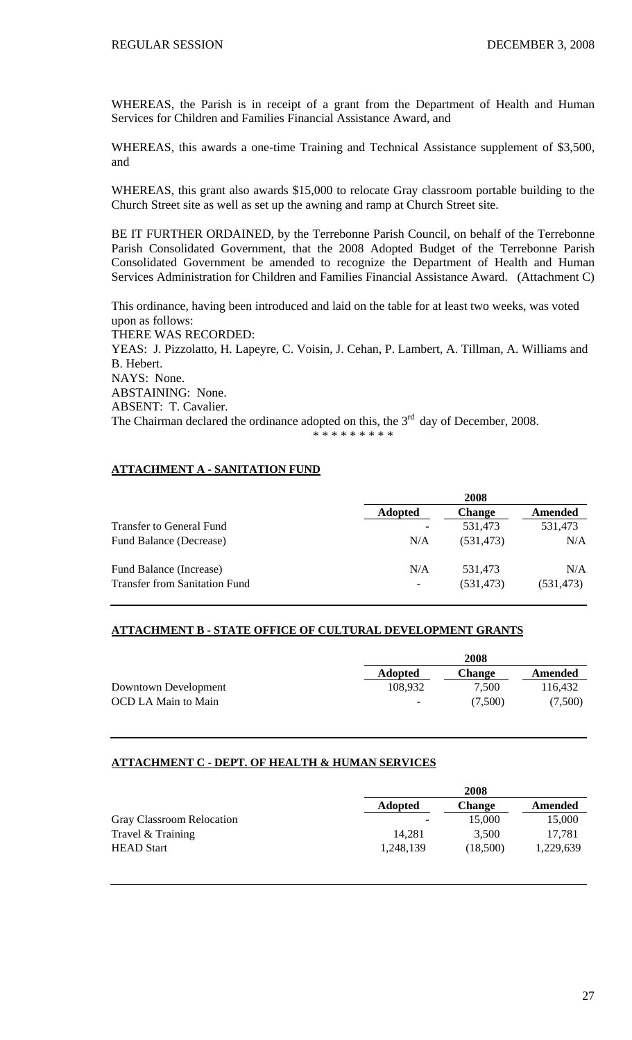WHEREAS, the Parish is in receipt of a grant from the Department of Health and Human Services for Children and Families Financial Assistance Award, and

WHEREAS, this awards a one-time Training and Technical Assistance supplement of \$3,500, and

WHEREAS, this grant also awards \$15,000 to relocate Gray classroom portable building to the Church Street site as well as set up the awning and ramp at Church Street site.

BE IT FURTHER ORDAINED, by the Terrebonne Parish Council, on behalf of the Terrebonne Parish Consolidated Government, that the 2008 Adopted Budget of the Terrebonne Parish Consolidated Government be amended to recognize the Department of Health and Human Services Administration for Children and Families Financial Assistance Award. (Attachment C)

This ordinance, having been introduced and laid on the table for at least two weeks, was voted upon as follows: THERE WAS RECORDED: YEAS: J. Pizzolatto, H. Lapeyre, C. Voisin, J. Cehan, P. Lambert, A. Tillman, A. Williams and B. Hebert. NAYS: None. ABSTAINING: None. ABSENT: T. Cavalier. The Chairman declared the ordinance adopted on this, the  $3<sup>rd</sup>$  day of December, 2008.

\* \* \* \* \* \* \* \*

### **ATTACHMENT A - SANITATION FUND**

|                                      |                          | 2008          |            |
|--------------------------------------|--------------------------|---------------|------------|
|                                      | <b>Adopted</b>           | <b>Change</b> | Amended    |
| Transfer to General Fund             |                          | 531,473       | 531,473    |
| Fund Balance (Decrease)              | N/A                      | (531, 473)    | N/A        |
| Fund Balance (Increase)              | N/A                      | 531.473       | N/A        |
| <b>Transfer from Sanitation Fund</b> | $\overline{\phantom{a}}$ | (531, 473)    | (531, 473) |

### **ATTACHMENT B - STATE OFFICE OF CULTURAL DEVELOPMENT GRANTS**

|                      | 2008                     |               |         |
|----------------------|--------------------------|---------------|---------|
|                      | <b>Adopted</b>           | <b>Change</b> | Amended |
| Downtown Development | 108,932                  | 7,500         | 116.432 |
| OCD LA Main to Main  | $\overline{\phantom{a}}$ | (7.500)       | (7,500) |

### **ATTACHMENT C - DEPT. OF HEALTH & HUMAN SERVICES**

|                           | 2008                     |               |           |
|---------------------------|--------------------------|---------------|-----------|
|                           | <b>Adopted</b>           | <b>Change</b> | Amended   |
| Gray Classroom Relocation | $\overline{\phantom{0}}$ | 15,000        | 15,000    |
| Travel & Training         | 14.281                   | 3,500         | 17,781    |
| <b>HEAD</b> Start         | 1,248,139                | (18,500)      | 1,229,639 |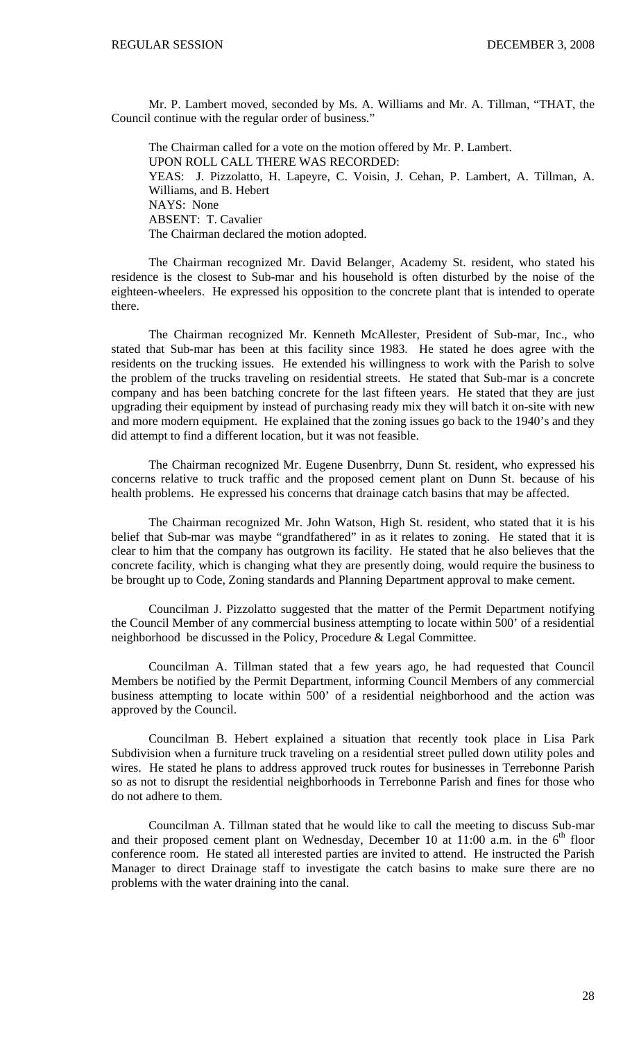Mr. P. Lambert moved, seconded by Ms. A. Williams and Mr. A. Tillman, "THAT, the Council continue with the regular order of business."

 The Chairman called for a vote on the motion offered by Mr. P. Lambert. UPON ROLL CALL THERE WAS RECORDED: YEAS: J. Pizzolatto, H. Lapeyre, C. Voisin, J. Cehan, P. Lambert, A. Tillman, A. Williams, and B. Hebert NAYS: None ABSENT: T. Cavalier The Chairman declared the motion adopted.

The Chairman recognized Mr. David Belanger, Academy St. resident, who stated his residence is the closest to Sub-mar and his household is often disturbed by the noise of the eighteen-wheelers. He expressed his opposition to the concrete plant that is intended to operate there.

The Chairman recognized Mr. Kenneth McAllester, President of Sub-mar, Inc., who stated that Sub-mar has been at this facility since 1983. He stated he does agree with the residents on the trucking issues. He extended his willingness to work with the Parish to solve the problem of the trucks traveling on residential streets. He stated that Sub-mar is a concrete company and has been batching concrete for the last fifteen years. He stated that they are just upgrading their equipment by instead of purchasing ready mix they will batch it on-site with new and more modern equipment. He explained that the zoning issues go back to the 1940's and they did attempt to find a different location, but it was not feasible.

The Chairman recognized Mr. Eugene Dusenbrry, Dunn St. resident, who expressed his concerns relative to truck traffic and the proposed cement plant on Dunn St. because of his health problems. He expressed his concerns that drainage catch basins that may be affected.

The Chairman recognized Mr. John Watson, High St. resident, who stated that it is his belief that Sub-mar was maybe "grandfathered" in as it relates to zoning. He stated that it is clear to him that the company has outgrown its facility. He stated that he also believes that the concrete facility, which is changing what they are presently doing, would require the business to be brought up to Code, Zoning standards and Planning Department approval to make cement.

Councilman J. Pizzolatto suggested that the matter of the Permit Department notifying the Council Member of any commercial business attempting to locate within 500' of a residential neighborhood be discussed in the Policy, Procedure & Legal Committee.

Councilman A. Tillman stated that a few years ago, he had requested that Council Members be notified by the Permit Department, informing Council Members of any commercial business attempting to locate within 500' of a residential neighborhood and the action was approved by the Council.

Councilman B. Hebert explained a situation that recently took place in Lisa Park Subdivision when a furniture truck traveling on a residential street pulled down utility poles and wires. He stated he plans to address approved truck routes for businesses in Terrebonne Parish so as not to disrupt the residential neighborhoods in Terrebonne Parish and fines for those who do not adhere to them.

Councilman A. Tillman stated that he would like to call the meeting to discuss Sub-mar and their proposed cement plant on Wednesday, December 10 at  $11:00$  a.m. in the  $6<sup>th</sup>$  floor conference room. He stated all interested parties are invited to attend. He instructed the Parish Manager to direct Drainage staff to investigate the catch basins to make sure there are no problems with the water draining into the canal.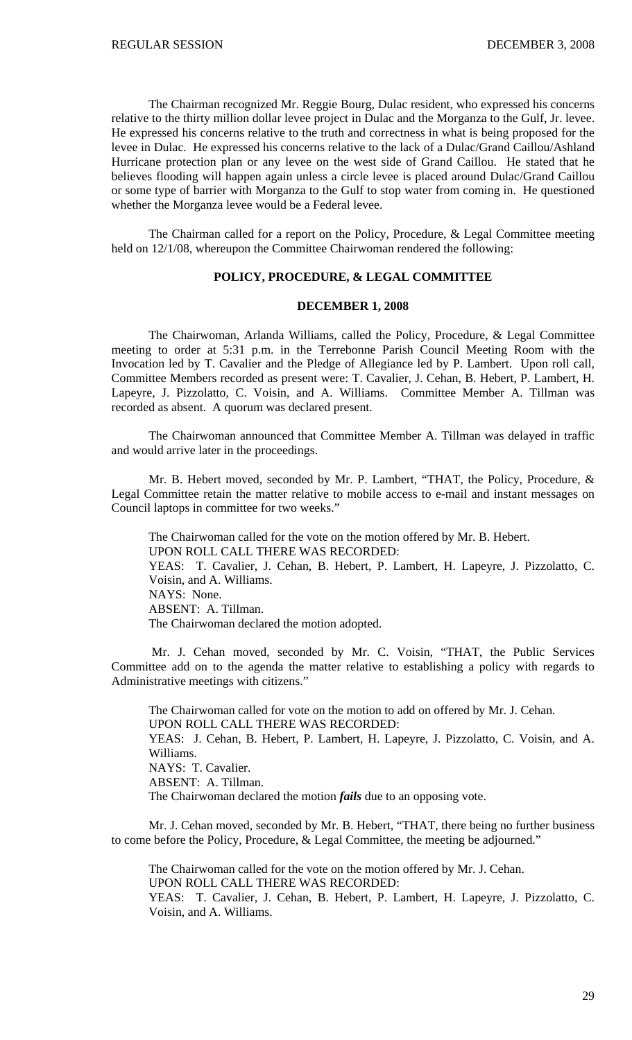The Chairman recognized Mr. Reggie Bourg, Dulac resident, who expressed his concerns relative to the thirty million dollar levee project in Dulac and the Morganza to the Gulf, Jr. levee. He expressed his concerns relative to the truth and correctness in what is being proposed for the levee in Dulac. He expressed his concerns relative to the lack of a Dulac/Grand Caillou/Ashland Hurricane protection plan or any levee on the west side of Grand Caillou. He stated that he believes flooding will happen again unless a circle levee is placed around Dulac/Grand Caillou or some type of barrier with Morganza to the Gulf to stop water from coming in. He questioned whether the Morganza levee would be a Federal levee.

 The Chairman called for a report on the Policy, Procedure, & Legal Committee meeting held on 12/1/08, whereupon the Committee Chairwoman rendered the following:

#### **POLICY, PROCEDURE, & LEGAL COMMITTEE**

### **DECEMBER 1, 2008**

 The Chairwoman, Arlanda Williams, called the Policy, Procedure, & Legal Committee meeting to order at 5:31 p.m. in the Terrebonne Parish Council Meeting Room with the Invocation led by T. Cavalier and the Pledge of Allegiance led by P. Lambert. Upon roll call, Committee Members recorded as present were: T. Cavalier, J. Cehan, B. Hebert, P. Lambert, H. Lapeyre, J. Pizzolatto, C. Voisin, and A. Williams. Committee Member A. Tillman was recorded as absent. A quorum was declared present.

 The Chairwoman announced that Committee Member A. Tillman was delayed in traffic and would arrive later in the proceedings.

 Mr. B. Hebert moved, seconded by Mr. P. Lambert, "THAT, the Policy, Procedure, & Legal Committee retain the matter relative to mobile access to e-mail and instant messages on Council laptops in committee for two weeks."

 The Chairwoman called for the vote on the motion offered by Mr. B. Hebert. UPON ROLL CALL THERE WAS RECORDED: YEAS: T. Cavalier, J. Cehan, B. Hebert, P. Lambert, H. Lapeyre, J. Pizzolatto, C. Voisin, and A. Williams. NAYS: None. ABSENT: A. Tillman. The Chairwoman declared the motion adopted.

 Mr. J. Cehan moved, seconded by Mr. C. Voisin, "THAT, the Public Services Committee add on to the agenda the matter relative to establishing a policy with regards to Administrative meetings with citizens."

 The Chairwoman called for vote on the motion to add on offered by Mr. J. Cehan. UPON ROLL CALL THERE WAS RECORDED: YEAS: J. Cehan, B. Hebert, P. Lambert, H. Lapeyre, J. Pizzolatto, C. Voisin, and A. Williams. NAYS: T. Cavalier. ABSENT: A. Tillman. The Chairwoman declared the motion *fails* due to an opposing vote.

 Mr. J. Cehan moved, seconded by Mr. B. Hebert, "THAT, there being no further business to come before the Policy, Procedure, & Legal Committee, the meeting be adjourned."

The Chairwoman called for the vote on the motion offered by Mr. J. Cehan.

UPON ROLL CALL THERE WAS RECORDED:

YEAS: T. Cavalier, J. Cehan, B. Hebert, P. Lambert, H. Lapeyre, J. Pizzolatto, C. Voisin, and A. Williams.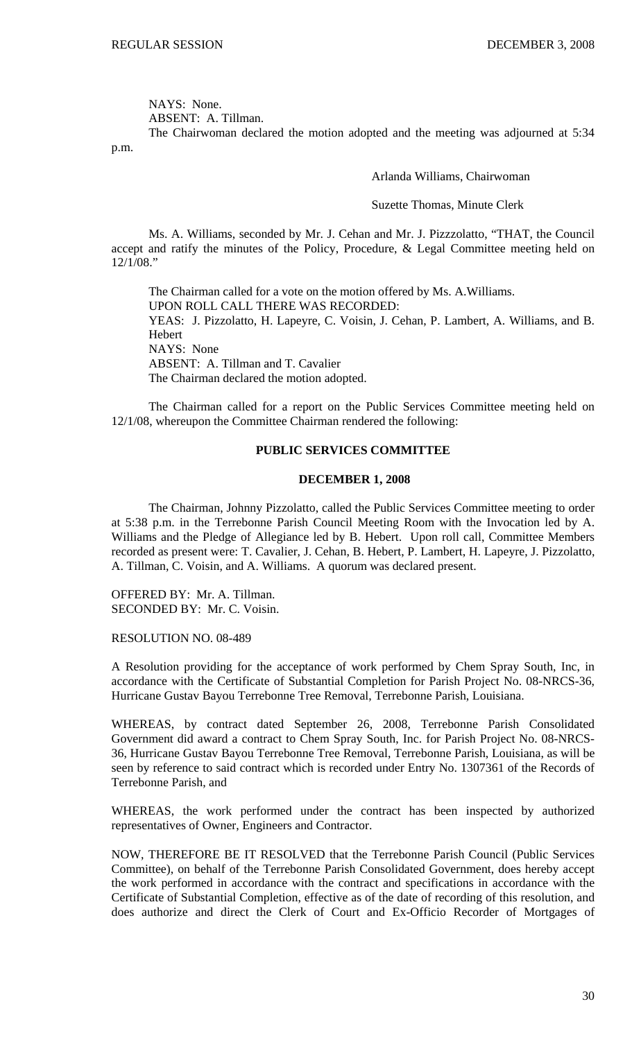NAYS: None.

ABSENT: A. Tillman.

 The Chairwoman declared the motion adopted and the meeting was adjourned at 5:34 p.m.

Arlanda Williams, Chairwoman

Suzette Thomas, Minute Clerk

Ms. A. Williams, seconded by Mr. J. Cehan and Mr. J. Pizzzolatto, "THAT, the Council accept and ratify the minutes of the Policy, Procedure, & Legal Committee meeting held on 12/1/08."

 The Chairman called for a vote on the motion offered by Ms. A.Williams. UPON ROLL CALL THERE WAS RECORDED: YEAS: J. Pizzolatto, H. Lapeyre, C. Voisin, J. Cehan, P. Lambert, A. Williams, and B. Hebert NAYS: None ABSENT: A. Tillman and T. Cavalier The Chairman declared the motion adopted.

 The Chairman called for a report on the Public Services Committee meeting held on 12/1/08, whereupon the Committee Chairman rendered the following:

## **PUBLIC SERVICES COMMITTEE**

## **DECEMBER 1, 2008**

 The Chairman, Johnny Pizzolatto, called the Public Services Committee meeting to order at 5:38 p.m. in the Terrebonne Parish Council Meeting Room with the Invocation led by A. Williams and the Pledge of Allegiance led by B. Hebert. Upon roll call, Committee Members recorded as present were: T. Cavalier, J. Cehan, B. Hebert, P. Lambert, H. Lapeyre, J. Pizzolatto, A. Tillman, C. Voisin, and A. Williams. A quorum was declared present.

OFFERED BY: Mr. A. Tillman. SECONDED BY: Mr. C. Voisin.

RESOLUTION NO. 08-489

A Resolution providing for the acceptance of work performed by Chem Spray South, Inc, in accordance with the Certificate of Substantial Completion for Parish Project No. 08-NRCS-36, Hurricane Gustav Bayou Terrebonne Tree Removal, Terrebonne Parish, Louisiana.

WHEREAS, by contract dated September 26, 2008, Terrebonne Parish Consolidated Government did award a contract to Chem Spray South, Inc. for Parish Project No. 08-NRCS-36, Hurricane Gustav Bayou Terrebonne Tree Removal, Terrebonne Parish, Louisiana, as will be seen by reference to said contract which is recorded under Entry No. 1307361 of the Records of Terrebonne Parish, and

WHEREAS, the work performed under the contract has been inspected by authorized representatives of Owner, Engineers and Contractor.

NOW, THEREFORE BE IT RESOLVED that the Terrebonne Parish Council (Public Services Committee), on behalf of the Terrebonne Parish Consolidated Government, does hereby accept the work performed in accordance with the contract and specifications in accordance with the Certificate of Substantial Completion, effective as of the date of recording of this resolution, and does authorize and direct the Clerk of Court and Ex-Officio Recorder of Mortgages of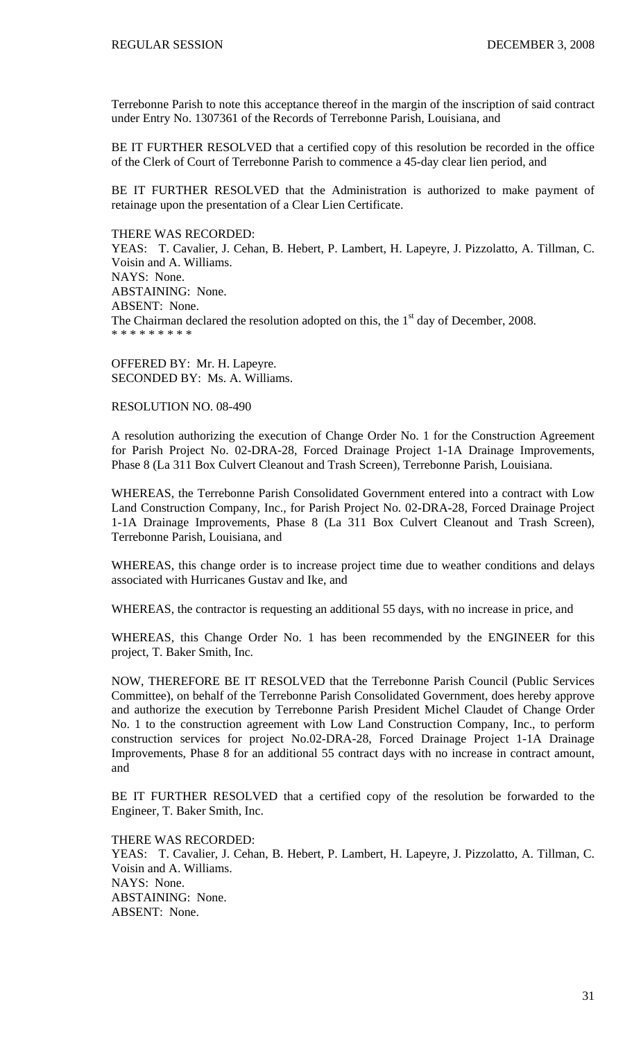Terrebonne Parish to note this acceptance thereof in the margin of the inscription of said contract under Entry No. 1307361 of the Records of Terrebonne Parish, Louisiana, and

BE IT FURTHER RESOLVED that a certified copy of this resolution be recorded in the office of the Clerk of Court of Terrebonne Parish to commence a 45-day clear lien period, and

BE IT FURTHER RESOLVED that the Administration is authorized to make payment of retainage upon the presentation of a Clear Lien Certificate.

#### THERE WAS RECORDED:

YEAS: T. Cavalier, J. Cehan, B. Hebert, P. Lambert, H. Lapeyre, J. Pizzolatto, A. Tillman, C. Voisin and A. Williams. NAYS: None. ABSTAINING: None. ABSENT: None. The Chairman declared the resolution adopted on this, the  $1<sup>st</sup>$  day of December, 2008. \* \* \* \* \* \* \* \* \*

OFFERED BY: Mr. H. Lapeyre. SECONDED BY: Ms. A. Williams.

RESOLUTION NO. 08-490

A resolution authorizing the execution of Change Order No. 1 for the Construction Agreement for Parish Project No. 02-DRA-28, Forced Drainage Project 1-1A Drainage Improvements, Phase 8 (La 311 Box Culvert Cleanout and Trash Screen), Terrebonne Parish, Louisiana.

WHEREAS, the Terrebonne Parish Consolidated Government entered into a contract with Low Land Construction Company, Inc., for Parish Project No. 02-DRA-28, Forced Drainage Project 1-1A Drainage Improvements, Phase 8 (La 311 Box Culvert Cleanout and Trash Screen), Terrebonne Parish, Louisiana, and

WHEREAS, this change order is to increase project time due to weather conditions and delays associated with Hurricanes Gustav and Ike, and

WHEREAS, the contractor is requesting an additional 55 days, with no increase in price, and

WHEREAS, this Change Order No. 1 has been recommended by the ENGINEER for this project, T. Baker Smith, Inc.

NOW, THEREFORE BE IT RESOLVED that the Terrebonne Parish Council (Public Services Committee), on behalf of the Terrebonne Parish Consolidated Government, does hereby approve and authorize the execution by Terrebonne Parish President Michel Claudet of Change Order No. 1 to the construction agreement with Low Land Construction Company, Inc., to perform construction services for project No.02-DRA-28, Forced Drainage Project 1-1A Drainage Improvements, Phase 8 for an additional 55 contract days with no increase in contract amount, and

BE IT FURTHER RESOLVED that a certified copy of the resolution be forwarded to the Engineer, T. Baker Smith, Inc.

THERE WAS RECORDED:

YEAS: T. Cavalier, J. Cehan, B. Hebert, P. Lambert, H. Lapeyre, J. Pizzolatto, A. Tillman, C. Voisin and A. Williams. NAYS: None. ABSTAINING: None. ABSENT: None.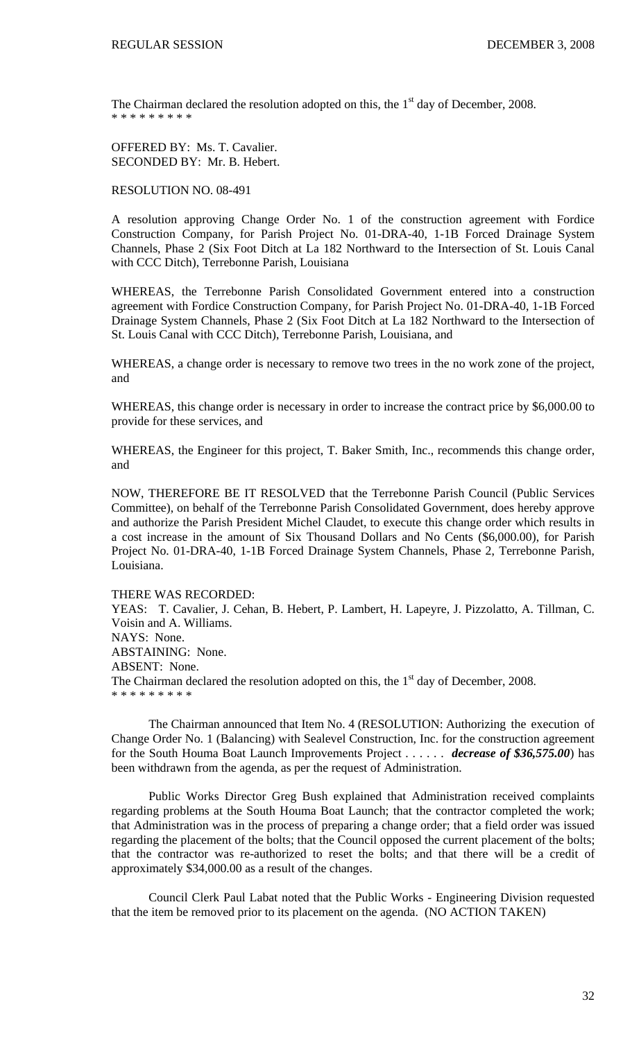The Chairman declared the resolution adopted on this, the  $1<sup>st</sup>$  day of December, 2008. \* \* \* \* \* \* \* \*

OFFERED BY: Ms. T. Cavalier. SECONDED BY: Mr. B. Hebert.

RESOLUTION NO. 08-491

A resolution approving Change Order No. 1 of the construction agreement with Fordice Construction Company, for Parish Project No. 01-DRA-40, 1-1B Forced Drainage System Channels, Phase 2 (Six Foot Ditch at La 182 Northward to the Intersection of St. Louis Canal with CCC Ditch), Terrebonne Parish, Louisiana

WHEREAS, the Terrebonne Parish Consolidated Government entered into a construction agreement with Fordice Construction Company, for Parish Project No. 01-DRA-40, 1-1B Forced Drainage System Channels, Phase 2 (Six Foot Ditch at La 182 Northward to the Intersection of St. Louis Canal with CCC Ditch), Terrebonne Parish, Louisiana, and

WHEREAS, a change order is necessary to remove two trees in the no work zone of the project, and

WHEREAS, this change order is necessary in order to increase the contract price by \$6,000.00 to provide for these services, and

WHEREAS, the Engineer for this project, T. Baker Smith, Inc., recommends this change order, and

NOW, THEREFORE BE IT RESOLVED that the Terrebonne Parish Council (Public Services Committee), on behalf of the Terrebonne Parish Consolidated Government, does hereby approve and authorize the Parish President Michel Claudet, to execute this change order which results in a cost increase in the amount of Six Thousand Dollars and No Cents (\$6,000.00), for Parish Project No. 01-DRA-40, 1-1B Forced Drainage System Channels, Phase 2, Terrebonne Parish, Louisiana.

### THERE WAS RECORDED:

YEAS: T. Cavalier, J. Cehan, B. Hebert, P. Lambert, H. Lapeyre, J. Pizzolatto, A. Tillman, C. Voisin and A. Williams. NAYS: None. ABSTAINING: None. ABSENT: None. The Chairman declared the resolution adopted on this, the  $1<sup>st</sup>$  day of December, 2008. \* \* \* \* \* \* \* \* \*

The Chairman announced that Item No. 4 (RESOLUTION: Authorizing the execution of Change Order No. 1 (Balancing) with Sealevel Construction, Inc. for the construction agreement for the South Houma Boat Launch Improvements Project . . . . . . *decrease of \$36,575.00*) has been withdrawn from the agenda, as per the request of Administration.

Public Works Director Greg Bush explained that Administration received complaints regarding problems at the South Houma Boat Launch; that the contractor completed the work; that Administration was in the process of preparing a change order; that a field order was issued regarding the placement of the bolts; that the Council opposed the current placement of the bolts; that the contractor was re-authorized to reset the bolts; and that there will be a credit of approximately \$34,000.00 as a result of the changes.

Council Clerk Paul Labat noted that the Public Works - Engineering Division requested that the item be removed prior to its placement on the agenda. (NO ACTION TAKEN)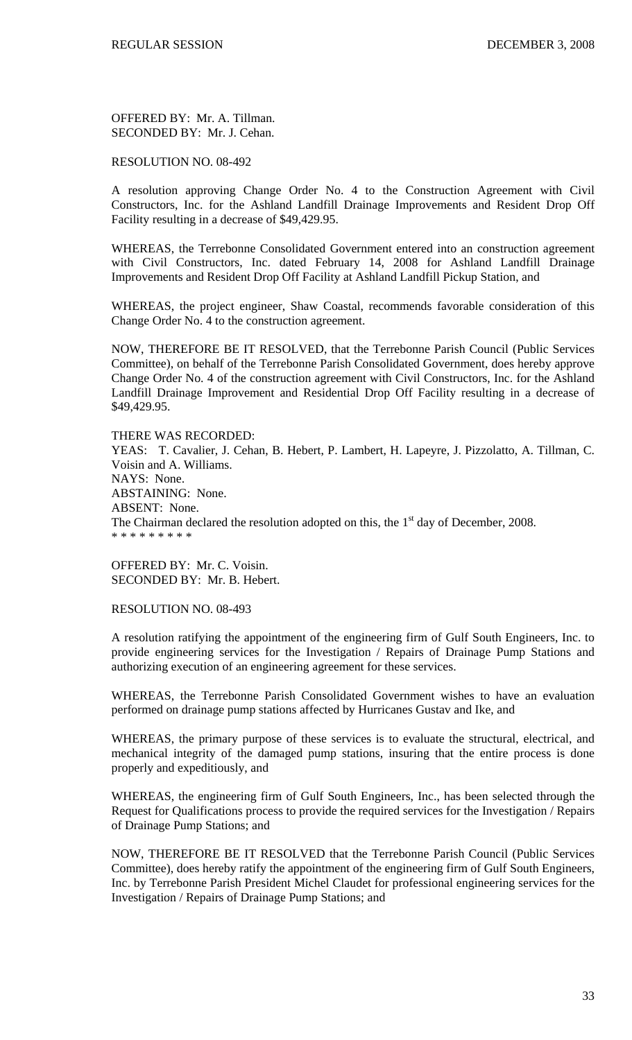OFFERED BY: Mr. A. Tillman. SECONDED BY: Mr. J. Cehan.

### RESOLUTION NO. 08-492

A resolution approving Change Order No. 4 to the Construction Agreement with Civil Constructors, Inc. for the Ashland Landfill Drainage Improvements and Resident Drop Off Facility resulting in a decrease of \$49,429.95.

WHEREAS, the Terrebonne Consolidated Government entered into an construction agreement with Civil Constructors, Inc. dated February 14, 2008 for Ashland Landfill Drainage Improvements and Resident Drop Off Facility at Ashland Landfill Pickup Station, and

WHEREAS, the project engineer, Shaw Coastal, recommends favorable consideration of this Change Order No. 4 to the construction agreement.

NOW, THEREFORE BE IT RESOLVED, that the Terrebonne Parish Council (Public Services Committee), on behalf of the Terrebonne Parish Consolidated Government, does hereby approve Change Order No. 4 of the construction agreement with Civil Constructors, Inc. for the Ashland Landfill Drainage Improvement and Residential Drop Off Facility resulting in a decrease of \$49,429.95.

THERE WAS RECORDED: YEAS: T. Cavalier, J. Cehan, B. Hebert, P. Lambert, H. Lapeyre, J. Pizzolatto, A. Tillman, C. Voisin and A. Williams. NAYS: None. ABSTAINING: None. ABSENT: None. The Chairman declared the resolution adopted on this, the  $1<sup>st</sup>$  day of December, 2008. \* \* \* \* \* \* \* \* \*

OFFERED BY: Mr. C. Voisin. SECONDED BY: Mr. B. Hebert.

RESOLUTION NO. 08-493

A resolution ratifying the appointment of the engineering firm of Gulf South Engineers, Inc. to provide engineering services for the Investigation / Repairs of Drainage Pump Stations and authorizing execution of an engineering agreement for these services.

WHEREAS, the Terrebonne Parish Consolidated Government wishes to have an evaluation performed on drainage pump stations affected by Hurricanes Gustav and Ike, and

WHEREAS, the primary purpose of these services is to evaluate the structural, electrical, and mechanical integrity of the damaged pump stations, insuring that the entire process is done properly and expeditiously, and

WHEREAS, the engineering firm of Gulf South Engineers, Inc., has been selected through the Request for Qualifications process to provide the required services for the Investigation / Repairs of Drainage Pump Stations; and

NOW, THEREFORE BE IT RESOLVED that the Terrebonne Parish Council (Public Services Committee), does hereby ratify the appointment of the engineering firm of Gulf South Engineers, Inc. by Terrebonne Parish President Michel Claudet for professional engineering services for the Investigation / Repairs of Drainage Pump Stations; and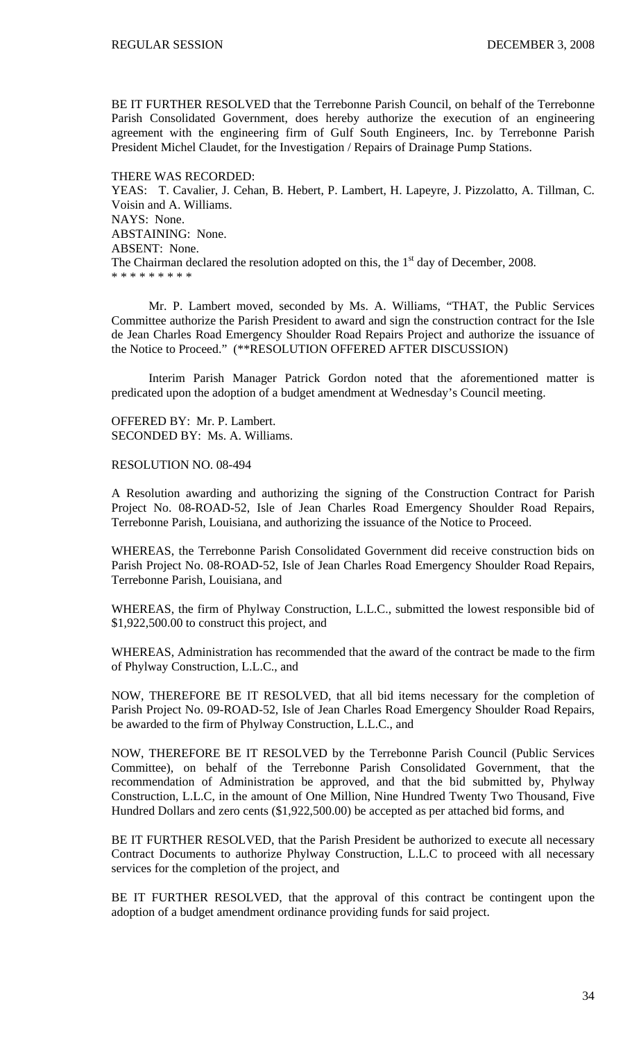BE IT FURTHER RESOLVED that the Terrebonne Parish Council, on behalf of the Terrebonne Parish Consolidated Government, does hereby authorize the execution of an engineering agreement with the engineering firm of Gulf South Engineers, Inc. by Terrebonne Parish President Michel Claudet, for the Investigation / Repairs of Drainage Pump Stations.

THERE WAS RECORDED: YEAS: T. Cavalier, J. Cehan, B. Hebert, P. Lambert, H. Lapeyre, J. Pizzolatto, A. Tillman, C. Voisin and A. Williams. NAYS: None. ABSTAINING: None. ABSENT: None. The Chairman declared the resolution adopted on this, the  $1<sup>st</sup>$  day of December, 2008. \* \* \* \* \* \* \* \* \*

 Mr. P. Lambert moved, seconded by Ms. A. Williams, "THAT, the Public Services Committee authorize the Parish President to award and sign the construction contract for the Isle de Jean Charles Road Emergency Shoulder Road Repairs Project and authorize the issuance of the Notice to Proceed." (\*\*RESOLUTION OFFERED AFTER DISCUSSION)

 Interim Parish Manager Patrick Gordon noted that the aforementioned matter is predicated upon the adoption of a budget amendment at Wednesday's Council meeting.

OFFERED BY: Mr. P. Lambert. SECONDED BY: Ms. A. Williams.

RESOLUTION NO. 08-494

A Resolution awarding and authorizing the signing of the Construction Contract for Parish Project No. 08-ROAD-52, Isle of Jean Charles Road Emergency Shoulder Road Repairs, Terrebonne Parish, Louisiana, and authorizing the issuance of the Notice to Proceed.

WHEREAS, the Terrebonne Parish Consolidated Government did receive construction bids on Parish Project No. 08-ROAD-52, Isle of Jean Charles Road Emergency Shoulder Road Repairs, Terrebonne Parish, Louisiana, and

WHEREAS, the firm of Phylway Construction, L.L.C., submitted the lowest responsible bid of \$1,922,500.00 to construct this project, and

WHEREAS, Administration has recommended that the award of the contract be made to the firm of Phylway Construction, L.L.C., and

NOW, THEREFORE BE IT RESOLVED, that all bid items necessary for the completion of Parish Project No. 09-ROAD-52, Isle of Jean Charles Road Emergency Shoulder Road Repairs, be awarded to the firm of Phylway Construction, L.L.C., and

NOW, THEREFORE BE IT RESOLVED by the Terrebonne Parish Council (Public Services Committee), on behalf of the Terrebonne Parish Consolidated Government, that the recommendation of Administration be approved, and that the bid submitted by, Phylway Construction, L.L.C, in the amount of One Million, Nine Hundred Twenty Two Thousand, Five Hundred Dollars and zero cents (\$1,922,500.00) be accepted as per attached bid forms, and

BE IT FURTHER RESOLVED, that the Parish President be authorized to execute all necessary Contract Documents to authorize Phylway Construction, L.L.C to proceed with all necessary services for the completion of the project, and

BE IT FURTHER RESOLVED, that the approval of this contract be contingent upon the adoption of a budget amendment ordinance providing funds for said project.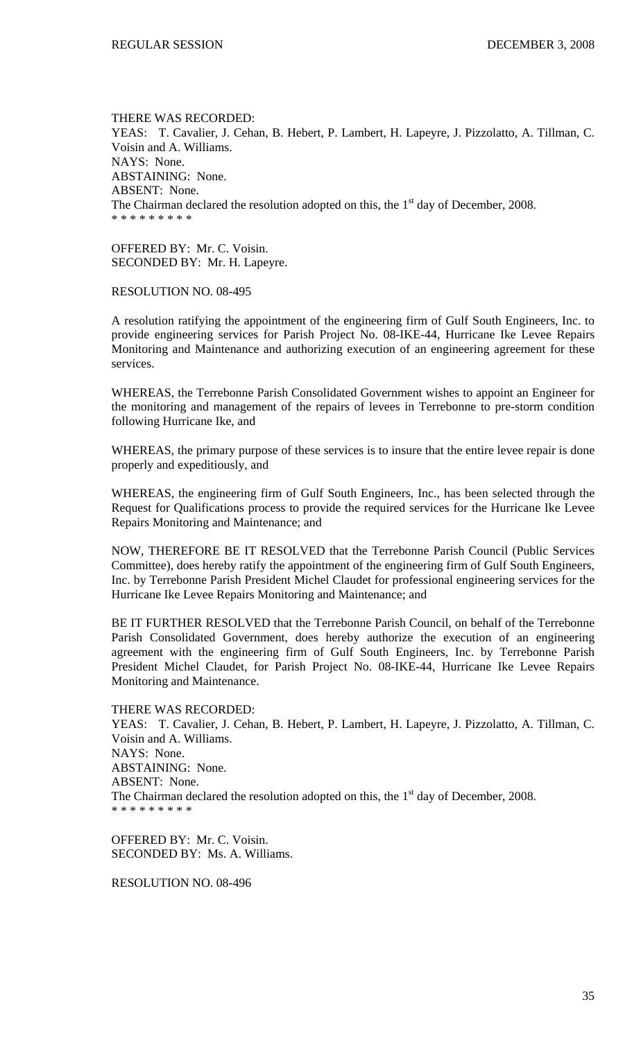THERE WAS RECORDED: YEAS: T. Cavalier, J. Cehan, B. Hebert, P. Lambert, H. Lapeyre, J. Pizzolatto, A. Tillman, C. Voisin and A. Williams. NAYS: None. ABSTAINING: None. ABSENT: None. The Chairman declared the resolution adopted on this, the  $1<sup>st</sup>$  day of December, 2008. \* \* \* \* \* \* \* \* \*

OFFERED BY: Mr. C. Voisin. SECONDED BY: Mr. H. Lapeyre.

RESOLUTION NO. 08-495

A resolution ratifying the appointment of the engineering firm of Gulf South Engineers, Inc. to provide engineering services for Parish Project No. 08-IKE-44, Hurricane Ike Levee Repairs Monitoring and Maintenance and authorizing execution of an engineering agreement for these services.

WHEREAS, the Terrebonne Parish Consolidated Government wishes to appoint an Engineer for the monitoring and management of the repairs of levees in Terrebonne to pre-storm condition following Hurricane Ike, and

WHEREAS, the primary purpose of these services is to insure that the entire levee repair is done properly and expeditiously, and

WHEREAS, the engineering firm of Gulf South Engineers, Inc., has been selected through the Request for Qualifications process to provide the required services for the Hurricane Ike Levee Repairs Monitoring and Maintenance; and

NOW, THEREFORE BE IT RESOLVED that the Terrebonne Parish Council (Public Services Committee), does hereby ratify the appointment of the engineering firm of Gulf South Engineers, Inc. by Terrebonne Parish President Michel Claudet for professional engineering services for the Hurricane Ike Levee Repairs Monitoring and Maintenance; and

BE IT FURTHER RESOLVED that the Terrebonne Parish Council, on behalf of the Terrebonne Parish Consolidated Government, does hereby authorize the execution of an engineering agreement with the engineering firm of Gulf South Engineers, Inc. by Terrebonne Parish President Michel Claudet, for Parish Project No. 08-IKE-44, Hurricane Ike Levee Repairs Monitoring and Maintenance.

THERE WAS RECORDED:

YEAS: T. Cavalier, J. Cehan, B. Hebert, P. Lambert, H. Lapeyre, J. Pizzolatto, A. Tillman, C. Voisin and A. Williams. NAYS: None. ABSTAINING: None. ABSENT: None. The Chairman declared the resolution adopted on this, the  $1<sup>st</sup>$  day of December, 2008. \* \* \* \* \* \* \* \* \*

OFFERED BY: Mr. C. Voisin. SECONDED BY: Ms. A. Williams.

RESOLUTION NO. 08-496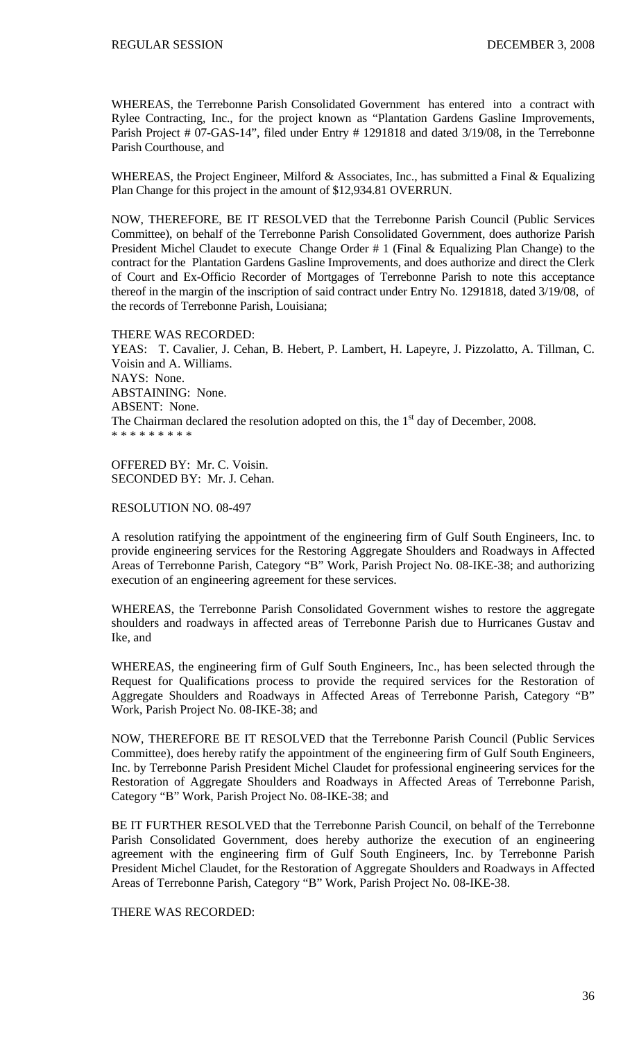WHEREAS, the Terrebonne Parish Consolidated Government has entered into a contract with Rylee Contracting, Inc., for the project known as "Plantation Gardens Gasline Improvements, Parish Project # 07-GAS-14", filed under Entry # 1291818 and dated 3/19/08, in the Terrebonne Parish Courthouse, and

WHEREAS, the Project Engineer, Milford & Associates, Inc., has submitted a Final & Equalizing Plan Change for this project in the amount of \$12,934.81 OVERRUN.

NOW, THEREFORE, BE IT RESOLVED that the Terrebonne Parish Council (Public Services Committee), on behalf of the Terrebonne Parish Consolidated Government, does authorize Parish President Michel Claudet to execute Change Order # 1 (Final & Equalizing Plan Change) to the contract for the Plantation Gardens Gasline Improvements, and does authorize and direct the Clerk of Court and Ex-Officio Recorder of Mortgages of Terrebonne Parish to note this acceptance thereof in the margin of the inscription of said contract under Entry No. 1291818, dated 3/19/08, of the records of Terrebonne Parish, Louisiana;

THERE WAS RECORDED: YEAS: T. Cavalier, J. Cehan, B. Hebert, P. Lambert, H. Lapeyre, J. Pizzolatto, A. Tillman, C. Voisin and A. Williams. NAYS: None. ABSTAINING: None. ABSENT: None. The Chairman declared the resolution adopted on this, the  $1<sup>st</sup>$  day of December, 2008. \* \* \* \* \* \* \* \* \*

OFFERED BY: Mr. C. Voisin. SECONDED BY: Mr. J. Cehan.

RESOLUTION NO. 08-497

A resolution ratifying the appointment of the engineering firm of Gulf South Engineers, Inc. to provide engineering services for the Restoring Aggregate Shoulders and Roadways in Affected Areas of Terrebonne Parish, Category "B" Work, Parish Project No. 08-IKE-38; and authorizing execution of an engineering agreement for these services.

WHEREAS, the Terrebonne Parish Consolidated Government wishes to restore the aggregate shoulders and roadways in affected areas of Terrebonne Parish due to Hurricanes Gustav and Ike, and

WHEREAS, the engineering firm of Gulf South Engineers, Inc., has been selected through the Request for Qualifications process to provide the required services for the Restoration of Aggregate Shoulders and Roadways in Affected Areas of Terrebonne Parish, Category "B" Work, Parish Project No. 08-IKE-38; and

NOW, THEREFORE BE IT RESOLVED that the Terrebonne Parish Council (Public Services Committee), does hereby ratify the appointment of the engineering firm of Gulf South Engineers, Inc. by Terrebonne Parish President Michel Claudet for professional engineering services for the Restoration of Aggregate Shoulders and Roadways in Affected Areas of Terrebonne Parish, Category "B" Work, Parish Project No. 08-IKE-38; and

BE IT FURTHER RESOLVED that the Terrebonne Parish Council, on behalf of the Terrebonne Parish Consolidated Government, does hereby authorize the execution of an engineering agreement with the engineering firm of Gulf South Engineers, Inc. by Terrebonne Parish President Michel Claudet, for the Restoration of Aggregate Shoulders and Roadways in Affected Areas of Terrebonne Parish, Category "B" Work, Parish Project No. 08-IKE-38.

THERE WAS RECORDED: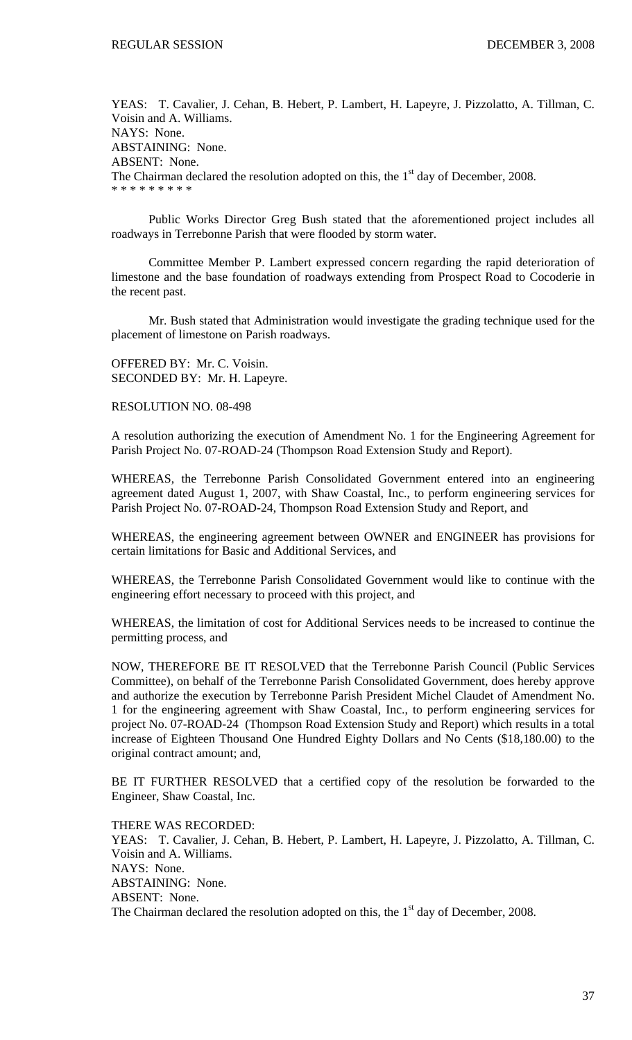YEAS: T. Cavalier, J. Cehan, B. Hebert, P. Lambert, H. Lapeyre, J. Pizzolatto, A. Tillman, C. Voisin and A. Williams. NAYS: None. ABSTAINING: None. ABSENT: None. The Chairman declared the resolution adopted on this, the  $1<sup>st</sup>$  day of December, 2008. \* \* \* \* \* \* \* \*

 Public Works Director Greg Bush stated that the aforementioned project includes all roadways in Terrebonne Parish that were flooded by storm water.

 Committee Member P. Lambert expressed concern regarding the rapid deterioration of limestone and the base foundation of roadways extending from Prospect Road to Cocoderie in the recent past.

 Mr. Bush stated that Administration would investigate the grading technique used for the placement of limestone on Parish roadways.

OFFERED BY: Mr. C. Voisin. SECONDED BY: Mr. H. Lapeyre.

RESOLUTION NO. 08-498

A resolution authorizing the execution of Amendment No. 1 for the Engineering Agreement for Parish Project No. 07-ROAD-24 (Thompson Road Extension Study and Report).

WHEREAS, the Terrebonne Parish Consolidated Government entered into an engineering agreement dated August 1, 2007, with Shaw Coastal, Inc., to perform engineering services for Parish Project No. 07-ROAD-24, Thompson Road Extension Study and Report, and

WHEREAS, the engineering agreement between OWNER and ENGINEER has provisions for certain limitations for Basic and Additional Services, and

WHEREAS, the Terrebonne Parish Consolidated Government would like to continue with the engineering effort necessary to proceed with this project, and

WHEREAS, the limitation of cost for Additional Services needs to be increased to continue the permitting process, and

NOW, THEREFORE BE IT RESOLVED that the Terrebonne Parish Council (Public Services Committee), on behalf of the Terrebonne Parish Consolidated Government, does hereby approve and authorize the execution by Terrebonne Parish President Michel Claudet of Amendment No. 1 for the engineering agreement with Shaw Coastal, Inc., to perform engineering services for project No. 07-ROAD-24 (Thompson Road Extension Study and Report) which results in a total increase of Eighteen Thousand One Hundred Eighty Dollars and No Cents (\$18,180.00) to the original contract amount; and,

BE IT FURTHER RESOLVED that a certified copy of the resolution be forwarded to the Engineer, Shaw Coastal, Inc.

THERE WAS RECORDED: YEAS: T. Cavalier, J. Cehan, B. Hebert, P. Lambert, H. Lapeyre, J. Pizzolatto, A. Tillman, C. Voisin and A. Williams. NAYS: None. ABSTAINING: None. ABSENT: None. The Chairman declared the resolution adopted on this, the  $1<sup>st</sup>$  day of December, 2008.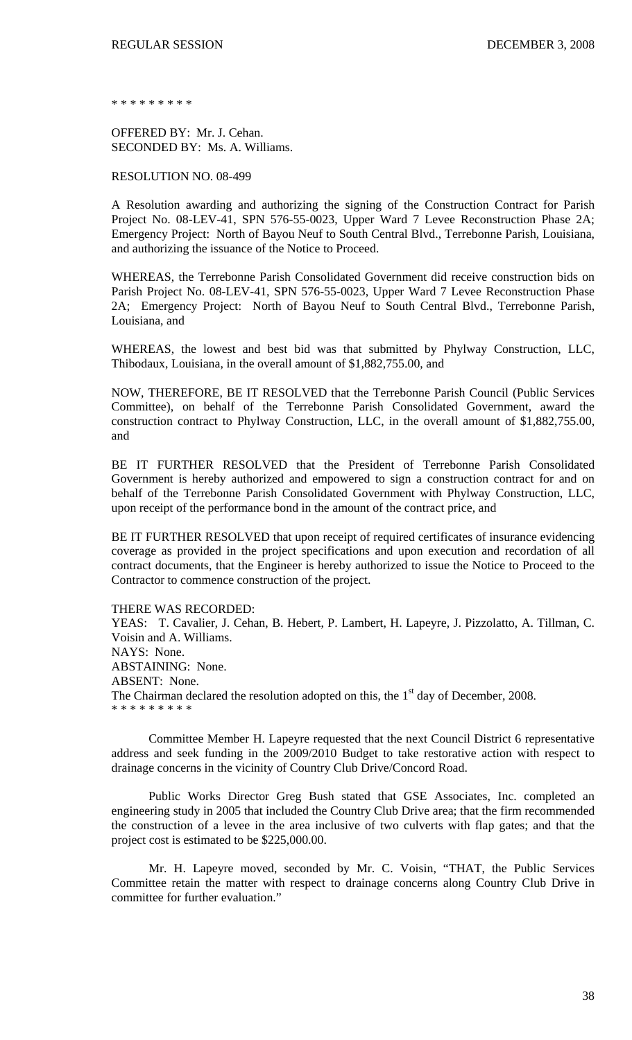\* \* \* \* \* \* \* \*

OFFERED BY: Mr. J. Cehan. SECONDED BY: Ms. A. Williams.

RESOLUTION NO. 08-499

A Resolution awarding and authorizing the signing of the Construction Contract for Parish Project No. 08-LEV-41, SPN 576-55-0023, Upper Ward 7 Levee Reconstruction Phase 2A; Emergency Project: North of Bayou Neuf to South Central Blvd., Terrebonne Parish, Louisiana, and authorizing the issuance of the Notice to Proceed.

WHEREAS, the Terrebonne Parish Consolidated Government did receive construction bids on Parish Project No. 08-LEV-41, SPN 576-55-0023, Upper Ward 7 Levee Reconstruction Phase 2A; Emergency Project: North of Bayou Neuf to South Central Blvd., Terrebonne Parish, Louisiana, and

WHEREAS, the lowest and best bid was that submitted by Phylway Construction, LLC, Thibodaux, Louisiana, in the overall amount of \$1,882,755.00, and

NOW, THEREFORE, BE IT RESOLVED that the Terrebonne Parish Council (Public Services Committee), on behalf of the Terrebonne Parish Consolidated Government, award the construction contract to Phylway Construction, LLC, in the overall amount of \$1,882,755.00, and

BE IT FURTHER RESOLVED that the President of Terrebonne Parish Consolidated Government is hereby authorized and empowered to sign a construction contract for and on behalf of the Terrebonne Parish Consolidated Government with Phylway Construction, LLC, upon receipt of the performance bond in the amount of the contract price, and

BE IT FURTHER RESOLVED that upon receipt of required certificates of insurance evidencing coverage as provided in the project specifications and upon execution and recordation of all contract documents, that the Engineer is hereby authorized to issue the Notice to Proceed to the Contractor to commence construction of the project.

### THERE WAS RECORDED:

YEAS: T. Cavalier, J. Cehan, B. Hebert, P. Lambert, H. Lapeyre, J. Pizzolatto, A. Tillman, C. Voisin and A. Williams. NAYS: None. ABSTAINING: None. ABSENT: None. The Chairman declared the resolution adopted on this, the  $1<sup>st</sup>$  day of December, 2008. \* \* \* \* \* \* \* \* \*

Committee Member H. Lapeyre requested that the next Council District 6 representative address and seek funding in the 2009/2010 Budget to take restorative action with respect to drainage concerns in the vicinity of Country Club Drive/Concord Road.

Public Works Director Greg Bush stated that GSE Associates, Inc. completed an engineering study in 2005 that included the Country Club Drive area; that the firm recommended the construction of a levee in the area inclusive of two culverts with flap gates; and that the project cost is estimated to be \$225,000.00.

Mr. H. Lapeyre moved, seconded by Mr. C. Voisin, "THAT, the Public Services Committee retain the matter with respect to drainage concerns along Country Club Drive in committee for further evaluation."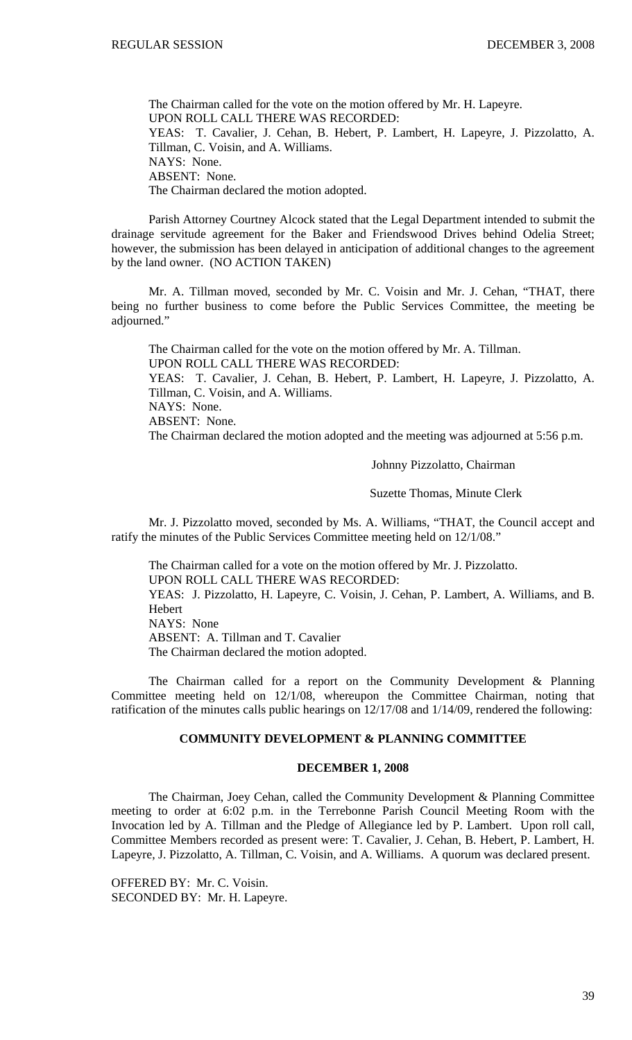The Chairman called for the vote on the motion offered by Mr. H. Lapeyre. UPON ROLL CALL THERE WAS RECORDED: YEAS: T. Cavalier, J. Cehan, B. Hebert, P. Lambert, H. Lapeyre, J. Pizzolatto, A. Tillman, C. Voisin, and A. Williams. NAYS: None. ABSENT: None. The Chairman declared the motion adopted.

 Parish Attorney Courtney Alcock stated that the Legal Department intended to submit the drainage servitude agreement for the Baker and Friendswood Drives behind Odelia Street; however, the submission has been delayed in anticipation of additional changes to the agreement by the land owner. (NO ACTION TAKEN)

 Mr. A. Tillman moved, seconded by Mr. C. Voisin and Mr. J. Cehan, "THAT, there being no further business to come before the Public Services Committee, the meeting be adjourned."

 The Chairman called for the vote on the motion offered by Mr. A. Tillman. UPON ROLL CALL THERE WAS RECORDED: YEAS: T. Cavalier, J. Cehan, B. Hebert, P. Lambert, H. Lapeyre, J. Pizzolatto, A. Tillman, C. Voisin, and A. Williams. NAYS: None. ABSENT: None. The Chairman declared the motion adopted and the meeting was adjourned at 5:56 p.m.

Johnny Pizzolatto, Chairman

Suzette Thomas, Minute Clerk

Mr. J. Pizzolatto moved, seconded by Ms. A. Williams, "THAT, the Council accept and ratify the minutes of the Public Services Committee meeting held on 12/1/08."

 The Chairman called for a vote on the motion offered by Mr. J. Pizzolatto. UPON ROLL CALL THERE WAS RECORDED: YEAS: J. Pizzolatto, H. Lapeyre, C. Voisin, J. Cehan, P. Lambert, A. Williams, and B. **Hebert** NAYS: None ABSENT: A. Tillman and T. Cavalier The Chairman declared the motion adopted.

 The Chairman called for a report on the Community Development & Planning Committee meeting held on 12/1/08, whereupon the Committee Chairman, noting that ratification of the minutes calls public hearings on 12/17/08 and 1/14/09, rendered the following:

### **COMMUNITY DEVELOPMENT & PLANNING COMMITTEE**

#### **DECEMBER 1, 2008**

 The Chairman, Joey Cehan, called the Community Development & Planning Committee meeting to order at 6:02 p.m. in the Terrebonne Parish Council Meeting Room with the Invocation led by A. Tillman and the Pledge of Allegiance led by P. Lambert. Upon roll call, Committee Members recorded as present were: T. Cavalier, J. Cehan, B. Hebert, P. Lambert, H. Lapeyre, J. Pizzolatto, A. Tillman, C. Voisin, and A. Williams. A quorum was declared present.

OFFERED BY: Mr. C. Voisin. SECONDED BY: Mr. H. Lapeyre.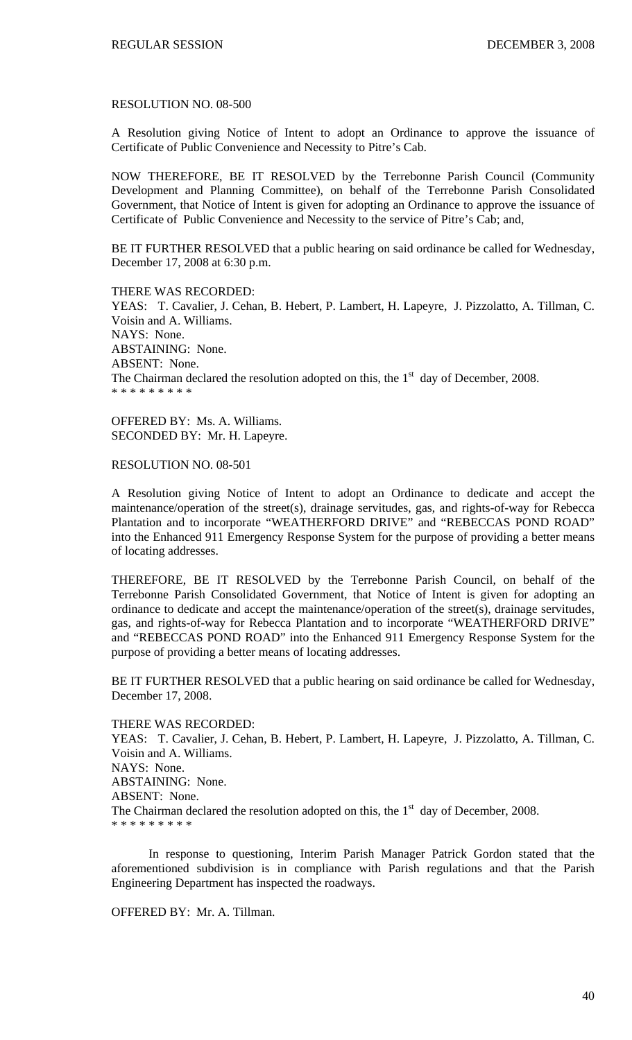#### RESOLUTION NO. 08-500

A Resolution giving Notice of Intent to adopt an Ordinance to approve the issuance of Certificate of Public Convenience and Necessity to Pitre's Cab.

NOW THEREFORE, BE IT RESOLVED by the Terrebonne Parish Council (Community Development and Planning Committee), on behalf of the Terrebonne Parish Consolidated Government, that Notice of Intent is given for adopting an Ordinance to approve the issuance of Certificate of Public Convenience and Necessity to the service of Pitre's Cab; and,

BE IT FURTHER RESOLVED that a public hearing on said ordinance be called for Wednesday, December 17, 2008 at 6:30 p.m.

THERE WAS RECORDED: YEAS: T. Cavalier, J. Cehan, B. Hebert, P. Lambert, H. Lapeyre, J. Pizzolatto, A. Tillman, C. Voisin and A. Williams. NAYS: None. ABSTAINING: None. ABSENT: None. The Chairman declared the resolution adopted on this, the  $1<sup>st</sup>$  day of December, 2008. \* \* \* \* \* \* \* \* \*

OFFERED BY: Ms. A. Williams. SECONDED BY: Mr. H. Lapeyre.

RESOLUTION NO. 08-501

A Resolution giving Notice of Intent to adopt an Ordinance to dedicate and accept the maintenance/operation of the street(s), drainage servitudes, gas, and rights-of-way for Rebecca Plantation and to incorporate "WEATHERFORD DRIVE" and "REBECCAS POND ROAD" into the Enhanced 911 Emergency Response System for the purpose of providing a better means of locating addresses.

THEREFORE, BE IT RESOLVED by the Terrebonne Parish Council, on behalf of the Terrebonne Parish Consolidated Government, that Notice of Intent is given for adopting an ordinance to dedicate and accept the maintenance/operation of the street(s), drainage servitudes, gas, and rights-of-way for Rebecca Plantation and to incorporate "WEATHERFORD DRIVE" and "REBECCAS POND ROAD" into the Enhanced 911 Emergency Response System for the purpose of providing a better means of locating addresses.

BE IT FURTHER RESOLVED that a public hearing on said ordinance be called for Wednesday, December 17, 2008.

#### THERE WAS RECORDED:

YEAS: T. Cavalier, J. Cehan, B. Hebert, P. Lambert, H. Lapeyre, J. Pizzolatto, A. Tillman, C. Voisin and A. Williams. NAYS: None. ABSTAINING: None. ABSENT: None. The Chairman declared the resolution adopted on this, the  $1<sup>st</sup>$  day of December, 2008. \* \* \* \* \* \* \* \* \*

 In response to questioning, Interim Parish Manager Patrick Gordon stated that the aforementioned subdivision is in compliance with Parish regulations and that the Parish Engineering Department has inspected the roadways.

OFFERED BY: Mr. A. Tillman.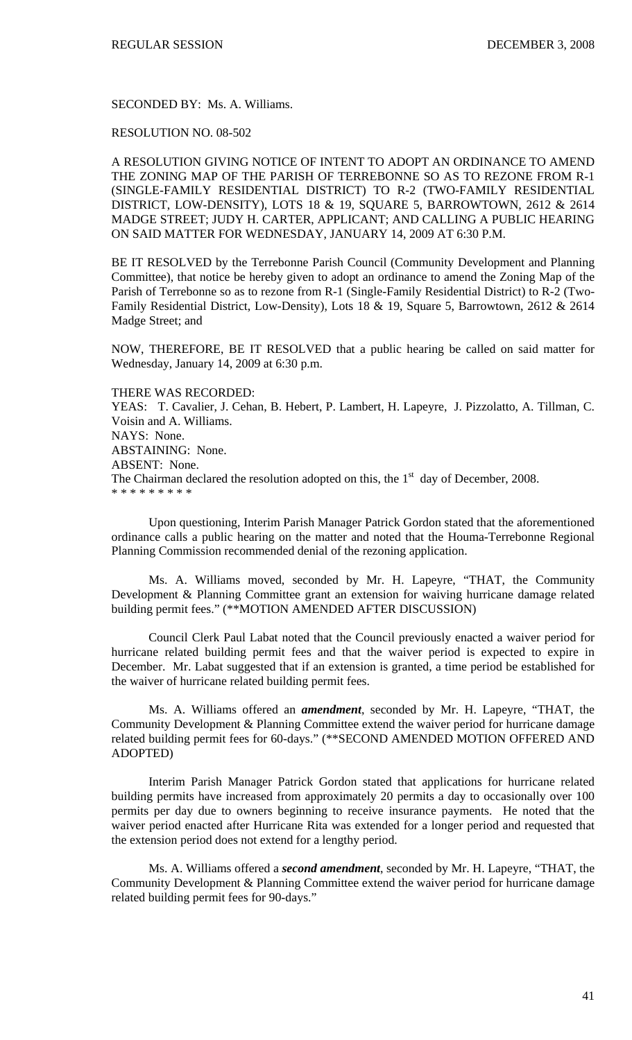SECONDED BY: Ms. A. Williams.

RESOLUTION NO. 08-502

A RESOLUTION GIVING NOTICE OF INTENT TO ADOPT AN ORDINANCE TO AMEND THE ZONING MAP OF THE PARISH OF TERREBONNE SO AS TO REZONE FROM R-1 (SINGLE-FAMILY RESIDENTIAL DISTRICT) TO R-2 (TWO-FAMILY RESIDENTIAL DISTRICT, LOW-DENSITY), LOTS 18 & 19, SQUARE 5, BARROWTOWN, 2612 & 2614 MADGE STREET; JUDY H. CARTER, APPLICANT; AND CALLING A PUBLIC HEARING ON SAID MATTER FOR WEDNESDAY, JANUARY 14, 2009 AT 6:30 P.M.

BE IT RESOLVED by the Terrebonne Parish Council (Community Development and Planning Committee), that notice be hereby given to adopt an ordinance to amend the Zoning Map of the Parish of Terrebonne so as to rezone from R-1 (Single-Family Residential District) to R-2 (Two-Family Residential District, Low-Density), Lots 18 & 19, Square 5, Barrowtown, 2612 & 2614 Madge Street; and

NOW, THEREFORE, BE IT RESOLVED that a public hearing be called on said matter for Wednesday, January 14, 2009 at 6:30 p.m.

THERE WAS RECORDED: YEAS: T. Cavalier, J. Cehan, B. Hebert, P. Lambert, H. Lapeyre, J. Pizzolatto, A. Tillman, C.

Voisin and A. Williams. NAYS: None. ABSTAINING: None. ABSENT: None. The Chairman declared the resolution adopted on this, the  $1<sup>st</sup>$  day of December, 2008. \* \* \* \* \* \* \* \* \*

 Upon questioning, Interim Parish Manager Patrick Gordon stated that the aforementioned ordinance calls a public hearing on the matter and noted that the Houma-Terrebonne Regional Planning Commission recommended denial of the rezoning application.

 Ms. A. Williams moved, seconded by Mr. H. Lapeyre, "THAT, the Community Development & Planning Committee grant an extension for waiving hurricane damage related building permit fees." (\*\*MOTION AMENDED AFTER DISCUSSION)

 Council Clerk Paul Labat noted that the Council previously enacted a waiver period for hurricane related building permit fees and that the waiver period is expected to expire in December. Mr. Labat suggested that if an extension is granted, a time period be established for the waiver of hurricane related building permit fees.

Ms. A. Williams offered an *amendment*, seconded by Mr. H. Lapeyre, "THAT, the Community Development & Planning Committee extend the waiver period for hurricane damage related building permit fees for 60-days." (\*\*SECOND AMENDED MOTION OFFERED AND ADOPTED)

Interim Parish Manager Patrick Gordon stated that applications for hurricane related building permits have increased from approximately 20 permits a day to occasionally over 100 permits per day due to owners beginning to receive insurance payments. He noted that the waiver period enacted after Hurricane Rita was extended for a longer period and requested that the extension period does not extend for a lengthy period.

Ms. A. Williams offered a *second amendment*, seconded by Mr. H. Lapeyre, "THAT, the Community Development & Planning Committee extend the waiver period for hurricane damage related building permit fees for 90-days."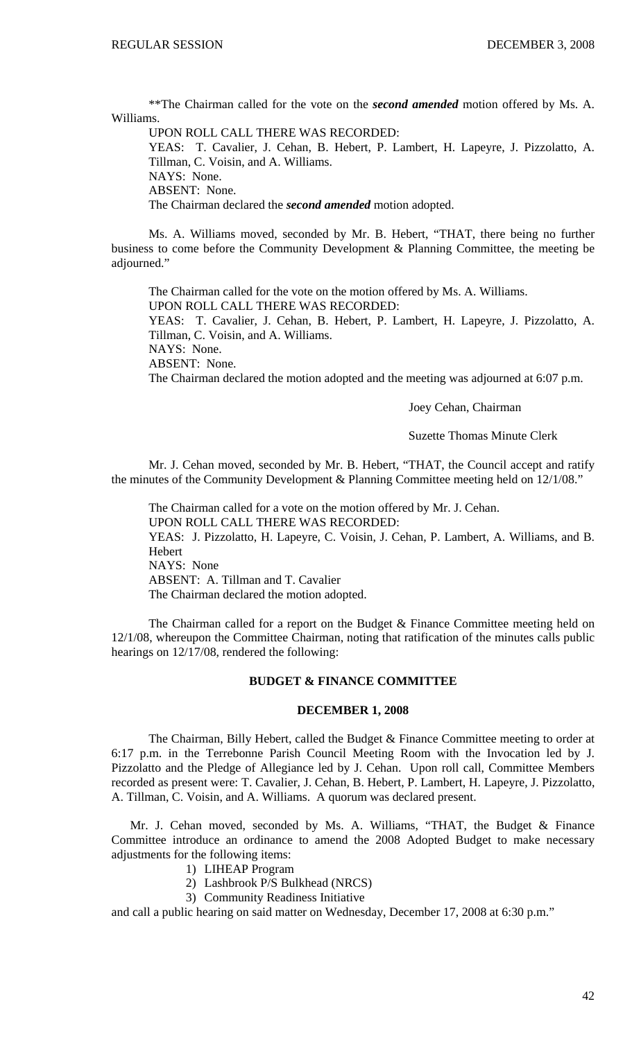\*\*The Chairman called for the vote on the *second amended* motion offered by Ms. A. Williams.

UPON ROLL CALL THERE WAS RECORDED:

YEAS: T. Cavalier, J. Cehan, B. Hebert, P. Lambert, H. Lapeyre, J. Pizzolatto, A. Tillman, C. Voisin, and A. Williams.

NAYS: None.

ABSENT: None.

The Chairman declared the *second amended* motion adopted.

 Ms. A. Williams moved, seconded by Mr. B. Hebert, "THAT, there being no further business to come before the Community Development & Planning Committee, the meeting be adjourned."

 The Chairman called for the vote on the motion offered by Ms. A. Williams. UPON ROLL CALL THERE WAS RECORDED:

YEAS: T. Cavalier, J. Cehan, B. Hebert, P. Lambert, H. Lapeyre, J. Pizzolatto, A. Tillman, C. Voisin, and A. Williams.

NAYS: None.

ABSENT: None.

The Chairman declared the motion adopted and the meeting was adjourned at 6:07 p.m.

Joey Cehan, Chairman

Suzette Thomas Minute Clerk

Mr. J. Cehan moved, seconded by Mr. B. Hebert, "THAT, the Council accept and ratify the minutes of the Community Development & Planning Committee meeting held on 12/1/08."

 The Chairman called for a vote on the motion offered by Mr. J. Cehan. UPON ROLL CALL THERE WAS RECORDED: YEAS: J. Pizzolatto, H. Lapeyre, C. Voisin, J. Cehan, P. Lambert, A. Williams, and B. Hebert NAYS: None ABSENT: A. Tillman and T. Cavalier The Chairman declared the motion adopted.

The Chairman called for a report on the Budget & Finance Committee meeting held on 12/1/08, whereupon the Committee Chairman, noting that ratification of the minutes calls public hearings on 12/17/08, rendered the following:

### **BUDGET & FINANCE COMMITTEE**

#### **DECEMBER 1, 2008**

 The Chairman, Billy Hebert, called the Budget & Finance Committee meeting to order at 6:17 p.m. in the Terrebonne Parish Council Meeting Room with the Invocation led by J. Pizzolatto and the Pledge of Allegiance led by J. Cehan. Upon roll call, Committee Members recorded as present were: T. Cavalier, J. Cehan, B. Hebert, P. Lambert, H. Lapeyre, J. Pizzolatto, A. Tillman, C. Voisin, and A. Williams. A quorum was declared present.

 Mr. J. Cehan moved, seconded by Ms. A. Williams, "THAT, the Budget & Finance Committee introduce an ordinance to amend the 2008 Adopted Budget to make necessary adjustments for the following items:

- 1) LIHEAP Program
- 2) Lashbrook P/S Bulkhead (NRCS)
- 3) Community Readiness Initiative

and call a public hearing on said matter on Wednesday, December 17, 2008 at 6:30 p.m."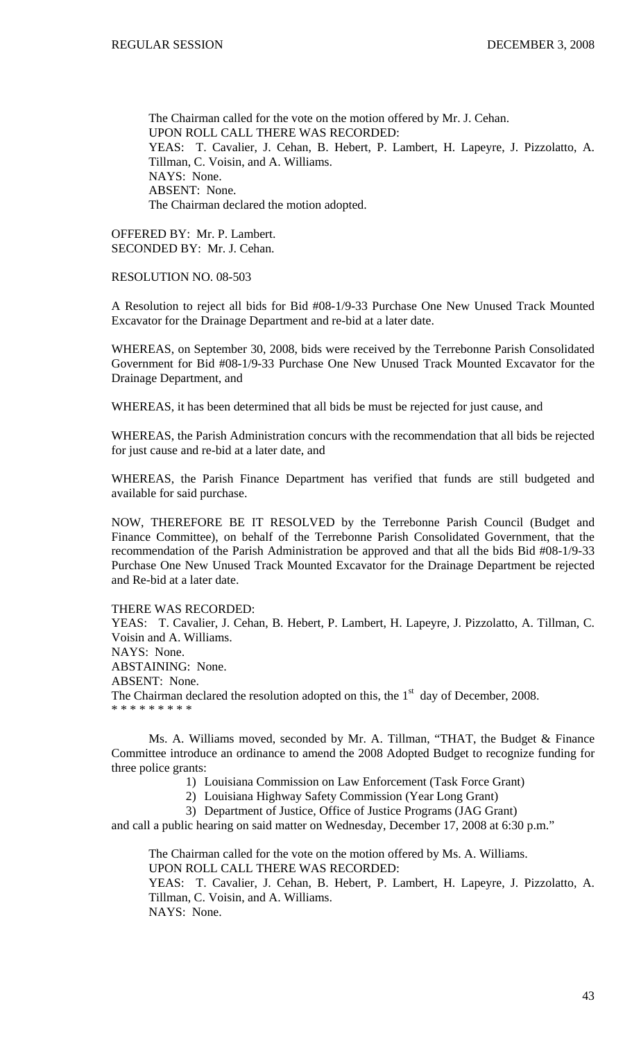The Chairman called for the vote on the motion offered by Mr. J. Cehan. UPON ROLL CALL THERE WAS RECORDED: YEAS: T. Cavalier, J. Cehan, B. Hebert, P. Lambert, H. Lapeyre, J. Pizzolatto, A. Tillman, C. Voisin, and A. Williams. NAYS: None. ABSENT: None. The Chairman declared the motion adopted.

OFFERED BY: Mr. P. Lambert. SECONDED BY: Mr. J. Cehan.

#### RESOLUTION NO. 08-503

A Resolution to reject all bids for Bid #08-1/9-33 Purchase One New Unused Track Mounted Excavator for the Drainage Department and re-bid at a later date.

WHEREAS, on September 30, 2008, bids were received by the Terrebonne Parish Consolidated Government for Bid #08-1/9-33 Purchase One New Unused Track Mounted Excavator for the Drainage Department, and

WHEREAS, it has been determined that all bids be must be rejected for just cause, and

WHEREAS, the Parish Administration concurs with the recommendation that all bids be rejected for just cause and re-bid at a later date, and

WHEREAS, the Parish Finance Department has verified that funds are still budgeted and available for said purchase.

NOW, THEREFORE BE IT RESOLVED by the Terrebonne Parish Council (Budget and Finance Committee), on behalf of the Terrebonne Parish Consolidated Government, that the recommendation of the Parish Administration be approved and that all the bids Bid #08-1/9-33 Purchase One New Unused Track Mounted Excavator for the Drainage Department be rejected and Re-bid at a later date.

#### THERE WAS RECORDED:

YEAS: T. Cavalier, J. Cehan, B. Hebert, P. Lambert, H. Lapeyre, J. Pizzolatto, A. Tillman, C. Voisin and A. Williams. NAYS: None. ABSTAINING: None. ABSENT: None. The Chairman declared the resolution adopted on this, the  $1<sup>st</sup>$  day of December, 2008. \* \* \* \* \* \* \* \* \*

 Ms. A. Williams moved, seconded by Mr. A. Tillman, "THAT, the Budget & Finance Committee introduce an ordinance to amend the 2008 Adopted Budget to recognize funding for three police grants:

1) Louisiana Commission on Law Enforcement (Task Force Grant)

2) Louisiana Highway Safety Commission (Year Long Grant)

3) Department of Justice, Office of Justice Programs (JAG Grant)

and call a public hearing on said matter on Wednesday, December 17, 2008 at 6:30 p.m."

 The Chairman called for the vote on the motion offered by Ms. A. Williams. UPON ROLL CALL THERE WAS RECORDED:

YEAS: T. Cavalier, J. Cehan, B. Hebert, P. Lambert, H. Lapeyre, J. Pizzolatto, A. Tillman, C. Voisin, and A. Williams. NAYS: None.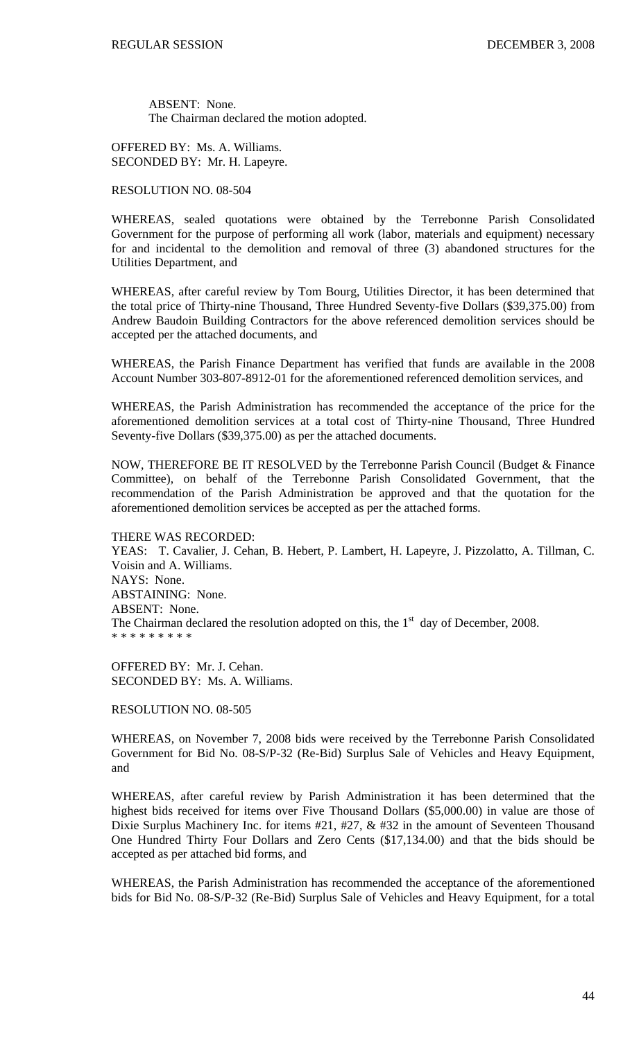ABSENT: None. The Chairman declared the motion adopted.

OFFERED BY: Ms. A. Williams. SECONDED BY: Mr. H. Lapeyre.

#### RESOLUTION NO. 08-504

WHEREAS, sealed quotations were obtained by the Terrebonne Parish Consolidated Government for the purpose of performing all work (labor, materials and equipment) necessary for and incidental to the demolition and removal of three (3) abandoned structures for the Utilities Department, and

WHEREAS, after careful review by Tom Bourg, Utilities Director, it has been determined that the total price of Thirty-nine Thousand, Three Hundred Seventy-five Dollars (\$39,375.00) from Andrew Baudoin Building Contractors for the above referenced demolition services should be accepted per the attached documents, and

WHEREAS, the Parish Finance Department has verified that funds are available in the 2008 Account Number 303-807-8912-01 for the aforementioned referenced demolition services, and

WHEREAS, the Parish Administration has recommended the acceptance of the price for the aforementioned demolition services at a total cost of Thirty-nine Thousand, Three Hundred Seventy-five Dollars (\$39,375.00) as per the attached documents.

NOW, THEREFORE BE IT RESOLVED by the Terrebonne Parish Council (Budget & Finance Committee), on behalf of the Terrebonne Parish Consolidated Government, that the recommendation of the Parish Administration be approved and that the quotation for the aforementioned demolition services be accepted as per the attached forms.

### THERE WAS RECORDED:

YEAS: T. Cavalier, J. Cehan, B. Hebert, P. Lambert, H. Lapeyre, J. Pizzolatto, A. Tillman, C. Voisin and A. Williams. NAYS: None. ABSTAINING: None. ABSENT: None. The Chairman declared the resolution adopted on this, the  $1<sup>st</sup>$  day of December, 2008. \* \* \* \* \* \* \* \* \*

OFFERED BY: Mr. J. Cehan. SECONDED BY: Ms. A. Williams.

RESOLUTION NO. 08-505

WHEREAS, on November 7, 2008 bids were received by the Terrebonne Parish Consolidated Government for Bid No. 08-S/P-32 (Re-Bid) Surplus Sale of Vehicles and Heavy Equipment, and

WHEREAS, after careful review by Parish Administration it has been determined that the highest bids received for items over Five Thousand Dollars (\$5,000.00) in value are those of Dixie Surplus Machinery Inc. for items #21, #27, & #32 in the amount of Seventeen Thousand One Hundred Thirty Four Dollars and Zero Cents (\$17,134.00) and that the bids should be accepted as per attached bid forms, and

WHEREAS, the Parish Administration has recommended the acceptance of the aforementioned bids for Bid No. 08-S/P-32 (Re-Bid) Surplus Sale of Vehicles and Heavy Equipment, for a total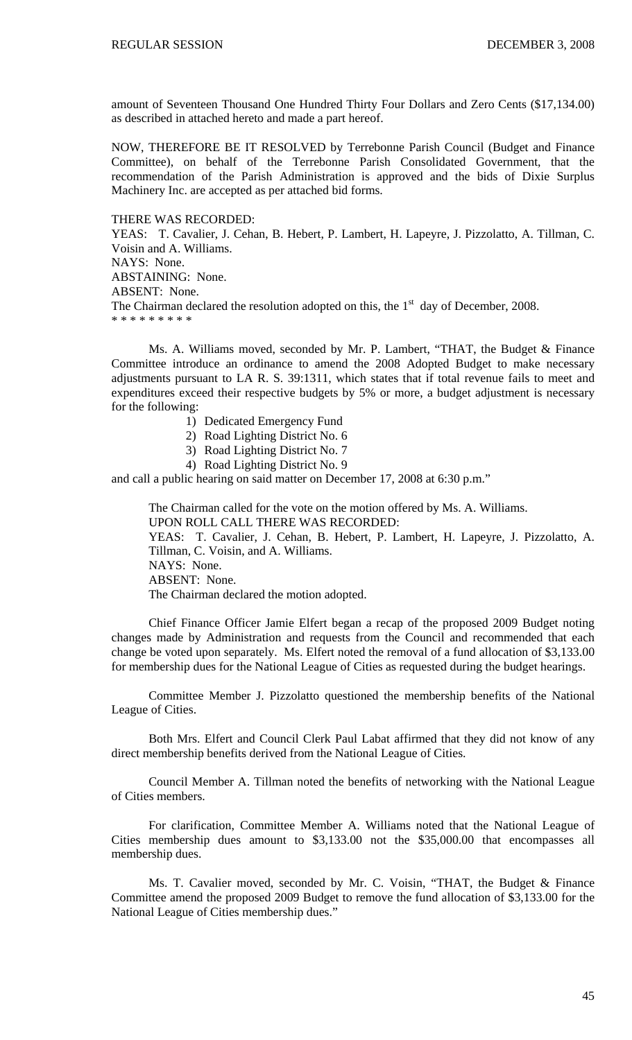amount of Seventeen Thousand One Hundred Thirty Four Dollars and Zero Cents (\$17,134.00) as described in attached hereto and made a part hereof.

NOW, THEREFORE BE IT RESOLVED by Terrebonne Parish Council (Budget and Finance Committee), on behalf of the Terrebonne Parish Consolidated Government, that the recommendation of the Parish Administration is approved and the bids of Dixie Surplus Machinery Inc. are accepted as per attached bid forms.

THERE WAS RECORDED:

YEAS: T. Cavalier, J. Cehan, B. Hebert, P. Lambert, H. Lapeyre, J. Pizzolatto, A. Tillman, C. Voisin and A. Williams. NAYS: None. ABSTAINING: None. ABSENT: None.

The Chairman declared the resolution adopted on this, the  $1<sup>st</sup>$  day of December, 2008. \* \* \* \* \* \* \* \* \*

Ms. A. Williams moved, seconded by Mr. P. Lambert, "THAT, the Budget & Finance Committee introduce an ordinance to amend the 2008 Adopted Budget to make necessary adjustments pursuant to LA R. S. 39:1311, which states that if total revenue fails to meet and expenditures exceed their respective budgets by 5% or more, a budget adjustment is necessary for the following:

- 1) Dedicated Emergency Fund
- 2) Road Lighting District No. 6
- 3) Road Lighting District No. 7
- 4) Road Lighting District No. 9

and call a public hearing on said matter on December 17, 2008 at 6:30 p.m."

 The Chairman called for the vote on the motion offered by Ms. A. Williams. UPON ROLL CALL THERE WAS RECORDED: YEAS: T. Cavalier, J. Cehan, B. Hebert, P. Lambert, H. Lapeyre, J. Pizzolatto, A. Tillman, C. Voisin, and A. Williams. NAYS: None. ABSENT: None. The Chairman declared the motion adopted.

 Chief Finance Officer Jamie Elfert began a recap of the proposed 2009 Budget noting changes made by Administration and requests from the Council and recommended that each change be voted upon separately. Ms. Elfert noted the removal of a fund allocation of \$3,133.00 for membership dues for the National League of Cities as requested during the budget hearings.

 Committee Member J. Pizzolatto questioned the membership benefits of the National League of Cities.

 Both Mrs. Elfert and Council Clerk Paul Labat affirmed that they did not know of any direct membership benefits derived from the National League of Cities.

Council Member A. Tillman noted the benefits of networking with the National League of Cities members.

 For clarification, Committee Member A. Williams noted that the National League of Cities membership dues amount to \$3,133.00 not the \$35,000.00 that encompasses all membership dues.

 Ms. T. Cavalier moved, seconded by Mr. C. Voisin, "THAT, the Budget & Finance Committee amend the proposed 2009 Budget to remove the fund allocation of \$3,133.00 for the National League of Cities membership dues."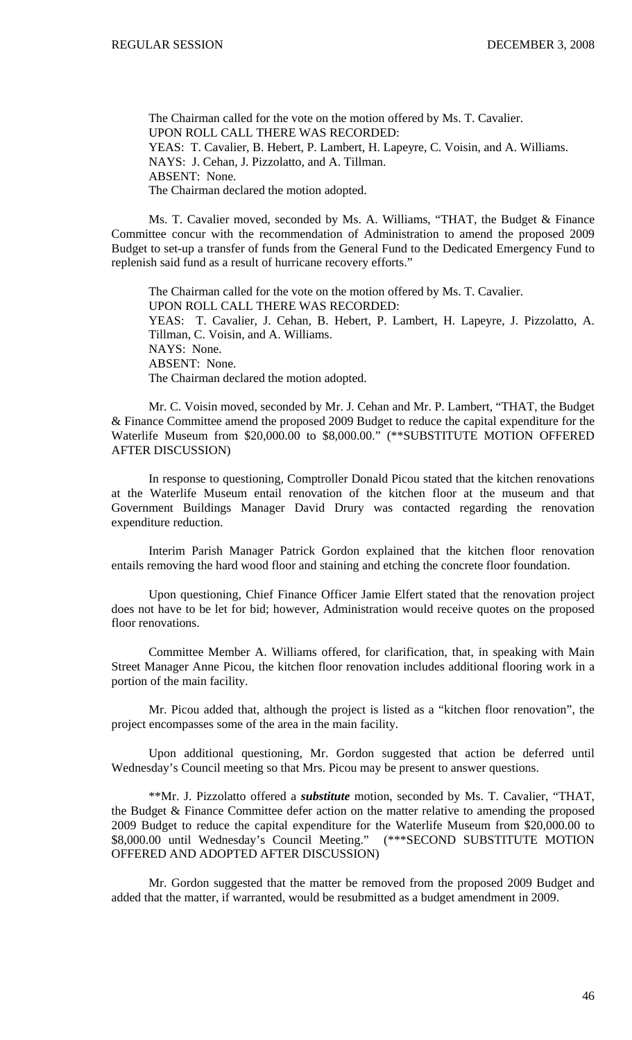The Chairman called for the vote on the motion offered by Ms. T. Cavalier. UPON ROLL CALL THERE WAS RECORDED: YEAS: T. Cavalier, B. Hebert, P. Lambert, H. Lapeyre, C. Voisin, and A. Williams. NAYS: J. Cehan, J. Pizzolatto, and A. Tillman. ABSENT: None. The Chairman declared the motion adopted.

Ms. T. Cavalier moved, seconded by Ms. A. Williams, "THAT, the Budget & Finance Committee concur with the recommendation of Administration to amend the proposed 2009 Budget to set-up a transfer of funds from the General Fund to the Dedicated Emergency Fund to replenish said fund as a result of hurricane recovery efforts."

The Chairman called for the vote on the motion offered by Ms. T. Cavalier. UPON ROLL CALL THERE WAS RECORDED: YEAS: T. Cavalier, J. Cehan, B. Hebert, P. Lambert, H. Lapeyre, J. Pizzolatto, A. Tillman, C. Voisin, and A. Williams. NAYS: None. ABSENT: None. The Chairman declared the motion adopted.

Mr. C. Voisin moved, seconded by Mr. J. Cehan and Mr. P. Lambert, "THAT, the Budget & Finance Committee amend the proposed 2009 Budget to reduce the capital expenditure for the Waterlife Museum from \$20,000.00 to \$8,000.00." (\*\*SUBSTITUTE MOTION OFFERED AFTER DISCUSSION)

In response to questioning, Comptroller Donald Picou stated that the kitchen renovations at the Waterlife Museum entail renovation of the kitchen floor at the museum and that Government Buildings Manager David Drury was contacted regarding the renovation expenditure reduction.

Interim Parish Manager Patrick Gordon explained that the kitchen floor renovation entails removing the hard wood floor and staining and etching the concrete floor foundation.

Upon questioning, Chief Finance Officer Jamie Elfert stated that the renovation project does not have to be let for bid; however, Administration would receive quotes on the proposed floor renovations.

Committee Member A. Williams offered, for clarification, that, in speaking with Main Street Manager Anne Picou, the kitchen floor renovation includes additional flooring work in a portion of the main facility.

Mr. Picou added that, although the project is listed as a "kitchen floor renovation", the project encompasses some of the area in the main facility.

Upon additional questioning, Mr. Gordon suggested that action be deferred until Wednesday's Council meeting so that Mrs. Picou may be present to answer questions.

\*\*Mr. J. Pizzolatto offered a *substitute* motion, seconded by Ms. T. Cavalier, "THAT, the Budget & Finance Committee defer action on the matter relative to amending the proposed 2009 Budget to reduce the capital expenditure for the Waterlife Museum from \$20,000.00 to \$8,000.00 until Wednesday's Council Meeting." (\*\*\*SECOND SUBSTITUTE MOTION \$8,000.00 until Wednesday's Council Meeting." OFFERED AND ADOPTED AFTER DISCUSSION)

Mr. Gordon suggested that the matter be removed from the proposed 2009 Budget and added that the matter, if warranted, would be resubmitted as a budget amendment in 2009.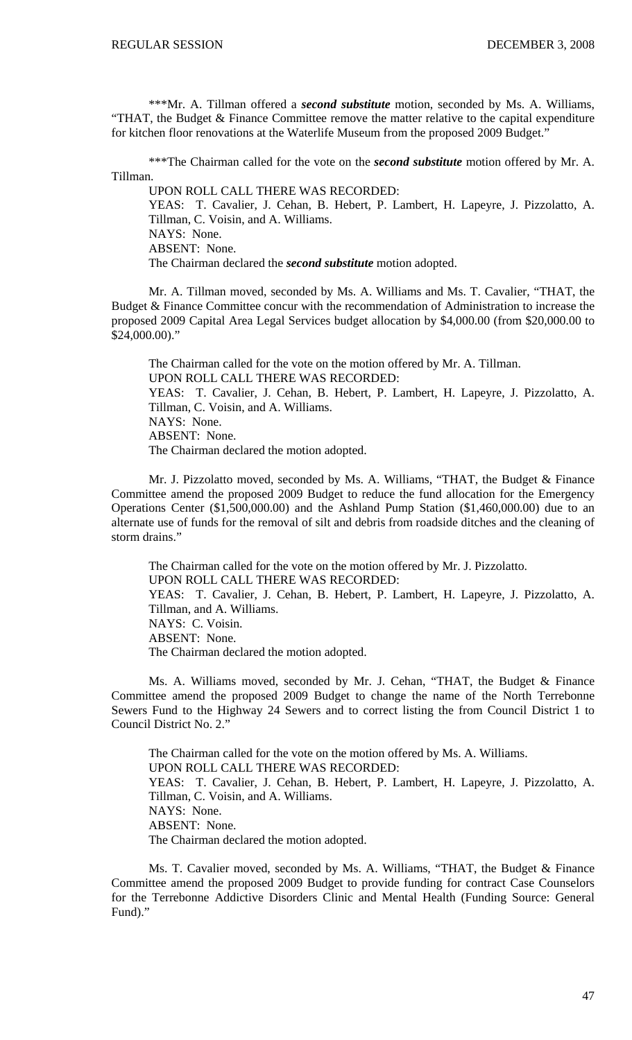\*\*\*Mr. A. Tillman offered a *second substitute* motion, seconded by Ms. A. Williams, "THAT, the Budget & Finance Committee remove the matter relative to the capital expenditure for kitchen floor renovations at the Waterlife Museum from the proposed 2009 Budget."

\*\*\*The Chairman called for the vote on the *second substitute* motion offered by Mr. A. Tillman.

UPON ROLL CALL THERE WAS RECORDED: YEAS: T. Cavalier, J. Cehan, B. Hebert, P. Lambert, H. Lapeyre, J. Pizzolatto, A. Tillman, C. Voisin, and A. Williams. NAYS: None. ABSENT: None. The Chairman declared the *second substitute* motion adopted.

Mr. A. Tillman moved, seconded by Ms. A. Williams and Ms. T. Cavalier, "THAT, the Budget & Finance Committee concur with the recommendation of Administration to increase the proposed 2009 Capital Area Legal Services budget allocation by \$4,000.00 (from \$20,000.00 to \$24,000.00)."

The Chairman called for the vote on the motion offered by Mr. A. Tillman. UPON ROLL CALL THERE WAS RECORDED: YEAS: T. Cavalier, J. Cehan, B. Hebert, P. Lambert, H. Lapeyre, J. Pizzolatto, A. Tillman, C. Voisin, and A. Williams. NAYS: None. ABSENT: None. The Chairman declared the motion adopted.

Mr. J. Pizzolatto moved, seconded by Ms. A. Williams, "THAT, the Budget & Finance Committee amend the proposed 2009 Budget to reduce the fund allocation for the Emergency Operations Center (\$1,500,000.00) and the Ashland Pump Station (\$1,460,000.00) due to an alternate use of funds for the removal of silt and debris from roadside ditches and the cleaning of storm drains."

The Chairman called for the vote on the motion offered by Mr. J. Pizzolatto. UPON ROLL CALL THERE WAS RECORDED: YEAS: T. Cavalier, J. Cehan, B. Hebert, P. Lambert, H. Lapeyre, J. Pizzolatto, A. Tillman, and A. Williams. NAYS: C. Voisin. ABSENT: None. The Chairman declared the motion adopted.

Ms. A. Williams moved, seconded by Mr. J. Cehan, "THAT, the Budget & Finance Committee amend the proposed 2009 Budget to change the name of the North Terrebonne Sewers Fund to the Highway 24 Sewers and to correct listing the from Council District 1 to Council District No. 2."

The Chairman called for the vote on the motion offered by Ms. A. Williams. UPON ROLL CALL THERE WAS RECORDED: YEAS: T. Cavalier, J. Cehan, B. Hebert, P. Lambert, H. Lapeyre, J. Pizzolatto, A. Tillman, C. Voisin, and A. Williams. NAYS: None. ABSENT: None. The Chairman declared the motion adopted.

Ms. T. Cavalier moved, seconded by Ms. A. Williams, "THAT, the Budget & Finance Committee amend the proposed 2009 Budget to provide funding for contract Case Counselors for the Terrebonne Addictive Disorders Clinic and Mental Health (Funding Source: General Fund)."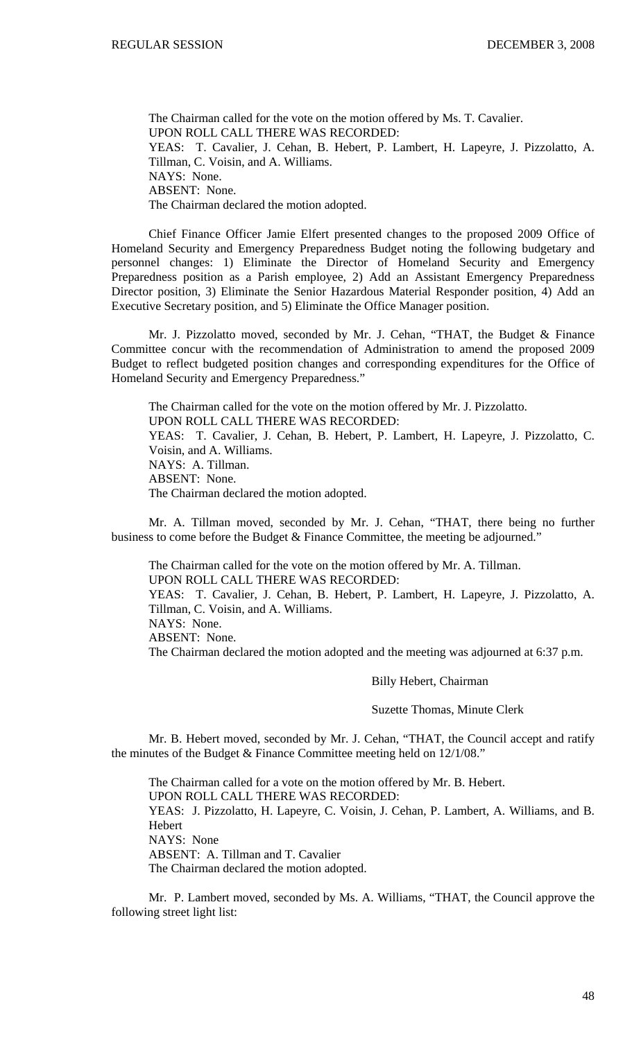The Chairman called for the vote on the motion offered by Ms. T. Cavalier. UPON ROLL CALL THERE WAS RECORDED: YEAS: T. Cavalier, J. Cehan, B. Hebert, P. Lambert, H. Lapeyre, J. Pizzolatto, A. Tillman, C. Voisin, and A. Williams. NAYS: None. ABSENT: None. The Chairman declared the motion adopted.

Chief Finance Officer Jamie Elfert presented changes to the proposed 2009 Office of Homeland Security and Emergency Preparedness Budget noting the following budgetary and personnel changes: 1) Eliminate the Director of Homeland Security and Emergency Preparedness position as a Parish employee, 2) Add an Assistant Emergency Preparedness Director position, 3) Eliminate the Senior Hazardous Material Responder position, 4) Add an Executive Secretary position, and 5) Eliminate the Office Manager position.

Mr. J. Pizzolatto moved, seconded by Mr. J. Cehan, "THAT, the Budget & Finance Committee concur with the recommendation of Administration to amend the proposed 2009 Budget to reflect budgeted position changes and corresponding expenditures for the Office of Homeland Security and Emergency Preparedness."

The Chairman called for the vote on the motion offered by Mr. J. Pizzolatto. UPON ROLL CALL THERE WAS RECORDED: YEAS: T. Cavalier, J. Cehan, B. Hebert, P. Lambert, H. Lapeyre, J. Pizzolatto, C. Voisin, and A. Williams. NAYS: A. Tillman. ABSENT: None. The Chairman declared the motion adopted.

 Mr. A. Tillman moved, seconded by Mr. J. Cehan, "THAT, there being no further business to come before the Budget & Finance Committee, the meeting be adjourned."

 The Chairman called for the vote on the motion offered by Mr. A. Tillman. UPON ROLL CALL THERE WAS RECORDED: YEAS: T. Cavalier, J. Cehan, B. Hebert, P. Lambert, H. Lapeyre, J. Pizzolatto, A. Tillman, C. Voisin, and A. Williams. NAYS: None. ABSENT: None. The Chairman declared the motion adopted and the meeting was adjourned at 6:37 p.m.

#### Billy Hebert, Chairman

#### Suzette Thomas, Minute Clerk

 Mr. B. Hebert moved, seconded by Mr. J. Cehan, "THAT, the Council accept and ratify the minutes of the Budget & Finance Committee meeting held on 12/1/08."

 The Chairman called for a vote on the motion offered by Mr. B. Hebert. UPON ROLL CALL THERE WAS RECORDED: YEAS: J. Pizzolatto, H. Lapeyre, C. Voisin, J. Cehan, P. Lambert, A. Williams, and B. Hebert NAYS: None ABSENT: A. Tillman and T. Cavalier The Chairman declared the motion adopted.

 Mr. P. Lambert moved, seconded by Ms. A. Williams, "THAT, the Council approve the following street light list: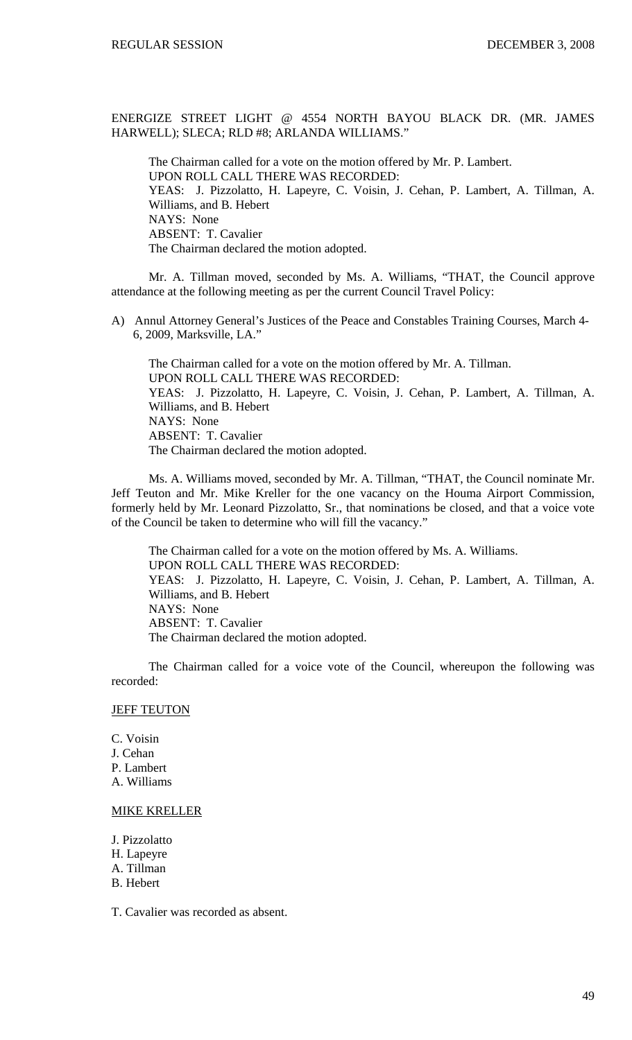ENERGIZE STREET LIGHT @ 4554 NORTH BAYOU BLACK DR. (MR. JAMES HARWELL); SLECA; RLD #8; ARLANDA WILLIAMS."

The Chairman called for a vote on the motion offered by Mr. P. Lambert. UPON ROLL CALL THERE WAS RECORDED: YEAS: J. Pizzolatto, H. Lapeyre, C. Voisin, J. Cehan, P. Lambert, A. Tillman, A. Williams, and B. Hebert NAYS: None ABSENT: T. Cavalier The Chairman declared the motion adopted.

 Mr. A. Tillman moved, seconded by Ms. A. Williams, "THAT, the Council approve attendance at the following meeting as per the current Council Travel Policy:

A) Annul Attorney General's Justices of the Peace and Constables Training Courses, March 4- 6, 2009, Marksville, LA."

 The Chairman called for a vote on the motion offered by Mr. A. Tillman. UPON ROLL CALL THERE WAS RECORDED: YEAS: J. Pizzolatto, H. Lapeyre, C. Voisin, J. Cehan, P. Lambert, A. Tillman, A. Williams, and B. Hebert NAYS: None ABSENT: T. Cavalier The Chairman declared the motion adopted.

 Ms. A. Williams moved, seconded by Mr. A. Tillman, "THAT, the Council nominate Mr. Jeff Teuton and Mr. Mike Kreller for the one vacancy on the Houma Airport Commission, formerly held by Mr. Leonard Pizzolatto, Sr., that nominations be closed, and that a voice vote of the Council be taken to determine who will fill the vacancy."

 The Chairman called for a vote on the motion offered by Ms. A. Williams. UPON ROLL CALL THERE WAS RECORDED: YEAS: J. Pizzolatto, H. Lapeyre, C. Voisin, J. Cehan, P. Lambert, A. Tillman, A. Williams, and B. Hebert NAYS: None ABSENT: T. Cavalier The Chairman declared the motion adopted.

 The Chairman called for a voice vote of the Council, whereupon the following was recorded:

## **JEFF TEUTON**

C. Voisin J. Cehan P. Lambert A. Williams

# MIKE KRELLER

J. Pizzolatto H. Lapeyre A. Tillman B. Hebert

T. Cavalier was recorded as absent.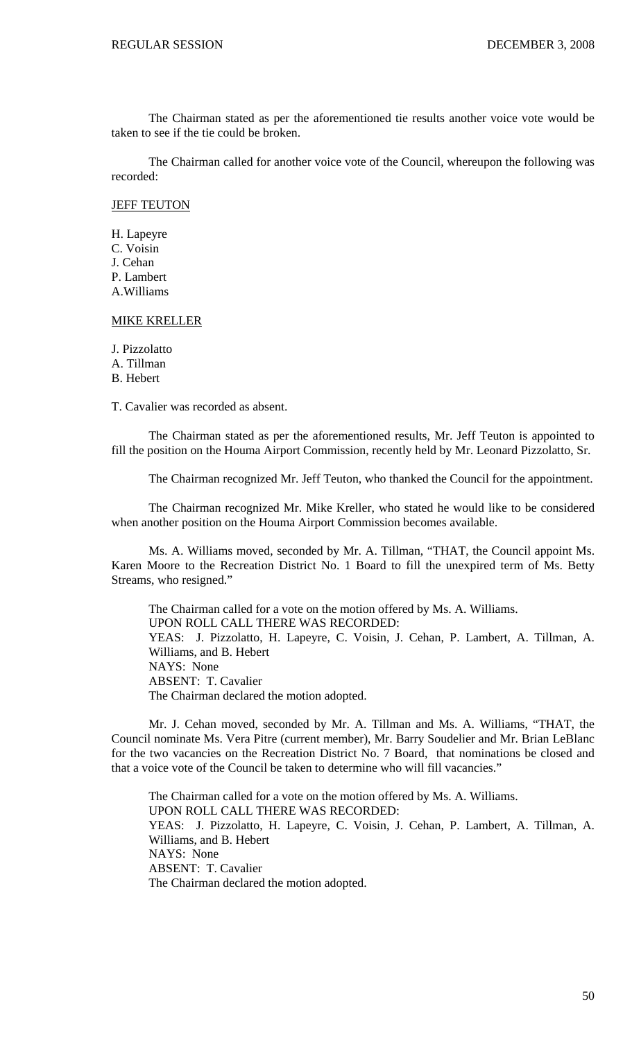The Chairman stated as per the aforementioned tie results another voice vote would be taken to see if the tie could be broken.

 The Chairman called for another voice vote of the Council, whereupon the following was recorded:

### **JEFF TEUTON**

H. Lapeyre C. Voisin J. Cehan P. Lambert A.Williams

## MIKE KRELLER

J. Pizzolatto A. Tillman B. Hebert

T. Cavalier was recorded as absent.

 The Chairman stated as per the aforementioned results, Mr. Jeff Teuton is appointed to fill the position on the Houma Airport Commission, recently held by Mr. Leonard Pizzolatto, Sr.

The Chairman recognized Mr. Jeff Teuton, who thanked the Council for the appointment.

 The Chairman recognized Mr. Mike Kreller, who stated he would like to be considered when another position on the Houma Airport Commission becomes available.

 Ms. A. Williams moved, seconded by Mr. A. Tillman, "THAT, the Council appoint Ms. Karen Moore to the Recreation District No. 1 Board to fill the unexpired term of Ms. Betty Streams, who resigned."

 The Chairman called for a vote on the motion offered by Ms. A. Williams. UPON ROLL CALL THERE WAS RECORDED: YEAS: J. Pizzolatto, H. Lapeyre, C. Voisin, J. Cehan, P. Lambert, A. Tillman, A. Williams, and B. Hebert NAYS: None ABSENT: T. Cavalier The Chairman declared the motion adopted.

 Mr. J. Cehan moved, seconded by Mr. A. Tillman and Ms. A. Williams, "THAT, the Council nominate Ms. Vera Pitre (current member), Mr. Barry Soudelier and Mr. Brian LeBlanc for the two vacancies on the Recreation District No. 7 Board, that nominations be closed and that a voice vote of the Council be taken to determine who will fill vacancies."

 The Chairman called for a vote on the motion offered by Ms. A. Williams. UPON ROLL CALL THERE WAS RECORDED: YEAS: J. Pizzolatto, H. Lapeyre, C. Voisin, J. Cehan, P. Lambert, A. Tillman, A. Williams, and B. Hebert NAYS: None ABSENT: T. Cavalier The Chairman declared the motion adopted.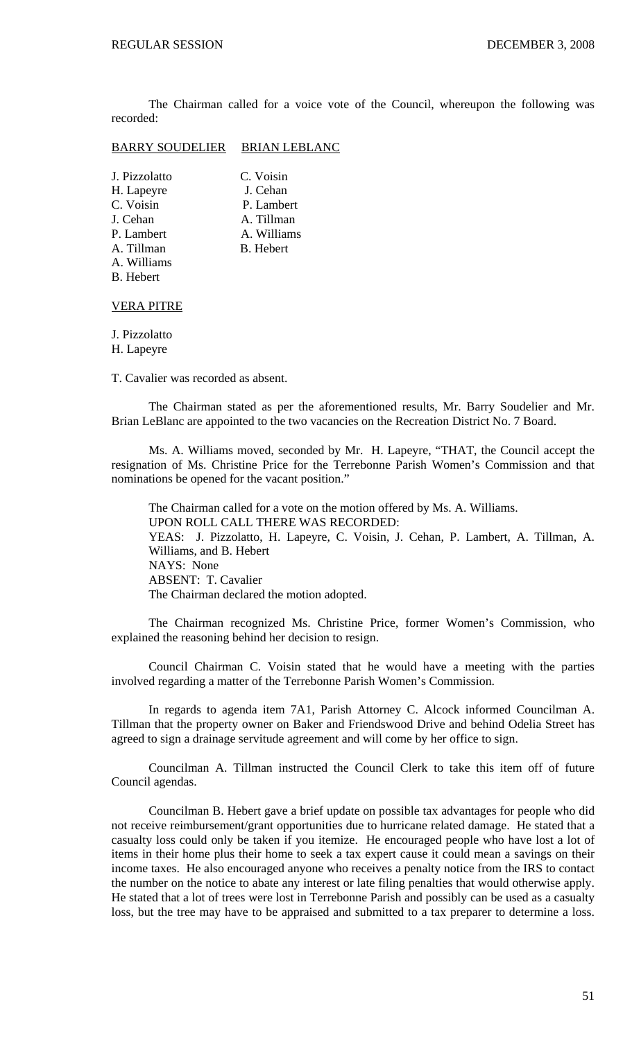The Chairman called for a voice vote of the Council, whereupon the following was recorded:

## BARRY SOUDELIER BRIAN LEBLANC

| J. Pizzolatto    | C. Voisin        |
|------------------|------------------|
| H. Lapeyre       | J. Cehan         |
| C. Voisin        | P. Lambert       |
| J. Cehan         | A. Tillman       |
| P. Lambert       | A. Williams      |
| A. Tillman       | <b>B.</b> Hebert |
| A. Williams      |                  |
| <b>B.</b> Hebert |                  |
|                  |                  |

#### VERA PITRE

J. Pizzolatto H. Lapeyre

T. Cavalier was recorded as absent.

 The Chairman stated as per the aforementioned results, Mr. Barry Soudelier and Mr. Brian LeBlanc are appointed to the two vacancies on the Recreation District No. 7 Board.

 Ms. A. Williams moved, seconded by Mr. H. Lapeyre, "THAT, the Council accept the resignation of Ms. Christine Price for the Terrebonne Parish Women's Commission and that nominations be opened for the vacant position."

 The Chairman called for a vote on the motion offered by Ms. A. Williams. UPON ROLL CALL THERE WAS RECORDED: YEAS: J. Pizzolatto, H. Lapeyre, C. Voisin, J. Cehan, P. Lambert, A. Tillman, A. Williams, and B. Hebert NAYS: None ABSENT: T. Cavalier The Chairman declared the motion adopted.

 The Chairman recognized Ms. Christine Price, former Women's Commission, who explained the reasoning behind her decision to resign.

 Council Chairman C. Voisin stated that he would have a meeting with the parties involved regarding a matter of the Terrebonne Parish Women's Commission.

 In regards to agenda item 7A1, Parish Attorney C. Alcock informed Councilman A. Tillman that the property owner on Baker and Friendswood Drive and behind Odelia Street has agreed to sign a drainage servitude agreement and will come by her office to sign.

 Councilman A. Tillman instructed the Council Clerk to take this item off of future Council agendas.

 Councilman B. Hebert gave a brief update on possible tax advantages for people who did not receive reimbursement/grant opportunities due to hurricane related damage. He stated that a casualty loss could only be taken if you itemize. He encouraged people who have lost a lot of items in their home plus their home to seek a tax expert cause it could mean a savings on their income taxes. He also encouraged anyone who receives a penalty notice from the IRS to contact the number on the notice to abate any interest or late filing penalties that would otherwise apply. He stated that a lot of trees were lost in Terrebonne Parish and possibly can be used as a casualty loss, but the tree may have to be appraised and submitted to a tax preparer to determine a loss.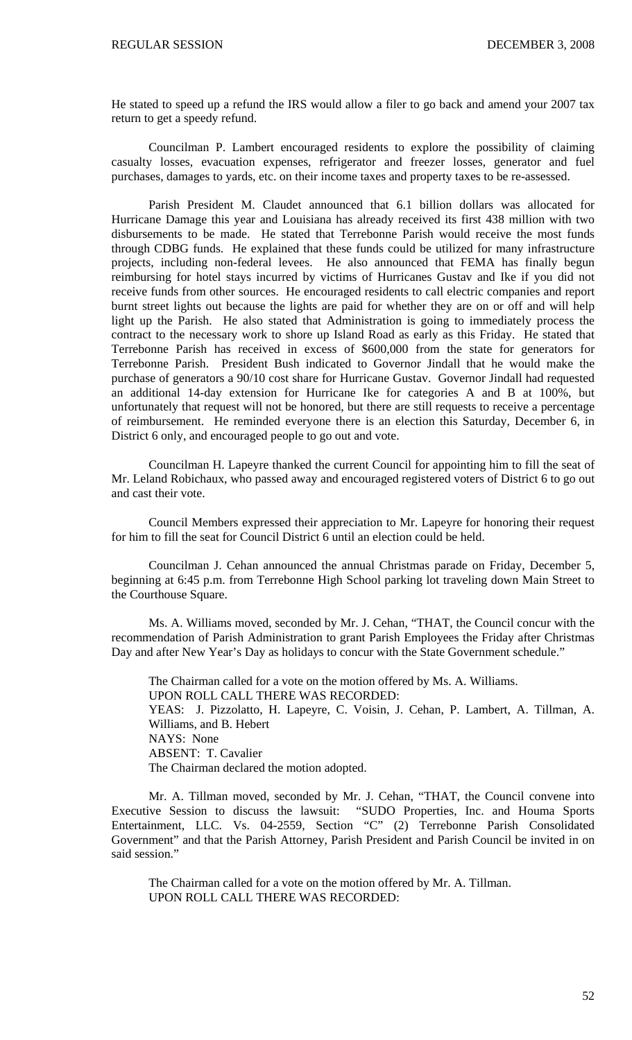He stated to speed up a refund the IRS would allow a filer to go back and amend your 2007 tax return to get a speedy refund.

 Councilman P. Lambert encouraged residents to explore the possibility of claiming casualty losses, evacuation expenses, refrigerator and freezer losses, generator and fuel purchases, damages to yards, etc. on their income taxes and property taxes to be re-assessed.

 Parish President M. Claudet announced that 6.1 billion dollars was allocated for Hurricane Damage this year and Louisiana has already received its first 438 million with two disbursements to be made. He stated that Terrebonne Parish would receive the most funds through CDBG funds. He explained that these funds could be utilized for many infrastructure projects, including non-federal levees. He also announced that FEMA has finally begun reimbursing for hotel stays incurred by victims of Hurricanes Gustav and Ike if you did not receive funds from other sources. He encouraged residents to call electric companies and report burnt street lights out because the lights are paid for whether they are on or off and will help light up the Parish. He also stated that Administration is going to immediately process the contract to the necessary work to shore up Island Road as early as this Friday. He stated that Terrebonne Parish has received in excess of \$600,000 from the state for generators for Terrebonne Parish. President Bush indicated to Governor Jindall that he would make the purchase of generators a 90/10 cost share for Hurricane Gustav. Governor Jindall had requested an additional 14-day extension for Hurricane Ike for categories A and B at 100%, but unfortunately that request will not be honored, but there are still requests to receive a percentage of reimbursement. He reminded everyone there is an election this Saturday, December 6, in District 6 only, and encouraged people to go out and vote.

 Councilman H. Lapeyre thanked the current Council for appointing him to fill the seat of Mr. Leland Robichaux, who passed away and encouraged registered voters of District 6 to go out and cast their vote.

 Council Members expressed their appreciation to Mr. Lapeyre for honoring their request for him to fill the seat for Council District 6 until an election could be held.

 Councilman J. Cehan announced the annual Christmas parade on Friday, December 5, beginning at 6:45 p.m. from Terrebonne High School parking lot traveling down Main Street to the Courthouse Square.

 Ms. A. Williams moved, seconded by Mr. J. Cehan, "THAT, the Council concur with the recommendation of Parish Administration to grant Parish Employees the Friday after Christmas Day and after New Year's Day as holidays to concur with the State Government schedule."

 The Chairman called for a vote on the motion offered by Ms. A. Williams. UPON ROLL CALL THERE WAS RECORDED: YEAS: J. Pizzolatto, H. Lapeyre, C. Voisin, J. Cehan, P. Lambert, A. Tillman, A. Williams, and B. Hebert NAYS: None ABSENT: T. Cavalier The Chairman declared the motion adopted.

 Mr. A. Tillman moved, seconded by Mr. J. Cehan, "THAT, the Council convene into Executive Session to discuss the lawsuit: "SUDO Properties, Inc. and Houma Sports Entertainment, LLC. Vs. 04-2559, Section "C" (2) Terrebonne Parish Consolidated Government" and that the Parish Attorney, Parish President and Parish Council be invited in on said session."

 The Chairman called for a vote on the motion offered by Mr. A. Tillman. UPON ROLL CALL THERE WAS RECORDED: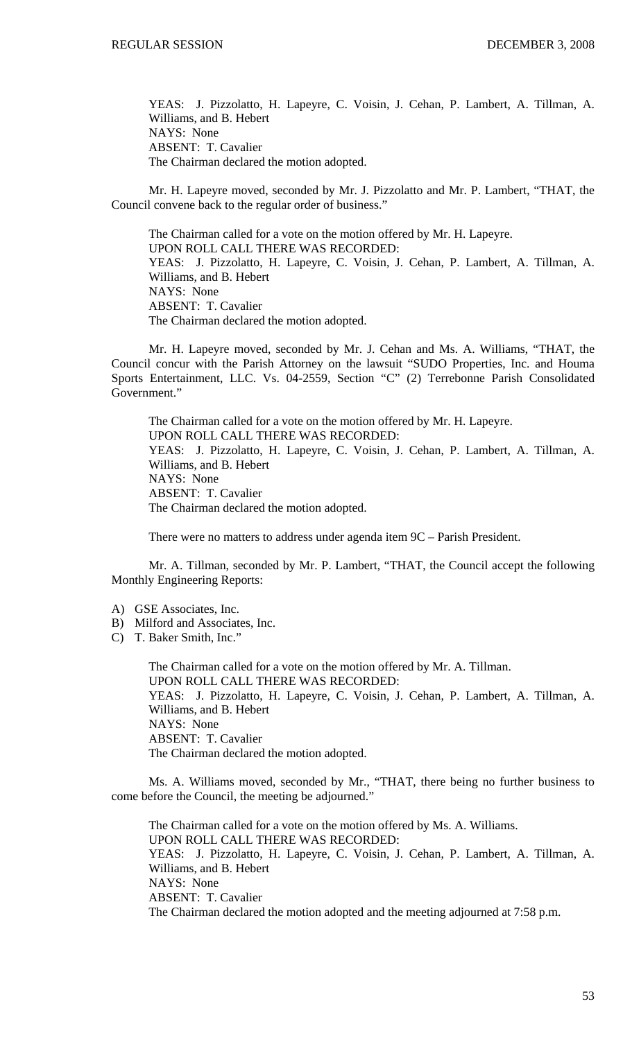YEAS: J. Pizzolatto, H. Lapeyre, C. Voisin, J. Cehan, P. Lambert, A. Tillman, A. Williams, and B. Hebert NAYS: None ABSENT: T. Cavalier The Chairman declared the motion adopted.

 Mr. H. Lapeyre moved, seconded by Mr. J. Pizzolatto and Mr. P. Lambert, "THAT, the Council convene back to the regular order of business."

 The Chairman called for a vote on the motion offered by Mr. H. Lapeyre. UPON ROLL CALL THERE WAS RECORDED: YEAS: J. Pizzolatto, H. Lapeyre, C. Voisin, J. Cehan, P. Lambert, A. Tillman, A. Williams, and B. Hebert NAYS: None ABSENT: T. Cavalier The Chairman declared the motion adopted.

 Mr. H. Lapeyre moved, seconded by Mr. J. Cehan and Ms. A. Williams, "THAT, the Council concur with the Parish Attorney on the lawsuit "SUDO Properties, Inc. and Houma Sports Entertainment, LLC. Vs. 04-2559, Section "C" (2) Terrebonne Parish Consolidated Government."

 The Chairman called for a vote on the motion offered by Mr. H. Lapeyre. UPON ROLL CALL THERE WAS RECORDED: YEAS: J. Pizzolatto, H. Lapeyre, C. Voisin, J. Cehan, P. Lambert, A. Tillman, A. Williams, and B. Hebert NAYS: None ABSENT: T. Cavalier The Chairman declared the motion adopted.

There were no matters to address under agenda item 9C – Parish President.

 Mr. A. Tillman, seconded by Mr. P. Lambert, "THAT, the Council accept the following Monthly Engineering Reports:

- A) GSE Associates, Inc.
- B) Milford and Associates, Inc.
- C) T. Baker Smith, Inc."

 The Chairman called for a vote on the motion offered by Mr. A. Tillman. UPON ROLL CALL THERE WAS RECORDED: YEAS: J. Pizzolatto, H. Lapeyre, C. Voisin, J. Cehan, P. Lambert, A. Tillman, A. Williams, and B. Hebert NAYS: None ABSENT: T. Cavalier The Chairman declared the motion adopted.

 Ms. A. Williams moved, seconded by Mr., "THAT, there being no further business to come before the Council, the meeting be adjourned."

 The Chairman called for a vote on the motion offered by Ms. A. Williams. UPON ROLL CALL THERE WAS RECORDED: YEAS: J. Pizzolatto, H. Lapeyre, C. Voisin, J. Cehan, P. Lambert, A. Tillman, A. Williams, and B. Hebert NAYS: None ABSENT: T. Cavalier The Chairman declared the motion adopted and the meeting adjourned at 7:58 p.m.